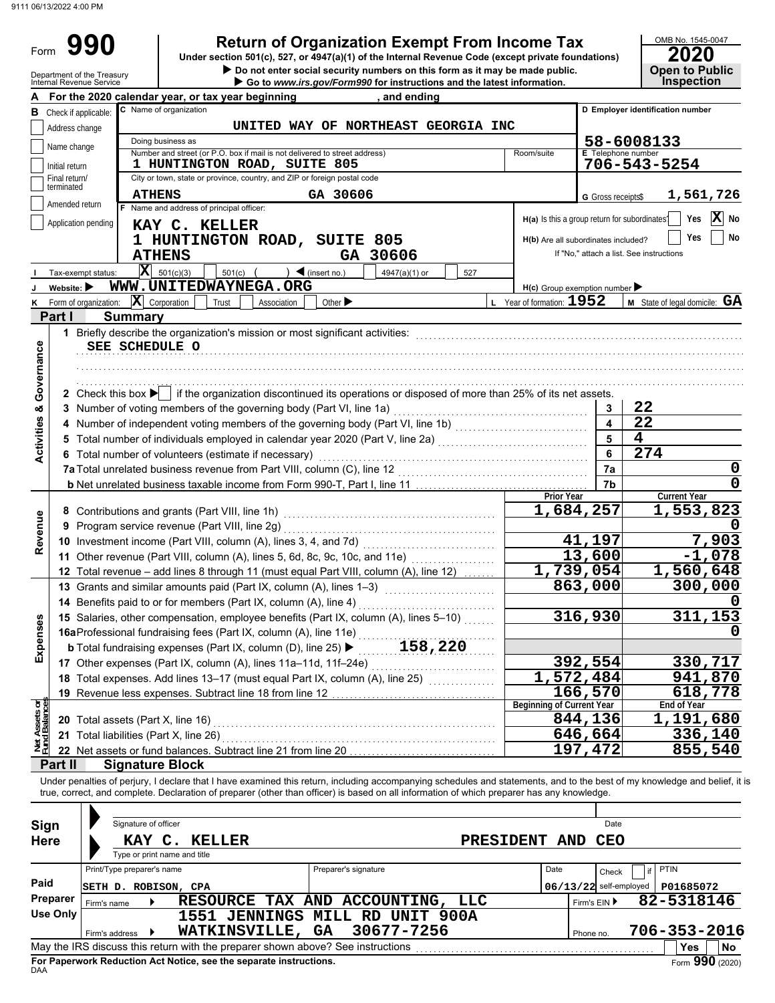Form 990

**990 2010 2020**<br>
Under section 501(c), 527, or 4947(a)(1) of the Internal Revenue Code (except private foundations) **2020** 

OMB No. 1545-0047

|                                                                                    |                                                                                         | Go to www.irs.gov/Form990 for instructions and the latest information.                                                                                                                                                                                                  |                                                                                                                                                                                                                                                                                                                                                                                                                                                           | Do not enter social security numbers on this form as it may be made public.                                                                                                                                                                                                                                                                                                                                                                   |                                                                                                                                                                                                                                                                                                                                                                                          |         | <b>Open to Public</b><br><b>Inspection</b>                                                                                                                                                                                                                                                                                                                                                                                                                                                                                                                                                                                                                                                                                                                                                                                                                                                     |  |  |  |  |
|------------------------------------------------------------------------------------|-----------------------------------------------------------------------------------------|-------------------------------------------------------------------------------------------------------------------------------------------------------------------------------------------------------------------------------------------------------------------------|-----------------------------------------------------------------------------------------------------------------------------------------------------------------------------------------------------------------------------------------------------------------------------------------------------------------------------------------------------------------------------------------------------------------------------------------------------------|-----------------------------------------------------------------------------------------------------------------------------------------------------------------------------------------------------------------------------------------------------------------------------------------------------------------------------------------------------------------------------------------------------------------------------------------------|------------------------------------------------------------------------------------------------------------------------------------------------------------------------------------------------------------------------------------------------------------------------------------------------------------------------------------------------------------------------------------------|---------|------------------------------------------------------------------------------------------------------------------------------------------------------------------------------------------------------------------------------------------------------------------------------------------------------------------------------------------------------------------------------------------------------------------------------------------------------------------------------------------------------------------------------------------------------------------------------------------------------------------------------------------------------------------------------------------------------------------------------------------------------------------------------------------------------------------------------------------------------------------------------------------------|--|--|--|--|
|                                                                                    | For the 2020 calendar year, or tax year beginning                                       |                                                                                                                                                                                                                                                                         | , and ending                                                                                                                                                                                                                                                                                                                                                                                                                                              |                                                                                                                                                                                                                                                                                                                                                                                                                                               |                                                                                                                                                                                                                                                                                                                                                                                          |         |                                                                                                                                                                                                                                                                                                                                                                                                                                                                                                                                                                                                                                                                                                                                                                                                                                                                                                |  |  |  |  |
| C Name of organization<br>D Employer identification number<br>Check if applicable: |                                                                                         |                                                                                                                                                                                                                                                                         |                                                                                                                                                                                                                                                                                                                                                                                                                                                           |                                                                                                                                                                                                                                                                                                                                                                                                                                               |                                                                                                                                                                                                                                                                                                                                                                                          |         |                                                                                                                                                                                                                                                                                                                                                                                                                                                                                                                                                                                                                                                                                                                                                                                                                                                                                                |  |  |  |  |
| UNITED WAY OF NORTHEAST GEORGIA INC<br>Address change                              |                                                                                         |                                                                                                                                                                                                                                                                         |                                                                                                                                                                                                                                                                                                                                                                                                                                                           |                                                                                                                                                                                                                                                                                                                                                                                                                                               |                                                                                                                                                                                                                                                                                                                                                                                          |         |                                                                                                                                                                                                                                                                                                                                                                                                                                                                                                                                                                                                                                                                                                                                                                                                                                                                                                |  |  |  |  |
| Doing business as                                                                  |                                                                                         | 58-6008133                                                                                                                                                                                                                                                              |                                                                                                                                                                                                                                                                                                                                                                                                                                                           |                                                                                                                                                                                                                                                                                                                                                                                                                                               |                                                                                                                                                                                                                                                                                                                                                                                          |         |                                                                                                                                                                                                                                                                                                                                                                                                                                                                                                                                                                                                                                                                                                                                                                                                                                                                                                |  |  |  |  |
|                                                                                    | Room/suite                                                                              |                                                                                                                                                                                                                                                                         |                                                                                                                                                                                                                                                                                                                                                                                                                                                           |                                                                                                                                                                                                                                                                                                                                                                                                                                               |                                                                                                                                                                                                                                                                                                                                                                                          |         |                                                                                                                                                                                                                                                                                                                                                                                                                                                                                                                                                                                                                                                                                                                                                                                                                                                                                                |  |  |  |  |
|                                                                                    |                                                                                         |                                                                                                                                                                                                                                                                         |                                                                                                                                                                                                                                                                                                                                                                                                                                                           |                                                                                                                                                                                                                                                                                                                                                                                                                                               |                                                                                                                                                                                                                                                                                                                                                                                          |         | 706-543-5254                                                                                                                                                                                                                                                                                                                                                                                                                                                                                                                                                                                                                                                                                                                                                                                                                                                                                   |  |  |  |  |
|                                                                                    |                                                                                         |                                                                                                                                                                                                                                                                         |                                                                                                                                                                                                                                                                                                                                                                                                                                                           |                                                                                                                                                                                                                                                                                                                                                                                                                                               |                                                                                                                                                                                                                                                                                                                                                                                          |         |                                                                                                                                                                                                                                                                                                                                                                                                                                                                                                                                                                                                                                                                                                                                                                                                                                                                                                |  |  |  |  |
| Amended return                                                                     |                                                                                         |                                                                                                                                                                                                                                                                         |                                                                                                                                                                                                                                                                                                                                                                                                                                                           |                                                                                                                                                                                                                                                                                                                                                                                                                                               |                                                                                                                                                                                                                                                                                                                                                                                          |         | 1,561,726                                                                                                                                                                                                                                                                                                                                                                                                                                                                                                                                                                                                                                                                                                                                                                                                                                                                                      |  |  |  |  |
|                                                                                    |                                                                                         |                                                                                                                                                                                                                                                                         |                                                                                                                                                                                                                                                                                                                                                                                                                                                           |                                                                                                                                                                                                                                                                                                                                                                                                                                               |                                                                                                                                                                                                                                                                                                                                                                                          |         | $ \mathbf{x} $<br>Yes<br>No                                                                                                                                                                                                                                                                                                                                                                                                                                                                                                                                                                                                                                                                                                                                                                                                                                                                    |  |  |  |  |
|                                                                                    |                                                                                         |                                                                                                                                                                                                                                                                         |                                                                                                                                                                                                                                                                                                                                                                                                                                                           |                                                                                                                                                                                                                                                                                                                                                                                                                                               |                                                                                                                                                                                                                                                                                                                                                                                          |         | Yes<br>No                                                                                                                                                                                                                                                                                                                                                                                                                                                                                                                                                                                                                                                                                                                                                                                                                                                                                      |  |  |  |  |
|                                                                                    |                                                                                         |                                                                                                                                                                                                                                                                         |                                                                                                                                                                                                                                                                                                                                                                                                                                                           |                                                                                                                                                                                                                                                                                                                                                                                                                                               |                                                                                                                                                                                                                                                                                                                                                                                          |         |                                                                                                                                                                                                                                                                                                                                                                                                                                                                                                                                                                                                                                                                                                                                                                                                                                                                                                |  |  |  |  |
|                                                                                    |                                                                                         |                                                                                                                                                                                                                                                                         |                                                                                                                                                                                                                                                                                                                                                                                                                                                           |                                                                                                                                                                                                                                                                                                                                                                                                                                               |                                                                                                                                                                                                                                                                                                                                                                                          |         |                                                                                                                                                                                                                                                                                                                                                                                                                                                                                                                                                                                                                                                                                                                                                                                                                                                                                                |  |  |  |  |
| Tax-exempt status:                                                                 |                                                                                         |                                                                                                                                                                                                                                                                         |                                                                                                                                                                                                                                                                                                                                                                                                                                                           | 527                                                                                                                                                                                                                                                                                                                                                                                                                                           |                                                                                                                                                                                                                                                                                                                                                                                          |         |                                                                                                                                                                                                                                                                                                                                                                                                                                                                                                                                                                                                                                                                                                                                                                                                                                                                                                |  |  |  |  |
| Website: $\blacktriangleright$                                                     |                                                                                         |                                                                                                                                                                                                                                                                         |                                                                                                                                                                                                                                                                                                                                                                                                                                                           |                                                                                                                                                                                                                                                                                                                                                                                                                                               |                                                                                                                                                                                                                                                                                                                                                                                          |         |                                                                                                                                                                                                                                                                                                                                                                                                                                                                                                                                                                                                                                                                                                                                                                                                                                                                                                |  |  |  |  |
|                                                                                    |                                                                                         |                                                                                                                                                                                                                                                                         |                                                                                                                                                                                                                                                                                                                                                                                                                                                           |                                                                                                                                                                                                                                                                                                                                                                                                                                               |                                                                                                                                                                                                                                                                                                                                                                                          |         | M State of legal domicile: GA                                                                                                                                                                                                                                                                                                                                                                                                                                                                                                                                                                                                                                                                                                                                                                                                                                                                  |  |  |  |  |
|                                                                                    |                                                                                         |                                                                                                                                                                                                                                                                         |                                                                                                                                                                                                                                                                                                                                                                                                                                                           |                                                                                                                                                                                                                                                                                                                                                                                                                                               |                                                                                                                                                                                                                                                                                                                                                                                          |         |                                                                                                                                                                                                                                                                                                                                                                                                                                                                                                                                                                                                                                                                                                                                                                                                                                                                                                |  |  |  |  |
|                                                                                    |                                                                                         |                                                                                                                                                                                                                                                                         |                                                                                                                                                                                                                                                                                                                                                                                                                                                           |                                                                                                                                                                                                                                                                                                                                                                                                                                               |                                                                                                                                                                                                                                                                                                                                                                                          |         |                                                                                                                                                                                                                                                                                                                                                                                                                                                                                                                                                                                                                                                                                                                                                                                                                                                                                                |  |  |  |  |
|                                                                                    |                                                                                         |                                                                                                                                                                                                                                                                         |                                                                                                                                                                                                                                                                                                                                                                                                                                                           |                                                                                                                                                                                                                                                                                                                                                                                                                                               |                                                                                                                                                                                                                                                                                                                                                                                          |         |                                                                                                                                                                                                                                                                                                                                                                                                                                                                                                                                                                                                                                                                                                                                                                                                                                                                                                |  |  |  |  |
|                                                                                    |                                                                                         |                                                                                                                                                                                                                                                                         |                                                                                                                                                                                                                                                                                                                                                                                                                                                           |                                                                                                                                                                                                                                                                                                                                                                                                                                               |                                                                                                                                                                                                                                                                                                                                                                                          |         |                                                                                                                                                                                                                                                                                                                                                                                                                                                                                                                                                                                                                                                                                                                                                                                                                                                                                                |  |  |  |  |
|                                                                                    |                                                                                         |                                                                                                                                                                                                                                                                         |                                                                                                                                                                                                                                                                                                                                                                                                                                                           |                                                                                                                                                                                                                                                                                                                                                                                                                                               |                                                                                                                                                                                                                                                                                                                                                                                          |         |                                                                                                                                                                                                                                                                                                                                                                                                                                                                                                                                                                                                                                                                                                                                                                                                                                                                                                |  |  |  |  |
|                                                                                    |                                                                                         |                                                                                                                                                                                                                                                                         |                                                                                                                                                                                                                                                                                                                                                                                                                                                           |                                                                                                                                                                                                                                                                                                                                                                                                                                               |                                                                                                                                                                                                                                                                                                                                                                                          |         |                                                                                                                                                                                                                                                                                                                                                                                                                                                                                                                                                                                                                                                                                                                                                                                                                                                                                                |  |  |  |  |
|                                                                                    |                                                                                         |                                                                                                                                                                                                                                                                         |                                                                                                                                                                                                                                                                                                                                                                                                                                                           |                                                                                                                                                                                                                                                                                                                                                                                                                                               |                                                                                                                                                                                                                                                                                                                                                                                          |         | 22                                                                                                                                                                                                                                                                                                                                                                                                                                                                                                                                                                                                                                                                                                                                                                                                                                                                                             |  |  |  |  |
|                                                                                    |                                                                                         |                                                                                                                                                                                                                                                                         |                                                                                                                                                                                                                                                                                                                                                                                                                                                           |                                                                                                                                                                                                                                                                                                                                                                                                                                               |                                                                                                                                                                                                                                                                                                                                                                                          |         | $\overline{22}$                                                                                                                                                                                                                                                                                                                                                                                                                                                                                                                                                                                                                                                                                                                                                                                                                                                                                |  |  |  |  |
|                                                                                    |                                                                                         |                                                                                                                                                                                                                                                                         |                                                                                                                                                                                                                                                                                                                                                                                                                                                           |                                                                                                                                                                                                                                                                                                                                                                                                                                               |                                                                                                                                                                                                                                                                                                                                                                                          |         | 4                                                                                                                                                                                                                                                                                                                                                                                                                                                                                                                                                                                                                                                                                                                                                                                                                                                                                              |  |  |  |  |
|                                                                                    |                                                                                         |                                                                                                                                                                                                                                                                         |                                                                                                                                                                                                                                                                                                                                                                                                                                                           |                                                                                                                                                                                                                                                                                                                                                                                                                                               |                                                                                                                                                                                                                                                                                                                                                                                          |         | 274                                                                                                                                                                                                                                                                                                                                                                                                                                                                                                                                                                                                                                                                                                                                                                                                                                                                                            |  |  |  |  |
|                                                                                    |                                                                                         |                                                                                                                                                                                                                                                                         |                                                                                                                                                                                                                                                                                                                                                                                                                                                           |                                                                                                                                                                                                                                                                                                                                                                                                                                               |                                                                                                                                                                                                                                                                                                                                                                                          |         |                                                                                                                                                                                                                                                                                                                                                                                                                                                                                                                                                                                                                                                                                                                                                                                                                                                                                                |  |  |  |  |
|                                                                                    |                                                                                         |                                                                                                                                                                                                                                                                         |                                                                                                                                                                                                                                                                                                                                                                                                                                                           |                                                                                                                                                                                                                                                                                                                                                                                                                                               |                                                                                                                                                                                                                                                                                                                                                                                          |         |                                                                                                                                                                                                                                                                                                                                                                                                                                                                                                                                                                                                                                                                                                                                                                                                                                                                                                |  |  |  |  |
|                                                                                    |                                                                                         |                                                                                                                                                                                                                                                                         |                                                                                                                                                                                                                                                                                                                                                                                                                                                           |                                                                                                                                                                                                                                                                                                                                                                                                                                               |                                                                                                                                                                                                                                                                                                                                                                                          |         | <b>Current Year</b>                                                                                                                                                                                                                                                                                                                                                                                                                                                                                                                                                                                                                                                                                                                                                                                                                                                                            |  |  |  |  |
|                                                                                    |                                                                                         |                                                                                                                                                                                                                                                                         |                                                                                                                                                                                                                                                                                                                                                                                                                                                           |                                                                                                                                                                                                                                                                                                                                                                                                                                               |                                                                                                                                                                                                                                                                                                                                                                                          |         | 1,553,823                                                                                                                                                                                                                                                                                                                                                                                                                                                                                                                                                                                                                                                                                                                                                                                                                                                                                      |  |  |  |  |
|                                                                                    |                                                                                         |                                                                                                                                                                                                                                                                         |                                                                                                                                                                                                                                                                                                                                                                                                                                                           |                                                                                                                                                                                                                                                                                                                                                                                                                                               |                                                                                                                                                                                                                                                                                                                                                                                          |         |                                                                                                                                                                                                                                                                                                                                                                                                                                                                                                                                                                                                                                                                                                                                                                                                                                                                                                |  |  |  |  |
|                                                                                    |                                                                                         |                                                                                                                                                                                                                                                                         |                                                                                                                                                                                                                                                                                                                                                                                                                                                           |                                                                                                                                                                                                                                                                                                                                                                                                                                               |                                                                                                                                                                                                                                                                                                                                                                                          |         | 7,903                                                                                                                                                                                                                                                                                                                                                                                                                                                                                                                                                                                                                                                                                                                                                                                                                                                                                          |  |  |  |  |
|                                                                                    |                                                                                         |                                                                                                                                                                                                                                                                         |                                                                                                                                                                                                                                                                                                                                                                                                                                                           |                                                                                                                                                                                                                                                                                                                                                                                                                                               |                                                                                                                                                                                                                                                                                                                                                                                          |         | $-1,078$                                                                                                                                                                                                                                                                                                                                                                                                                                                                                                                                                                                                                                                                                                                                                                                                                                                                                       |  |  |  |  |
|                                                                                    |                                                                                         |                                                                                                                                                                                                                                                                         |                                                                                                                                                                                                                                                                                                                                                                                                                                                           |                                                                                                                                                                                                                                                                                                                                                                                                                                               |                                                                                                                                                                                                                                                                                                                                                                                          |         | 1,560,648                                                                                                                                                                                                                                                                                                                                                                                                                                                                                                                                                                                                                                                                                                                                                                                                                                                                                      |  |  |  |  |
|                                                                                    |                                                                                         |                                                                                                                                                                                                                                                                         |                                                                                                                                                                                                                                                                                                                                                                                                                                                           |                                                                                                                                                                                                                                                                                                                                                                                                                                               |                                                                                                                                                                                                                                                                                                                                                                                          |         | 300,000                                                                                                                                                                                                                                                                                                                                                                                                                                                                                                                                                                                                                                                                                                                                                                                                                                                                                        |  |  |  |  |
|                                                                                    |                                                                                         |                                                                                                                                                                                                                                                                         |                                                                                                                                                                                                                                                                                                                                                                                                                                                           |                                                                                                                                                                                                                                                                                                                                                                                                                                               |                                                                                                                                                                                                                                                                                                                                                                                          |         |                                                                                                                                                                                                                                                                                                                                                                                                                                                                                                                                                                                                                                                                                                                                                                                                                                                                                                |  |  |  |  |
|                                                                                    |                                                                                         |                                                                                                                                                                                                                                                                         |                                                                                                                                                                                                                                                                                                                                                                                                                                                           |                                                                                                                                                                                                                                                                                                                                                                                                                                               |                                                                                                                                                                                                                                                                                                                                                                                          |         |                                                                                                                                                                                                                                                                                                                                                                                                                                                                                                                                                                                                                                                                                                                                                                                                                                                                                                |  |  |  |  |
|                                                                                    |                                                                                         |                                                                                                                                                                                                                                                                         |                                                                                                                                                                                                                                                                                                                                                                                                                                                           |                                                                                                                                                                                                                                                                                                                                                                                                                                               |                                                                                                                                                                                                                                                                                                                                                                                          |         | 311,153                                                                                                                                                                                                                                                                                                                                                                                                                                                                                                                                                                                                                                                                                                                                                                                                                                                                                        |  |  |  |  |
|                                                                                    |                                                                                         |                                                                                                                                                                                                                                                                         |                                                                                                                                                                                                                                                                                                                                                                                                                                                           |                                                                                                                                                                                                                                                                                                                                                                                                                                               |                                                                                                                                                                                                                                                                                                                                                                                          |         |                                                                                                                                                                                                                                                                                                                                                                                                                                                                                                                                                                                                                                                                                                                                                                                                                                                                                                |  |  |  |  |
|                                                                                    |                                                                                         |                                                                                                                                                                                                                                                                         |                                                                                                                                                                                                                                                                                                                                                                                                                                                           |                                                                                                                                                                                                                                                                                                                                                                                                                                               |                                                                                                                                                                                                                                                                                                                                                                                          |         |                                                                                                                                                                                                                                                                                                                                                                                                                                                                                                                                                                                                                                                                                                                                                                                                                                                                                                |  |  |  |  |
|                                                                                    |                                                                                         |                                                                                                                                                                                                                                                                         |                                                                                                                                                                                                                                                                                                                                                                                                                                                           |                                                                                                                                                                                                                                                                                                                                                                                                                                               |                                                                                                                                                                                                                                                                                                                                                                                          |         | 330,717                                                                                                                                                                                                                                                                                                                                                                                                                                                                                                                                                                                                                                                                                                                                                                                                                                                                                        |  |  |  |  |
|                                                                                    |                                                                                         |                                                                                                                                                                                                                                                                         |                                                                                                                                                                                                                                                                                                                                                                                                                                                           |                                                                                                                                                                                                                                                                                                                                                                                                                                               |                                                                                                                                                                                                                                                                                                                                                                                          |         | 941,870                                                                                                                                                                                                                                                                                                                                                                                                                                                                                                                                                                                                                                                                                                                                                                                                                                                                                        |  |  |  |  |
|                                                                                    |                                                                                         |                                                                                                                                                                                                                                                                         |                                                                                                                                                                                                                                                                                                                                                                                                                                                           |                                                                                                                                                                                                                                                                                                                                                                                                                                               |                                                                                                                                                                                                                                                                                                                                                                                          |         | $\sqrt{618,778}$                                                                                                                                                                                                                                                                                                                                                                                                                                                                                                                                                                                                                                                                                                                                                                                                                                                                               |  |  |  |  |
|                                                                                    |                                                                                         |                                                                                                                                                                                                                                                                         |                                                                                                                                                                                                                                                                                                                                                                                                                                                           |                                                                                                                                                                                                                                                                                                                                                                                                                                               |                                                                                                                                                                                                                                                                                                                                                                                          |         | End of Year                                                                                                                                                                                                                                                                                                                                                                                                                                                                                                                                                                                                                                                                                                                                                                                                                                                                                    |  |  |  |  |
|                                                                                    |                                                                                         |                                                                                                                                                                                                                                                                         |                                                                                                                                                                                                                                                                                                                                                                                                                                                           |                                                                                                                                                                                                                                                                                                                                                                                                                                               |                                                                                                                                                                                                                                                                                                                                                                                          |         | 1,191,680                                                                                                                                                                                                                                                                                                                                                                                                                                                                                                                                                                                                                                                                                                                                                                                                                                                                                      |  |  |  |  |
| 21 Total liabilities (Part X, line 26)                                             |                                                                                         |                                                                                                                                                                                                                                                                         |                                                                                                                                                                                                                                                                                                                                                                                                                                                           |                                                                                                                                                                                                                                                                                                                                                                                                                                               |                                                                                                                                                                                                                                                                                                                                                                                          |         | 336,140                                                                                                                                                                                                                                                                                                                                                                                                                                                                                                                                                                                                                                                                                                                                                                                                                                                                                        |  |  |  |  |
|                                                                                    | 22 Net assets or fund balances. Subtract line 21 from line 20<br><b>Signature Block</b> |                                                                                                                                                                                                                                                                         |                                                                                                                                                                                                                                                                                                                                                                                                                                                           |                                                                                                                                                                                                                                                                                                                                                                                                                                               |                                                                                                                                                                                                                                                                                                                                                                                          | 197,472 | 855,540                                                                                                                                                                                                                                                                                                                                                                                                                                                                                                                                                                                                                                                                                                                                                                                                                                                                                        |  |  |  |  |
| Initial return                                                                     | Name change<br>Final return/<br>Application pending                                     | <b>ATHENS</b><br>F Name and address of principal officer:<br>KAY C. KELLER<br><b>ATHENS</b><br>$\mathbf{X}$ 501(c)(3)<br>501(c)<br>Form of organization: $\ \mathbf{X}\ $ Corporation<br>Trust<br><b>Summary</b><br>SEE SCHEDULE O<br>20 Total assets (Part X, line 16) | 1 HUNTINGTON ROAD, SUITE 805<br>$\blacktriangleleft$ (insert no.)<br>WWW.UNITEDWAYNEGA.ORG<br>Other $\blacktriangleright$<br>Association<br>6 Total number of volunteers (estimate if necessary)<br>9 Program service revenue (Part VIII, line 2g)<br>14 Benefits paid to or for members (Part IX, column (A), line 4)<br><b>b</b> Total fundraising expenses (Part IX, column (D), line 25) ▶<br>19 Revenue less expenses. Subtract line 18 from line 12 | Number and street (or P.O. box if mail is not delivered to street address)<br>City or town, state or province, country, and ZIP or foreign postal code<br>GA 30606<br>1 HUNTINGTON ROAD, SUITE 805<br>GA 30606<br>4947(a)(1) or<br>13 Grants and similar amounts paid (Part IX, column (A), lines 1-3)<br>16aProfessional fundraising fees (Part IX, column (A), line 11e)<br>17 Other expenses (Part IX, column (A), lines 11a-11d, 11f-24e) | 11 Other revenue (Part VIII, column (A), lines 5, 6d, 8c, 9c, 10c, and 11e) [[[[[[[[[[[[[[[[[[[[[[[[[[[[[[[[<br>12 Total revenue - add lines 8 through 11 (must equal Part VIII, column (A), line 12)<br>15 Salaries, other compensation, employee benefits (Part IX, column (A), lines 5-10)<br>158,220<br>18 Total expenses. Add lines 13-17 (must equal Part IX, column (A), line 25) |         | <b>E</b> Telephone number<br>G Gross receipts\$<br>H(a) Is this a group return for subordinates?<br>H(b) Are all subordinates included?<br>If "No," attach a list. See instructions<br>$H(c)$ Group exemption number<br>L Year of formation: 1952<br>2 Check this box   if the organization discontinued its operations or disposed of more than 25% of its net assets.<br>3<br>$\overline{\mathbf{4}}$<br>4 Number of independent voting members of the governing body (Part VI, line 1b) [11] [11] Number of independent voting members of the governing body (Part VI, line 1b)<br>5<br>5 Total number of individuals employed in calendar year 2020 (Part V, line 2a)<br>6<br>7a<br>7b<br><b>Prior Year</b><br>1,684,257<br>41,197<br>13,600<br>1,739,054<br>863,000<br>316,930<br>392,554<br>$\overline{1,572,484}$<br>166, 570<br><b>Beginning of Current Year</b><br>844,136<br>646,664 |  |  |  |  |

| Sign<br><b>Here</b>         | Signature of officer<br>KAY C.                     | <b>KELLER</b><br>Type or print name and title                                                       |                                                                   | <b>PRESIDENT</b> | <b>AND</b>   | Date<br><b>CEO</b>                |                     |    |
|-----------------------------|----------------------------------------------------|-----------------------------------------------------------------------------------------------------|-------------------------------------------------------------------|------------------|--------------|-----------------------------------|---------------------|----|
| Paid                        | Print/Type preparer's name<br>SETH D. ROBISON, CPA |                                                                                                     | Preparer's signature                                              |                  | Date         | Check<br>$06/13/22$ self-employed | PTIN<br>P01685072   |    |
| Preparer<br><b>Use Only</b> | Firm's name                                        | 1551                                                                                                | RESOURCE TAX AND ACCOUNTING,<br><b>JENNINGS MILL RD UNIT 900A</b> | <b>LLC</b>       | Firm's $EIN$ |                                   | 82-5318146          |    |
|                             | Firm's address                                     | WATKINSVILLE, GA<br>May the IRS discuss this return with the preparer shown above? See instructions | 30677-7256                                                        |                  | Phone no.    |                                   | 706-353-2016<br>Yes | No |
| <b>DAA</b>                  |                                                    | For Paperwork Reduction Act Notice, see the separate instructions.                                  |                                                                   |                  |              |                                   | Form 990 (2020)     |    |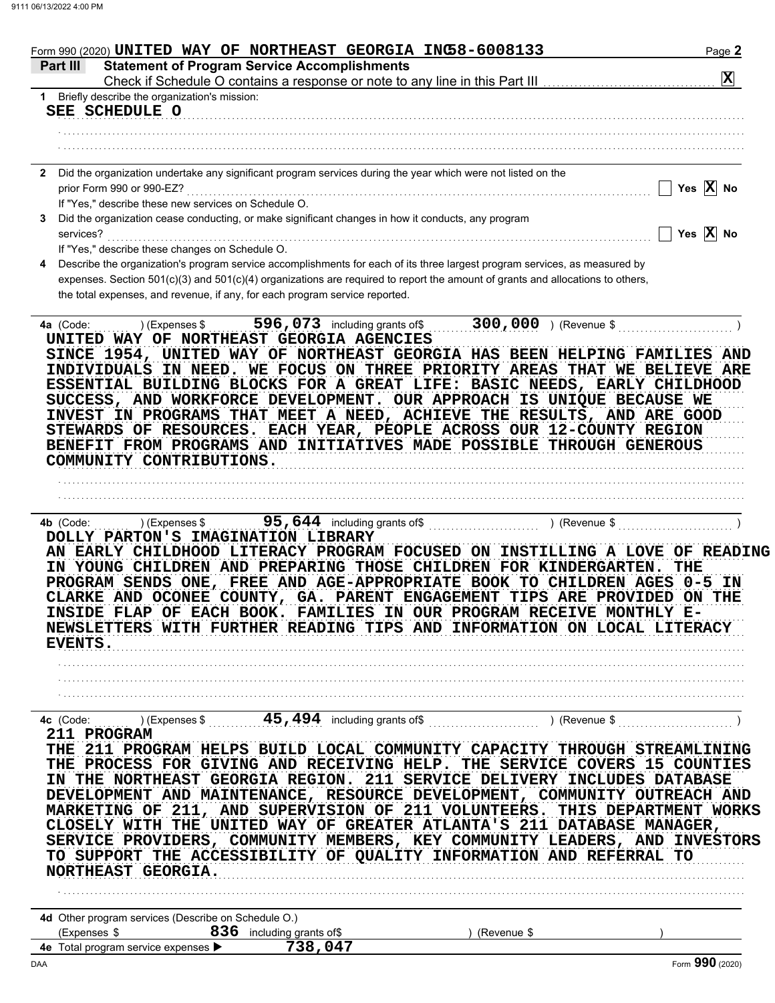| Form 990 (2020) UNITED WAY OF NORTHEAST GEORGIA INC58-6008133                                                                                                                                                                                                                                                                                                                                                                                                                                                                                                                                                                                                                           | Page 2                |
|-----------------------------------------------------------------------------------------------------------------------------------------------------------------------------------------------------------------------------------------------------------------------------------------------------------------------------------------------------------------------------------------------------------------------------------------------------------------------------------------------------------------------------------------------------------------------------------------------------------------------------------------------------------------------------------------|-----------------------|
| <b>Statement of Program Service Accomplishments</b><br>Part III                                                                                                                                                                                                                                                                                                                                                                                                                                                                                                                                                                                                                         | $\mathbf{X}$          |
| 1 Briefly describe the organization's mission:                                                                                                                                                                                                                                                                                                                                                                                                                                                                                                                                                                                                                                          |                       |
| SEE SCHEDULE O                                                                                                                                                                                                                                                                                                                                                                                                                                                                                                                                                                                                                                                                          |                       |
|                                                                                                                                                                                                                                                                                                                                                                                                                                                                                                                                                                                                                                                                                         |                       |
|                                                                                                                                                                                                                                                                                                                                                                                                                                                                                                                                                                                                                                                                                         |                       |
| 2 Did the organization undertake any significant program services during the year which were not listed on the                                                                                                                                                                                                                                                                                                                                                                                                                                                                                                                                                                          |                       |
| prior Form 990 or 990-EZ?                                                                                                                                                                                                                                                                                                                                                                                                                                                                                                                                                                                                                                                               | Yes $\overline{X}$ No |
| If "Yes," describe these new services on Schedule O.<br>Did the organization cease conducting, or make significant changes in how it conducts, any program<br>3                                                                                                                                                                                                                                                                                                                                                                                                                                                                                                                         |                       |
| services?                                                                                                                                                                                                                                                                                                                                                                                                                                                                                                                                                                                                                                                                               | Yes $\overline{X}$ No |
| If "Yes," describe these changes on Schedule O.                                                                                                                                                                                                                                                                                                                                                                                                                                                                                                                                                                                                                                         |                       |
| Describe the organization's program service accomplishments for each of its three largest program services, as measured by<br>4<br>expenses. Section 501(c)(3) and 501(c)(4) organizations are required to report the amount of grants and allocations to others,<br>the total expenses, and revenue, if any, for each program service reported.                                                                                                                                                                                                                                                                                                                                        |                       |
| ) (Expenses $\frac{1}{2}$ 596,073 including grants of $\frac{300,000}{1}$ (Revenue \$<br>4a (Code:<br>UNITED WAY OF NORTHEAST GEORGIA AGENCIES<br>SINCE 1954, UNITED WAY OF NORTHEAST GEORGIA HAS BEEN HELPING FAMILIES AND<br>INDIVIDUALS IN NEED. WE FOCUS ON THREE PRIORITY AREAS THAT WE BELIEVE ARE<br>ESSENTIAL BUILDING BLOCKS FOR A GREAT LIFE: BASIC NEEDS, EARLY CHILDHOOD<br>SUCCESS, AND WORKFORCE DEVELOPMENT. OUR APPROACH IS UNIQUE BECAUSE WE<br>INVEST IN PROGRAMS THAT MEET A NEED, ACHIEVE THE RESULTS, AND ARE GOOD<br>STEWARDS OF RESOURCES. EACH YEAR, PEOPLE ACROSS OUR 12-COUNTY REGION<br>BENEFIT FROM PROGRAMS AND INITIATIVES MADE POSSIBLE THROUGH GENEROUS |                       |
| COMMUNITY CONTRIBUTIONS.                                                                                                                                                                                                                                                                                                                                                                                                                                                                                                                                                                                                                                                                |                       |
|                                                                                                                                                                                                                                                                                                                                                                                                                                                                                                                                                                                                                                                                                         |                       |
| ) (Expenses \$<br>4b (Code:<br>DOLLY PARTON'S IMAGINATION LIBRARY<br>AN EARLY CHILDHOOD LITERACY PROGRAM FOCUSED ON INSTILLING A LOVE OF READING<br>IN YOUNG CHILDREN AND PREPARING THOSE CHILDREN FOR KINDERGARTEN.<br>PROGRAM SENDS ONE, FREE AND AGE-APPROPRIATE BOOK TO CHILDREN AGES 0-5 IN<br>CLARKE AND OCONEE COUNTY, GA. PARENT ENGAGEMENT TIPS ARE PROVIDED ON THE<br>INSIDE FLAP OF EACH BOOK. FAMILIES IN OUR PROGRAM RECEIVE MONTHLY E-<br>NEWSLETTERS WITH FURTHER READING TIPS AND INFORMATION ON LOCAL LITERACY<br><b>EVENTS.</b>                                                                                                                                       | THE                   |
| 4c (Code: $($ ) (Expenses \$ $($ 45, 494 including grants of \$ $($ $)$ (Revenue \$ $($ $)$                                                                                                                                                                                                                                                                                                                                                                                                                                                                                                                                                                                             |                       |
| 211 PROGRAM<br>THE 211 PROGRAM HELPS BUILD LOCAL COMMUNITY CAPACITY THROUGH STREAMLINING<br>THE PROCESS FOR GIVING AND RECEIVING HELP. THE SERVICE COVERS 15 COUNTIES<br>IN THE NORTHEAST GEORGIA REGION. 211 SERVICE DELIVERY INCLUDES DATABASE<br>DEVELOPMENT AND MAINTENANCE, RESOURCE DEVELOPMENT, COMMUNITY OUTREACH AND<br>MARKETING OF 211, AND SUPERVISION OF 211 VOLUNTEERS. THIS DEPARTMENT WORKS<br>CLOSELY WITH THE UNITED WAY OF GREATER ATLANTA'S 211 DATABASE MANAGER,<br>SERVICE PROVIDERS, COMMUNITY MEMBERS, KEY COMMUNITY LEADERS, AND INVESTORS<br>TO SUPPORT THE ACCESSIBILITY OF QUALITY INFORMATION AND REFERRAL TO<br>NORTHEAST GEORGIA.                        |                       |
| 4d Other program services (Describe on Schedule O.)                                                                                                                                                                                                                                                                                                                                                                                                                                                                                                                                                                                                                                     |                       |
| (Expenses \$<br>836 including grants of \$<br>(Revenue \$                                                                                                                                                                                                                                                                                                                                                                                                                                                                                                                                                                                                                               |                       |
| 4e Total program service expenses ><br>738,047                                                                                                                                                                                                                                                                                                                                                                                                                                                                                                                                                                                                                                          | nnn                   |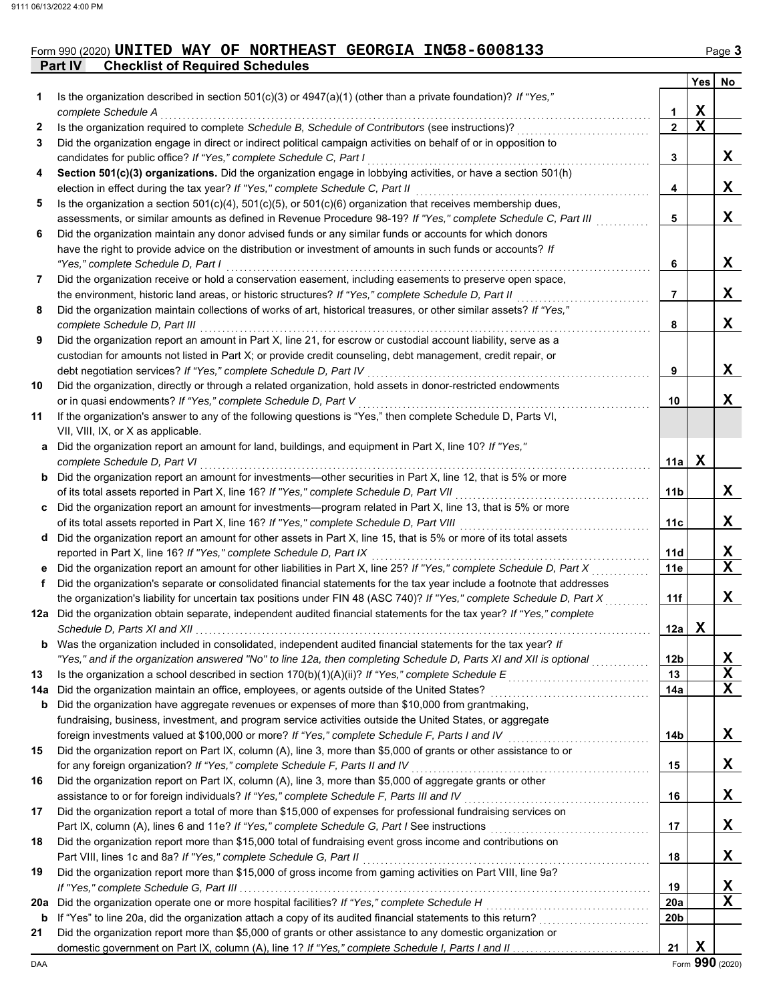# Form 990 (2020) UNITED WAY OF NORTHEAST GEORGIA INC58-6008133 Page 3

**Part IV Checklist of Required Schedules**

|     |                                                                                                                                                                                                                                      |              | <b>Yes</b>  | No |
|-----|--------------------------------------------------------------------------------------------------------------------------------------------------------------------------------------------------------------------------------------|--------------|-------------|----|
| 1   | Is the organization described in section $501(c)(3)$ or $4947(a)(1)$ (other than a private foundation)? If "Yes,"                                                                                                                    |              |             |    |
|     | complete Schedule A                                                                                                                                                                                                                  | 1            | х           |    |
| 2   | Is the organization required to complete Schedule B, Schedule of Contributors (see instructions)?                                                                                                                                    | $\mathbf{2}$ | $\mathbf x$ |    |
| 3   | Did the organization engage in direct or indirect political campaign activities on behalf of or in opposition to                                                                                                                     |              |             |    |
|     | candidates for public office? If "Yes," complete Schedule C, Part I                                                                                                                                                                  | 3            |             | X. |
| 4   | Section 501(c)(3) organizations. Did the organization engage in lobbying activities, or have a section 501(h)                                                                                                                        |              |             |    |
|     | election in effect during the tax year? If "Yes," complete Schedule C, Part II                                                                                                                                                       | 4            |             | x  |
| 5   | Is the organization a section $501(c)(4)$ , $501(c)(5)$ , or $501(c)(6)$ organization that receives membership dues,                                                                                                                 |              |             |    |
|     | assessments, or similar amounts as defined in Revenue Procedure 98-19? If "Yes," complete Schedule C, Part III                                                                                                                       | 5            |             | X  |
| 6   | Did the organization maintain any donor advised funds or any similar funds or accounts for which donors                                                                                                                              |              |             |    |
|     | have the right to provide advice on the distribution or investment of amounts in such funds or accounts? If                                                                                                                          |              |             |    |
|     | "Yes," complete Schedule D, Part I                                                                                                                                                                                                   | 6            |             | X. |
| 7   | Did the organization receive or hold a conservation easement, including easements to preserve open space,                                                                                                                            |              |             |    |
|     | the environment, historic land areas, or historic structures? If "Yes," complete Schedule D, Part II                                                                                                                                 | 7            |             | x  |
| 8   | Did the organization maintain collections of works of art, historical treasures, or other similar assets? If "Yes,"                                                                                                                  |              |             |    |
|     | complete Schedule D, Part III                                                                                                                                                                                                        | 8            |             | x  |
| 9   | Did the organization report an amount in Part X, line 21, for escrow or custodial account liability, serve as a                                                                                                                      |              |             |    |
|     | custodian for amounts not listed in Part X; or provide credit counseling, debt management, credit repair, or                                                                                                                         |              |             |    |
|     | debt negotiation services? If "Yes," complete Schedule D, Part IV                                                                                                                                                                    | 9            |             | X. |
| 10  | Did the organization, directly or through a related organization, hold assets in donor-restricted endowments                                                                                                                         |              |             |    |
|     | or in quasi endowments? If "Yes," complete Schedule D, Part V                                                                                                                                                                        | 10           |             | x  |
| 11  | If the organization's answer to any of the following questions is "Yes," then complete Schedule D, Parts VI,                                                                                                                         |              |             |    |
|     | VII, VIII, IX, or X as applicable.                                                                                                                                                                                                   |              |             |    |
|     | a Did the organization report an amount for land, buildings, and equipment in Part X, line 10? If "Yes,"                                                                                                                             |              |             |    |
|     | complete Schedule D, Part VI                                                                                                                                                                                                         | 11a          | х           |    |
|     | <b>b</b> Did the organization report an amount for investments—other securities in Part X, line 12, that is 5% or more                                                                                                               |              |             |    |
|     | of its total assets reported in Part X, line 16? If "Yes," complete Schedule D, Part VII                                                                                                                                             | 11b          |             | X. |
| C   | Did the organization report an amount for investments—program related in Part X, line 13, that is 5% or more                                                                                                                         |              |             | x  |
|     | of its total assets reported in Part X, line 16? If "Yes," complete Schedule D, Part VIII [[[[[[[[[[[[[[[[[[[<br>d Did the organization report an amount for other assets in Part X, line 15, that is 5% or more of its total assets | 11c          |             |    |
|     | reported in Part X, line 16? If "Yes," complete Schedule D, Part IX                                                                                                                                                                  | 11d          |             | X  |
| е   | Did the organization report an amount for other liabilities in Part X, line 25? If "Yes," complete Schedule D, Part X                                                                                                                | 11e          |             | X  |
| f   | Did the organization's separate or consolidated financial statements for the tax year include a footnote that addresses                                                                                                              |              |             |    |
|     | the organization's liability for uncertain tax positions under FIN 48 (ASC 740)? If "Yes," complete Schedule D, Part X                                                                                                               | 11f          |             | x  |
| 12a | Did the organization obtain separate, independent audited financial statements for the tax year? If "Yes," complete                                                                                                                  |              |             |    |
|     |                                                                                                                                                                                                                                      | 12a          | x           |    |
| b   | Was the organization included in consolidated, independent audited financial statements for the tax year? If                                                                                                                         |              |             |    |
|     | "Yes," and if the organization answered "No" to line 12a, then completing Schedule D, Parts XI and XII is optional                                                                                                                   | 12b          |             | X  |
| 13  |                                                                                                                                                                                                                                      | 13           |             | X  |
| 14a | Did the organization maintain an office, employees, or agents outside of the United States?                                                                                                                                          | 14a          |             | х  |
| b   | Did the organization have aggregate revenues or expenses of more than \$10,000 from grantmaking,                                                                                                                                     |              |             |    |
|     | fundraising, business, investment, and program service activities outside the United States, or aggregate                                                                                                                            |              |             |    |
|     | foreign investments valued at \$100,000 or more? If "Yes," complete Schedule F, Parts I and IV [[[[[[[[[[[[[[[                                                                                                                       | 14b          |             | X. |
| 15  | Did the organization report on Part IX, column (A), line 3, more than \$5,000 of grants or other assistance to or                                                                                                                    |              |             |    |
|     | for any foreign organization? If "Yes," complete Schedule F, Parts II and IV                                                                                                                                                         | 15           |             | X. |
| 16  | Did the organization report on Part IX, column (A), line 3, more than \$5,000 of aggregate grants or other                                                                                                                           |              |             |    |
|     | assistance to or for foreign individuals? If "Yes," complete Schedule F, Parts III and IV                                                                                                                                            | 16           |             | X. |
| 17  | Did the organization report a total of more than \$15,000 of expenses for professional fundraising services on                                                                                                                       |              |             |    |
|     |                                                                                                                                                                                                                                      | 17           |             | X. |
| 18  | Did the organization report more than \$15,000 total of fundraising event gross income and contributions on                                                                                                                          |              |             |    |
|     | Part VIII, lines 1c and 8a? If "Yes," complete Schedule G, Part II                                                                                                                                                                   | 18           |             | X. |
| 19  | Did the organization report more than \$15,000 of gross income from gaming activities on Part VIII, line 9a?                                                                                                                         |              |             |    |
|     |                                                                                                                                                                                                                                      | 19           |             | X  |
| 20a | Did the organization operate one or more hospital facilities? If "Yes," complete Schedule H                                                                                                                                          | 20a          |             | х  |
| b   |                                                                                                                                                                                                                                      | 20b          |             |    |
| 21  | Did the organization report more than \$5,000 of grants or other assistance to any domestic organization or                                                                                                                          |              |             |    |
|     | domestic government on Part IX, column (A), line 1? If "Yes," complete Schedule I, Parts I and II                                                                                                                                    | 21           | X           |    |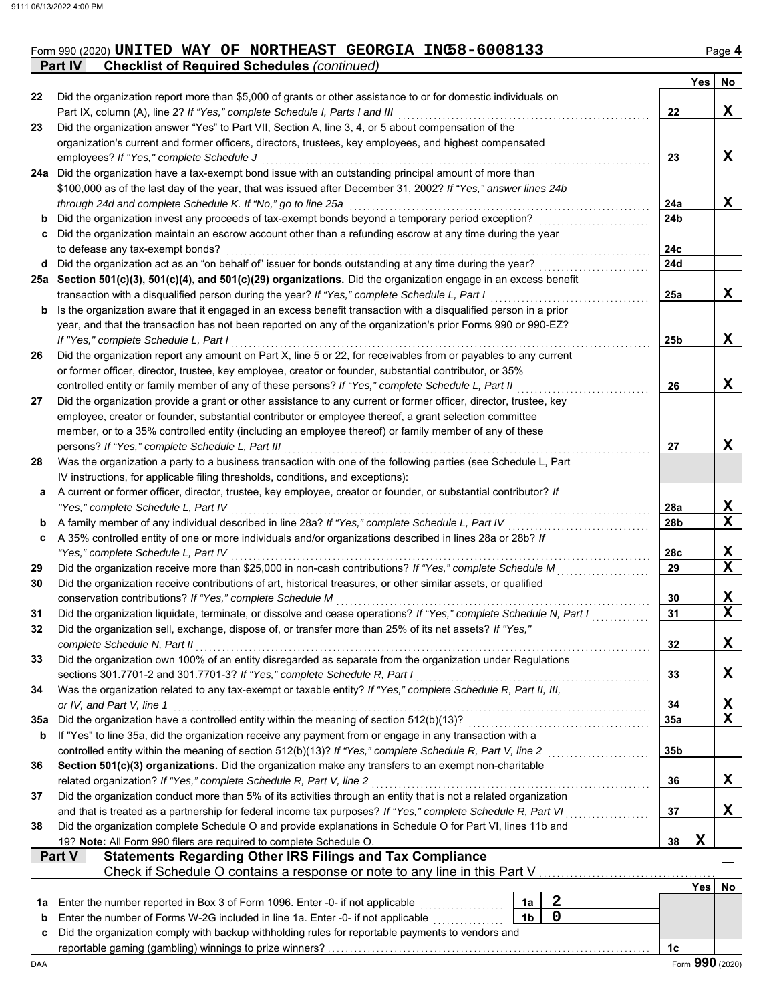#### Form 990 (2020) Page **4 UNITED WAY OF NORTHEAST GEORGIA INC58-6008133**

**Part IV Checklist of Required Schedules** *(continued)*

|     |                                                                                                                                                                                                                   |                 | Yes | No          |  |  |  |  |  |
|-----|-------------------------------------------------------------------------------------------------------------------------------------------------------------------------------------------------------------------|-----------------|-----|-------------|--|--|--|--|--|
| 22  | Did the organization report more than \$5,000 of grants or other assistance to or for domestic individuals on                                                                                                     |                 |     |             |  |  |  |  |  |
|     | Part IX, column (A), line 2? If "Yes," complete Schedule I, Parts I and III                                                                                                                                       | 22              |     | X           |  |  |  |  |  |
| 23  | Did the organization answer "Yes" to Part VII, Section A, line 3, 4, or 5 about compensation of the                                                                                                               |                 |     |             |  |  |  |  |  |
|     | organization's current and former officers, directors, trustees, key employees, and highest compensated                                                                                                           |                 |     |             |  |  |  |  |  |
|     | employees? If "Yes," complete Schedule J                                                                                                                                                                          | 23              |     | X           |  |  |  |  |  |
| 24a | Did the organization have a tax-exempt bond issue with an outstanding principal amount of more than                                                                                                               |                 |     |             |  |  |  |  |  |
|     | \$100,000 as of the last day of the year, that was issued after December 31, 2002? If "Yes," answer lines 24b                                                                                                     |                 |     |             |  |  |  |  |  |
|     | through 24d and complete Schedule K. If "No," go to line 25a                                                                                                                                                      | 24a             |     | X           |  |  |  |  |  |
| b   | Did the organization invest any proceeds of tax-exempt bonds beyond a temporary period exception?                                                                                                                 | 24b             |     |             |  |  |  |  |  |
| c   | Did the organization maintain an escrow account other than a refunding escrow at any time during the year                                                                                                         |                 |     |             |  |  |  |  |  |
|     | to defease any tax-exempt bonds?                                                                                                                                                                                  | 24c             |     |             |  |  |  |  |  |
| d   | Did the organization act as an "on behalf of" issuer for bonds outstanding at any time during the year?                                                                                                           | 24d             |     |             |  |  |  |  |  |
| 25а | Section 501(c)(3), 501(c)(4), and 501(c)(29) organizations. Did the organization engage in an excess benefit                                                                                                      |                 |     | X           |  |  |  |  |  |
|     | transaction with a disqualified person during the year? If "Yes," complete Schedule L, Part I<br>Is the organization aware that it engaged in an excess benefit transaction with a disqualified person in a prior | 25a             |     |             |  |  |  |  |  |
| b   | year, and that the transaction has not been reported on any of the organization's prior Forms 990 or 990-EZ?                                                                                                      |                 |     |             |  |  |  |  |  |
|     | If "Yes," complete Schedule L, Part I                                                                                                                                                                             | 25b             |     | X           |  |  |  |  |  |
| 26  | Did the organization report any amount on Part X, line 5 or 22, for receivables from or payables to any current                                                                                                   |                 |     |             |  |  |  |  |  |
|     | or former officer, director, trustee, key employee, creator or founder, substantial contributor, or 35%                                                                                                           |                 |     |             |  |  |  |  |  |
|     | controlled entity or family member of any of these persons? If "Yes," complete Schedule L, Part II                                                                                                                | 26              |     | X           |  |  |  |  |  |
| 27  | Did the organization provide a grant or other assistance to any current or former officer, director, trustee, key                                                                                                 |                 |     |             |  |  |  |  |  |
|     | employee, creator or founder, substantial contributor or employee thereof, a grant selection committee                                                                                                            |                 |     |             |  |  |  |  |  |
|     | member, or to a 35% controlled entity (including an employee thereof) or family member of any of these                                                                                                            |                 |     |             |  |  |  |  |  |
|     | persons? If "Yes," complete Schedule L, Part III                                                                                                                                                                  | 27              |     | X           |  |  |  |  |  |
| 28  | Was the organization a party to a business transaction with one of the following parties (see Schedule L, Part                                                                                                    |                 |     |             |  |  |  |  |  |
|     | IV instructions, for applicable filing thresholds, conditions, and exceptions):                                                                                                                                   |                 |     |             |  |  |  |  |  |
| а   | A current or former officer, director, trustee, key employee, creator or founder, or substantial contributor? If                                                                                                  |                 |     |             |  |  |  |  |  |
|     | "Yes," complete Schedule L, Part IV                                                                                                                                                                               | 28a             |     | X           |  |  |  |  |  |
| b   | A family member of any individual described in line 28a? If "Yes," complete Schedule L, Part IV                                                                                                                   | 28b             |     | $\mathbf X$ |  |  |  |  |  |
| c   | A 35% controlled entity of one or more individuals and/or organizations described in lines 28a or 28b? If                                                                                                         |                 |     |             |  |  |  |  |  |
|     | "Yes," complete Schedule L, Part IV                                                                                                                                                                               | 28c             |     | X           |  |  |  |  |  |
| 29  | Did the organization receive more than \$25,000 in non-cash contributions? If "Yes," complete Schedule M                                                                                                          | 29              |     | $\mathbf X$ |  |  |  |  |  |
| 30  | Did the organization receive contributions of art, historical treasures, or other similar assets, or qualified                                                                                                    |                 |     |             |  |  |  |  |  |
|     | conservation contributions? If "Yes," complete Schedule M                                                                                                                                                         | 30              |     | X           |  |  |  |  |  |
| 31  | Did the organization liquidate, terminate, or dissolve and cease operations? If "Yes," complete Schedule N, Part I                                                                                                | 31              |     | $\mathbf X$ |  |  |  |  |  |
| 32  | Did the organization sell, exchange, dispose of, or transfer more than 25% of its net assets? If "Yes,"                                                                                                           |                 |     |             |  |  |  |  |  |
|     | complete Schedule N, Part II                                                                                                                                                                                      | 32              |     | X           |  |  |  |  |  |
| 33  | Did the organization own 100% of an entity disregarded as separate from the organization under Regulations                                                                                                        |                 |     |             |  |  |  |  |  |
|     | sections 301.7701-2 and 301.7701-3? If "Yes," complete Schedule R, Part I                                                                                                                                         | 33              |     | X           |  |  |  |  |  |
| 34  | Was the organization related to any tax-exempt or taxable entity? If "Yes," complete Schedule R, Part II, III,<br>or IV, and Part V, line 1                                                                       | 34              |     | X           |  |  |  |  |  |
| 35a | Did the organization have a controlled entity within the meaning of section 512(b)(13)?                                                                                                                           | 35a             |     | $\mathbf X$ |  |  |  |  |  |
| b   | If "Yes" to line 35a, did the organization receive any payment from or engage in any transaction with a                                                                                                           |                 |     |             |  |  |  |  |  |
|     | controlled entity within the meaning of section 512(b)(13)? If "Yes," complete Schedule R, Part V, line 2                                                                                                         | 35 <sub>b</sub> |     |             |  |  |  |  |  |
| 36  | Section 501(c)(3) organizations. Did the organization make any transfers to an exempt non-charitable                                                                                                              |                 |     |             |  |  |  |  |  |
|     | related organization? If "Yes," complete Schedule R, Part V, line 2                                                                                                                                               | 36              |     | X           |  |  |  |  |  |
| 37  | Did the organization conduct more than 5% of its activities through an entity that is not a related organization                                                                                                  |                 |     |             |  |  |  |  |  |
|     | and that is treated as a partnership for federal income tax purposes? If "Yes," complete Schedule R, Part VI                                                                                                      |                 |     |             |  |  |  |  |  |
| 38  | Did the organization complete Schedule O and provide explanations in Schedule O for Part VI, lines 11b and                                                                                                        |                 |     | Х           |  |  |  |  |  |
|     | 19? Note: All Form 990 filers are required to complete Schedule O.                                                                                                                                                | 38              | X   |             |  |  |  |  |  |
|     | <b>Statements Regarding Other IRS Filings and Tax Compliance</b><br>Part V                                                                                                                                        |                 |     |             |  |  |  |  |  |
|     | Check if Schedule O contains a response or note to any line in this Part V                                                                                                                                        |                 |     |             |  |  |  |  |  |
|     |                                                                                                                                                                                                                   |                 | Yes | No          |  |  |  |  |  |
| 1a  | $\mathbf{2}$<br>Enter the number reported in Box 3 of Form 1096. Enter -0- if not applicable<br>1a                                                                                                                |                 |     |             |  |  |  |  |  |
| b   | $\mathbf 0$<br>1 <sub>b</sub><br>Enter the number of Forms W-2G included in line 1a. Enter -0- if not applicable                                                                                                  |                 |     |             |  |  |  |  |  |
| c   | Did the organization comply with backup withholding rules for reportable payments to vendors and                                                                                                                  |                 |     |             |  |  |  |  |  |
|     |                                                                                                                                                                                                                   | 1 <sub>c</sub>  |     |             |  |  |  |  |  |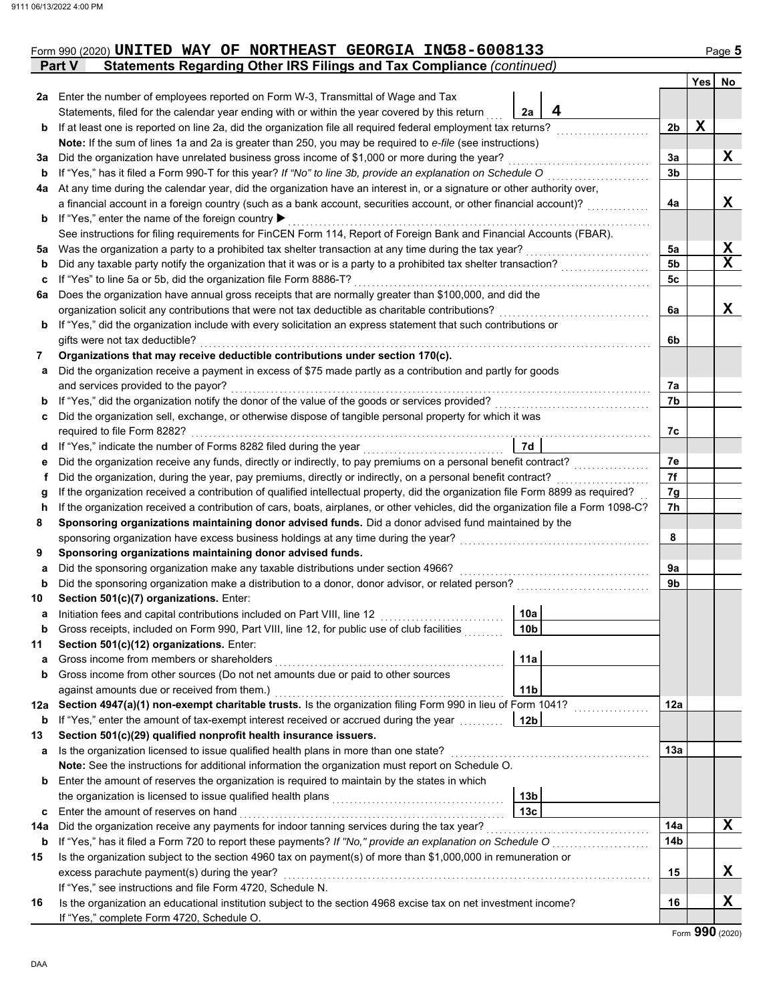|         | Form 990 (2020) UNITED WAY OF NORTHEAST GEORGIA INC58-6008133                                                                                                                                                                   |                 |                |   | Page 5      |  |  |  |  |  |  |
|---------|---------------------------------------------------------------------------------------------------------------------------------------------------------------------------------------------------------------------------------|-----------------|----------------|---|-------------|--|--|--|--|--|--|
|         | Statements Regarding Other IRS Filings and Tax Compliance (continued)<br><b>Part V</b>                                                                                                                                          |                 |                |   |             |  |  |  |  |  |  |
|         |                                                                                                                                                                                                                                 |                 |                |   | Yes No      |  |  |  |  |  |  |
|         | 2a Enter the number of employees reported on Form W-3, Transmittal of Wage and Tax                                                                                                                                              |                 |                |   |             |  |  |  |  |  |  |
|         | Statements, filed for the calendar year ending with or within the year covered by this return                                                                                                                                   | 4<br>2a         |                |   |             |  |  |  |  |  |  |
| b       | If at least one is reported on line 2a, did the organization file all required federal employment tax returns?                                                                                                                  |                 | 2 <sub>b</sub> | X |             |  |  |  |  |  |  |
|         | Note: If the sum of lines 1a and 2a is greater than 250, you may be required to e-file (see instructions)                                                                                                                       |                 |                |   |             |  |  |  |  |  |  |
| За      | Did the organization have unrelated business gross income of \$1,000 or more during the year?                                                                                                                                   |                 |                |   |             |  |  |  |  |  |  |
| b       | If "Yes," has it filed a Form 990-T for this year? If "No" to line 3b, provide an explanation on Schedule O                                                                                                                     |                 |                |   |             |  |  |  |  |  |  |
| 4a      | At any time during the calendar year, did the organization have an interest in, or a signature or other authority over,                                                                                                         |                 |                |   |             |  |  |  |  |  |  |
|         | a financial account in a foreign country (such as a bank account, securities account, or other financial account)?                                                                                                              |                 | 4a             |   | X           |  |  |  |  |  |  |
| b       | If "Yes," enter the name of the foreign country ▶                                                                                                                                                                               |                 |                |   |             |  |  |  |  |  |  |
|         | See instructions for filing requirements for FinCEN Form 114, Report of Foreign Bank and Financial Accounts (FBAR).                                                                                                             |                 |                |   |             |  |  |  |  |  |  |
| 5a      | Was the organization a party to a prohibited tax shelter transaction at any time during the tax year?                                                                                                                           |                 | 5a             |   | X           |  |  |  |  |  |  |
| b       | Did any taxable party notify the organization that it was or is a party to a prohibited tax shelter transaction?                                                                                                                |                 | 5b             |   | $\mathbf x$ |  |  |  |  |  |  |
| c       | If "Yes" to line 5a or 5b, did the organization file Form 8886-T?                                                                                                                                                               |                 | 5c             |   |             |  |  |  |  |  |  |
| 6а      | Does the organization have annual gross receipts that are normally greater than \$100,000, and did the                                                                                                                          |                 |                |   |             |  |  |  |  |  |  |
|         | organization solicit any contributions that were not tax deductible as charitable contributions?                                                                                                                                |                 | 6a             |   | X           |  |  |  |  |  |  |
| b       | If "Yes," did the organization include with every solicitation an express statement that such contributions or                                                                                                                  |                 |                |   |             |  |  |  |  |  |  |
|         | gifts were not tax deductible?                                                                                                                                                                                                  |                 | 6b             |   |             |  |  |  |  |  |  |
| 7       | Organizations that may receive deductible contributions under section 170(c).                                                                                                                                                   |                 |                |   |             |  |  |  |  |  |  |
| a       | Did the organization receive a payment in excess of \$75 made partly as a contribution and partly for goods                                                                                                                     |                 |                |   |             |  |  |  |  |  |  |
|         | and services provided to the payor?                                                                                                                                                                                             |                 | 7a             |   |             |  |  |  |  |  |  |
| b       | If "Yes," did the organization notify the donor of the value of the goods or services provided?                                                                                                                                 |                 | 7b             |   |             |  |  |  |  |  |  |
| c       | Did the organization sell, exchange, or otherwise dispose of tangible personal property for which it was                                                                                                                        |                 |                |   |             |  |  |  |  |  |  |
|         | required to file Form 8282?                                                                                                                                                                                                     | 7d              | 7c             |   |             |  |  |  |  |  |  |
| d       |                                                                                                                                                                                                                                 |                 |                |   |             |  |  |  |  |  |  |
| е<br>f. | Did the organization receive any funds, directly or indirectly, to pay premiums on a personal benefit contract?<br>Did the organization, during the year, pay premiums, directly or indirectly, on a personal benefit contract? |                 | 7e<br>7f       |   |             |  |  |  |  |  |  |
|         | If the organization received a contribution of qualified intellectual property, did the organization file Form 8899 as required?                                                                                                |                 | 7g             |   |             |  |  |  |  |  |  |
| g<br>h  | If the organization received a contribution of cars, boats, airplanes, or other vehicles, did the organization file a Form 1098-C?                                                                                              |                 | 7h             |   |             |  |  |  |  |  |  |
| 8       | Sponsoring organizations maintaining donor advised funds. Did a donor advised fund maintained by the                                                                                                                            |                 |                |   |             |  |  |  |  |  |  |
|         | sponsoring organization have excess business holdings at any time during the year?                                                                                                                                              |                 | 8              |   |             |  |  |  |  |  |  |
| 9       | Sponsoring organizations maintaining donor advised funds.                                                                                                                                                                       |                 |                |   |             |  |  |  |  |  |  |
| a       | Did the sponsoring organization make any taxable distributions under section 4966?                                                                                                                                              |                 | 9а             |   |             |  |  |  |  |  |  |
| b       | Did the sponsoring organization make a distribution to a donor, donor advisor, or related person?                                                                                                                               |                 | 9b             |   |             |  |  |  |  |  |  |
| 10      | Section 501(c)(7) organizations. Enter:                                                                                                                                                                                         |                 |                |   |             |  |  |  |  |  |  |
|         | Initiation fees and capital contributions included on Part VIII, line 12                                                                                                                                                        | 10a             |                |   |             |  |  |  |  |  |  |
| b       | Gross receipts, included on Form 990, Part VIII, line 12, for public use of club facilities                                                                                                                                     | 10 <sub>b</sub> |                |   |             |  |  |  |  |  |  |
| 11      | Section 501(c)(12) organizations. Enter:                                                                                                                                                                                        |                 |                |   |             |  |  |  |  |  |  |
| a       | Gross income from members or shareholders                                                                                                                                                                                       | 11a             |                |   |             |  |  |  |  |  |  |
| b       | Gross income from other sources (Do not net amounts due or paid to other sources                                                                                                                                                |                 |                |   |             |  |  |  |  |  |  |
|         | against amounts due or received from them.)                                                                                                                                                                                     | 11 <sub>b</sub> |                |   |             |  |  |  |  |  |  |
| 12a     | Section 4947(a)(1) non-exempt charitable trusts. Is the organization filing Form 990 in lieu of Form 1041?                                                                                                                      |                 | 12a            |   |             |  |  |  |  |  |  |
| b       | If "Yes," enter the amount of tax-exempt interest received or accrued during the year <i>minimal</i>                                                                                                                            | 12b             |                |   |             |  |  |  |  |  |  |
| 13      | Section 501(c)(29) qualified nonprofit health insurance issuers.                                                                                                                                                                |                 |                |   |             |  |  |  |  |  |  |
| a       | Is the organization licensed to issue qualified health plans in more than one state?                                                                                                                                            |                 | 13a            |   |             |  |  |  |  |  |  |
|         | Note: See the instructions for additional information the organization must report on Schedule O.                                                                                                                               |                 |                |   |             |  |  |  |  |  |  |
| b       | Enter the amount of reserves the organization is required to maintain by the states in which                                                                                                                                    |                 |                |   |             |  |  |  |  |  |  |
|         |                                                                                                                                                                                                                                 | 13 <sub>b</sub> |                |   |             |  |  |  |  |  |  |
| c       | Enter the amount of reserves on hand                                                                                                                                                                                            | 13 <sub>c</sub> |                |   |             |  |  |  |  |  |  |
| 14a     | Did the organization receive any payments for indoor tanning services during the tax year?                                                                                                                                      |                 | 14a            |   | $\mathbf X$ |  |  |  |  |  |  |
| b       | If "Yes," has it filed a Form 720 to report these payments? If "No," provide an explanation on Schedule O                                                                                                                       |                 | 14b            |   |             |  |  |  |  |  |  |
| 15      | Is the organization subject to the section 4960 tax on payment(s) of more than \$1,000,000 in remuneration or                                                                                                                   |                 |                |   |             |  |  |  |  |  |  |
|         | excess parachute payment(s) during the year?                                                                                                                                                                                    |                 | 15             |   | X           |  |  |  |  |  |  |
|         | If "Yes," see instructions and file Form 4720, Schedule N.                                                                                                                                                                      |                 |                |   |             |  |  |  |  |  |  |
| 16      | Is the organization an educational institution subject to the section 4968 excise tax on net investment income?                                                                                                                 |                 | 16             |   | X           |  |  |  |  |  |  |
|         | If "Yes," complete Form 4720, Schedule O.                                                                                                                                                                                       |                 |                |   |             |  |  |  |  |  |  |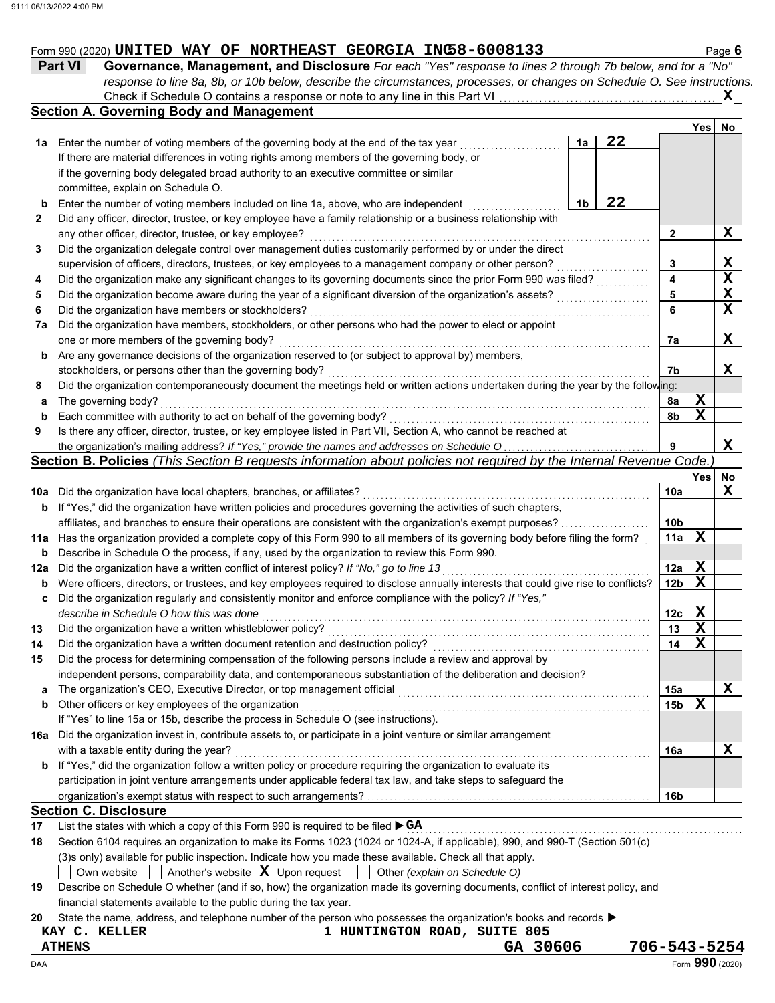## Form 990 (2020) UNITED WAY OF NORTHEAST GEORGIA INC58-6008133 Page 6

**Part VI** Governance, Management, and Disclosure *For each "Yes" response to lines 2 through 7b below, and for a "No response to line 8a, 8b, or 10b below, describe the circumstances, processes, or changes on Schedule O. See instructions.* Check if Schedule O contains a response or note to any line in this Part VI **X**

|     | <b>Section A. Governing Body and Management</b>                                                                                     |    |    |                 | Yes        | No.         |
|-----|-------------------------------------------------------------------------------------------------------------------------------------|----|----|-----------------|------------|-------------|
| 1а  | Enter the number of voting members of the governing body at the end of the tax year                                                 | 1a | 22 |                 |            |             |
|     | If there are material differences in voting rights among members of the governing body, or                                          |    |    |                 |            |             |
|     | if the governing body delegated broad authority to an executive committee or similar                                                |    |    |                 |            |             |
|     |                                                                                                                                     |    |    |                 |            |             |
|     | committee, explain on Schedule O.                                                                                                   |    | 22 |                 |            |             |
| b   | Enter the number of voting members included on line 1a, above, who are independent                                                  | 1b |    |                 |            |             |
| 2   | Did any officer, director, trustee, or key employee have a family relationship or a business relationship with                      |    |    |                 |            |             |
|     | any other officer, director, trustee, or key employee?                                                                              |    |    | 2               |            | X           |
| 3   | Did the organization delegate control over management duties customarily performed by or under the direct                           |    |    |                 |            |             |
|     | supervision of officers, directors, trustees, or key employees to a management company or other person?                             |    |    | 3               |            | X           |
| 4   | Did the organization make any significant changes to its governing documents since the prior Form 990 was filed?                    |    |    | 4               |            | $\mathbf X$ |
| 5   | Did the organization become aware during the year of a significant diversion of the organization's assets?                          |    |    | 5               |            | X           |
| 6   | Did the organization have members or stockholders?                                                                                  |    |    | 6               |            | $\mathbf X$ |
| 7a  | Did the organization have members, stockholders, or other persons who had the power to elect or appoint                             |    |    |                 |            |             |
|     | one or more members of the governing body?                                                                                          |    |    | 7a              |            | x           |
| b   | Are any governance decisions of the organization reserved to (or subject to approval by) members,                                   |    |    |                 |            |             |
|     | stockholders, or persons other than the governing body?                                                                             |    |    | 7b              |            | x           |
| 8   | Did the organization contemporaneously document the meetings held or written actions undertaken during the year by the following:   |    |    |                 |            |             |
| а   | The governing body?                                                                                                                 |    |    | 8а              | X          |             |
| b   | Each committee with authority to act on behalf of the governing body?                                                               |    |    | 8b              | X          |             |
| 9   | Is there any officer, director, trustee, or key employee listed in Part VII, Section A, who cannot be reached at                    |    |    |                 |            |             |
|     | the organization's mailing address? If "Yes," provide the names and addresses on Schedule O                                         |    |    | 9               |            | X           |
|     | Section B. Policies (This Section B requests information about policies not required by the Internal Revenue Code.                  |    |    |                 |            |             |
|     |                                                                                                                                     |    |    |                 | <b>Yes</b> | <b>No</b>   |
| 10a | Did the organization have local chapters, branches, or affiliates?                                                                  |    |    | 10a             |            | х           |
|     | If "Yes," did the organization have written policies and procedures governing the activities of such chapters,                      |    |    |                 |            |             |
| b   |                                                                                                                                     |    |    |                 |            |             |
|     | affiliates, and branches to ensure their operations are consistent with the organization's exempt purposes?                         |    |    | 10b             |            |             |
| 11a | Has the organization provided a complete copy of this Form 990 to all members of its governing body before filing the form?         |    |    | 11a             | X          |             |
| b   | Describe in Schedule O the process, if any, used by the organization to review this Form 990.                                       |    |    |                 |            |             |
| 12a | Did the organization have a written conflict of interest policy? If "No," go to line 13                                             |    |    | 12a             | Х          |             |
| b   | Were officers, directors, or trustees, and key employees required to disclose annually interests that could give rise to conflicts? |    |    | 12b             | X          |             |
| c   | Did the organization regularly and consistently monitor and enforce compliance with the policy? If "Yes,"                           |    |    |                 |            |             |
|     | describe in Schedule O how this was done                                                                                            |    |    | 12c             | X          |             |
| 13  | Did the organization have a written whistleblower policy?                                                                           |    |    | 13              | X          |             |
| 14  | Did the organization have a written document retention and destruction policy?                                                      |    |    | 14              | X          |             |
| 15  | Did the process for determining compensation of the following persons include a review and approval by                              |    |    |                 |            |             |
|     | independent persons, comparability data, and contemporaneous substantiation of the deliberation and decision?                       |    |    |                 |            |             |
| a   | The organization's CEO, Executive Director, or top management official                                                              |    |    | 15a             |            | X           |
| b   | Other officers or key employees of the organization                                                                                 |    |    | 15 <sub>b</sub> | X          |             |
|     | If "Yes" to line 15a or 15b, describe the process in Schedule O (see instructions).                                                 |    |    |                 |            |             |
| 16a | Did the organization invest in, contribute assets to, or participate in a joint venture or similar arrangement                      |    |    |                 |            |             |
|     | with a taxable entity during the year?                                                                                              |    |    | 16a             |            | x           |
| b   | If "Yes," did the organization follow a written policy or procedure requiring the organization to evaluate its                      |    |    |                 |            |             |
|     | participation in joint venture arrangements under applicable federal tax law, and take steps to safeguard the                       |    |    |                 |            |             |
|     |                                                                                                                                     |    |    |                 |            |             |
|     |                                                                                                                                     |    |    |                 |            |             |
|     |                                                                                                                                     |    |    | 16b             |            |             |
| 17  | <b>Section C. Disclosure</b><br>List the states with which a copy of this Form 990 is required to be filed ▶ GA                     |    |    |                 |            |             |

**18** Section 6104 requires an organization to make its Forms 1023 (1024 or 1024-A, if applicable), 990, and 990-T (Section 501(c)

(3)s only) available for public inspection. Indicate how you made these available. Check all that apply.

Own website  $\[\]$  Another's website  $\[\mathbf{X}\]$  Upon request  $\[\]$  Other *(explain on Schedule O)* 

| 19 Describe on Schedule O whether (and if so, how) the organization made its governing documents, conflict of interest policy, and |
|------------------------------------------------------------------------------------------------------------------------------------|
| financial statements available to the public during the tax year.                                                                  |

**20** State the name, address, and telephone number of the person who possesses the organization's books and records ▶

**KAY C. KELLER 1 HUNTINGTON ROAD, SUITE 805 ATHENS GA 30606 706-543-5254**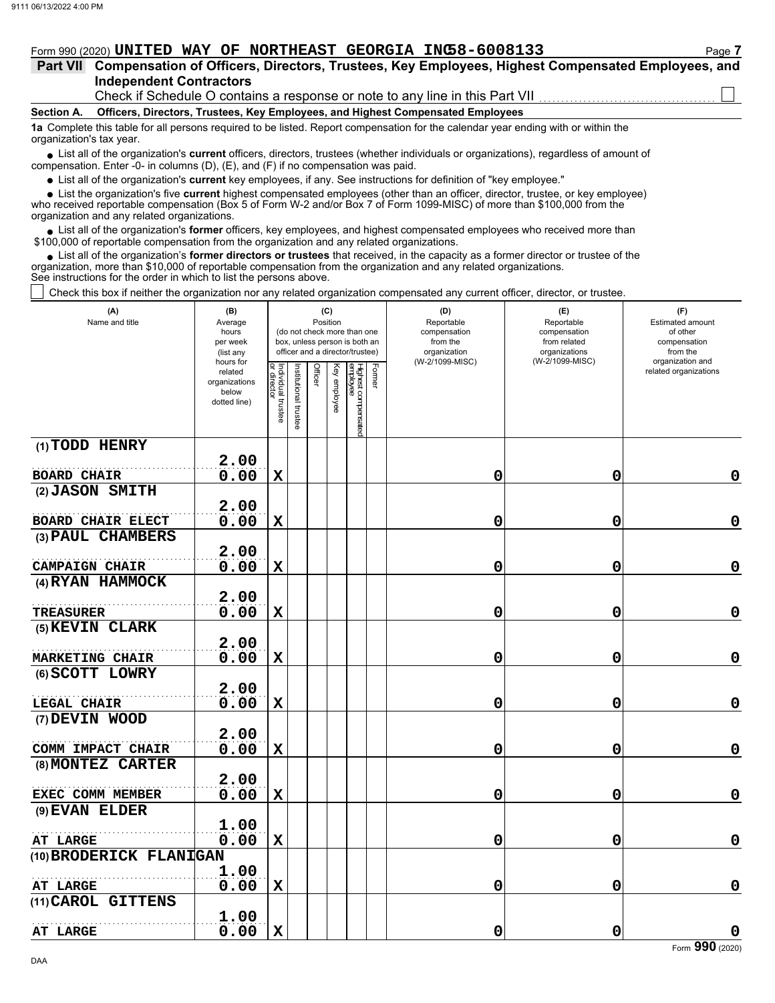## Form 990 (2020) **UNITED WAY OF NORTHEAST GEORGIA INC58-6008133**

| Part VII Compensation of Officers, Directors, Trustees, Key Employees, Highest Compensated Employees, and |  |  |  |  |
|-----------------------------------------------------------------------------------------------------------|--|--|--|--|
| <b>Independent Contractors</b>                                                                            |  |  |  |  |

Check if Schedule O contains a response or note to any line in this Part VII

#### **Section A. Officers, Directors, Trustees, Key Employees, and Highest Compensated Employees**

**1a** Complete this table for all persons required to be listed. Report compensation for the calendar year ending with or within the organization's tax year.

■ List all of the organization's **current** officers, directors, trustees (whether individuals or organizations), regardless of amount of compensation. Enter -0- in columns (D), (E), and (F) if no compensation was paid.

List all of the organization's **current** key employees, if any. See instructions for definition of "key employee."

■ List all of the organization's **current** key employees, if any. See instructions for definition of "key employee."<br>■ List the organization's five **current** highest compensated employees (other than an officer, director,

who received reportable compensation (Box 5 of Form W-2 and/or Box 7 of Form 1099-MISC) of more than \$100,000 from the organization and any related organizations.

• List all of the organization's **former** officers, key employees, and highest compensated employees who received more than<br>00,000 of reportable compensation from the organization and any related erganizations. \$100,000 of reportable compensation from the organization and any related organizations.

• List all of the organization's **former directors or trustees** that received, in the capacity as a former director or trustee of the anization more than \$10,000 of reportable compensation from the organization and any rel organization, more than \$10,000 of reportable compensation from the organization and any related organizations. See instructions for the order in which to list the persons above.

Check this box if neither the organization nor any related organization compensated any current officer, director, or trustee.

| (A)<br>Name and title              | (B)<br>Average<br>hours<br>per week<br>(list any               | (C)<br>Position<br>(do not check more than one<br>box, unless person is both an<br>officer and a director/trustee) |                             |         |              |                                           | (D)<br>Reportable<br>compensation<br>from the<br>organization | (E)<br>Reportable<br>compensation<br>from related<br>organizations<br>(W-2/1099-MISC) | (F)<br>Estimated amount<br>of other<br>compensation<br>from the |
|------------------------------------|----------------------------------------------------------------|--------------------------------------------------------------------------------------------------------------------|-----------------------------|---------|--------------|-------------------------------------------|---------------------------------------------------------------|---------------------------------------------------------------------------------------|-----------------------------------------------------------------|
|                                    | hours for<br>related<br>organizations<br>below<br>dotted line) | Individual trustee<br>or director                                                                                  | <b>Istitutional trustee</b> | Officer | Key employee | Former<br>Highest compensated<br>employee | (W-2/1099-MISC)                                               |                                                                                       | organization and<br>related organizations                       |
| (1) TODD HENRY                     |                                                                |                                                                                                                    |                             |         |              |                                           |                                                               |                                                                                       |                                                                 |
| <b>BOARD CHAIR</b>                 | 2.00<br>0.00                                                   | $\mathbf X$                                                                                                        |                             |         |              |                                           | 0                                                             | $\mathbf 0$                                                                           | $\mathbf 0$                                                     |
| (2) JASON SMITH                    |                                                                |                                                                                                                    |                             |         |              |                                           |                                                               |                                                                                       |                                                                 |
|                                    | 2.00                                                           |                                                                                                                    |                             |         |              |                                           |                                                               |                                                                                       |                                                                 |
| <b>BOARD CHAIR ELECT</b>           | 0.00                                                           | $\mathbf X$                                                                                                        |                             |         |              |                                           | 0                                                             | 0                                                                                     | $\mathbf 0$                                                     |
| (3) PAUL CHAMBERS                  | 2.00                                                           |                                                                                                                    |                             |         |              |                                           |                                                               |                                                                                       |                                                                 |
| <b>CAMPAIGN CHAIR</b>              | 0.00                                                           | $\mathbf X$                                                                                                        |                             |         |              |                                           | 0                                                             | 0                                                                                     | $\mathbf 0$                                                     |
| (4) RYAN HAMMOCK                   |                                                                |                                                                                                                    |                             |         |              |                                           |                                                               |                                                                                       |                                                                 |
|                                    | 2.00                                                           |                                                                                                                    |                             |         |              |                                           |                                                               |                                                                                       |                                                                 |
| <b>TREASURER</b>                   | 0.00                                                           | $\mathbf X$                                                                                                        |                             |         |              |                                           | 0                                                             | 0                                                                                     | $\mathbf 0$                                                     |
| (5) KEVIN CLARK                    |                                                                |                                                                                                                    |                             |         |              |                                           |                                                               |                                                                                       |                                                                 |
|                                    | 2.00                                                           |                                                                                                                    |                             |         |              |                                           |                                                               |                                                                                       | $\pmb{0}$                                                       |
| MARKETING CHAIR<br>(6) SCOTT LOWRY | 0.00                                                           | $\mathbf X$                                                                                                        |                             |         |              |                                           | 0                                                             | 0                                                                                     |                                                                 |
|                                    | 2.00                                                           |                                                                                                                    |                             |         |              |                                           |                                                               |                                                                                       |                                                                 |
| LEGAL CHAIR                        | 0.00                                                           | $\mathbf X$                                                                                                        |                             |         |              |                                           | 0                                                             | 0                                                                                     | $\mathbf 0$                                                     |
| (7) DEVIN WOOD                     |                                                                |                                                                                                                    |                             |         |              |                                           |                                                               |                                                                                       |                                                                 |
|                                    | 2.00                                                           |                                                                                                                    |                             |         |              |                                           |                                                               |                                                                                       |                                                                 |
| COMM IMPACT CHAIR                  | 0.00                                                           | $\mathbf X$                                                                                                        |                             |         |              |                                           | 0                                                             | 0                                                                                     | $\pmb{0}$                                                       |
| (8) MONTEZ CARTER                  | 2.00                                                           |                                                                                                                    |                             |         |              |                                           |                                                               |                                                                                       |                                                                 |
| EXEC COMM MEMBER                   | 0.00                                                           | $\mathbf X$                                                                                                        |                             |         |              |                                           | 0                                                             | 0                                                                                     | 0                                                               |
| (9) EVAN ELDER                     |                                                                |                                                                                                                    |                             |         |              |                                           |                                                               |                                                                                       |                                                                 |
|                                    | 1.00                                                           |                                                                                                                    |                             |         |              |                                           |                                                               |                                                                                       |                                                                 |
| AT LARGE                           | 0.00                                                           | $\mathbf X$                                                                                                        |                             |         |              |                                           | 0                                                             | 0                                                                                     | $\mathbf 0$                                                     |
| (10) BRODERICK FLANIGAN            |                                                                |                                                                                                                    |                             |         |              |                                           |                                                               |                                                                                       |                                                                 |
|                                    | 1.00                                                           |                                                                                                                    |                             |         |              |                                           |                                                               |                                                                                       |                                                                 |
| AT LARGE<br>(11) CAROL GITTENS     | 0.00                                                           | $\mathbf X$                                                                                                        |                             |         |              |                                           | 0                                                             | 0                                                                                     | 0                                                               |
|                                    | 1.00                                                           |                                                                                                                    |                             |         |              |                                           |                                                               |                                                                                       |                                                                 |
| AT LARGE                           | 0.00                                                           | $\mathbf X$                                                                                                        |                             |         |              |                                           | 0                                                             | $\mathbf 0$                                                                           | 0                                                               |
|                                    |                                                                |                                                                                                                    |                             |         |              |                                           |                                                               |                                                                                       | Form 990 (2020)                                                 |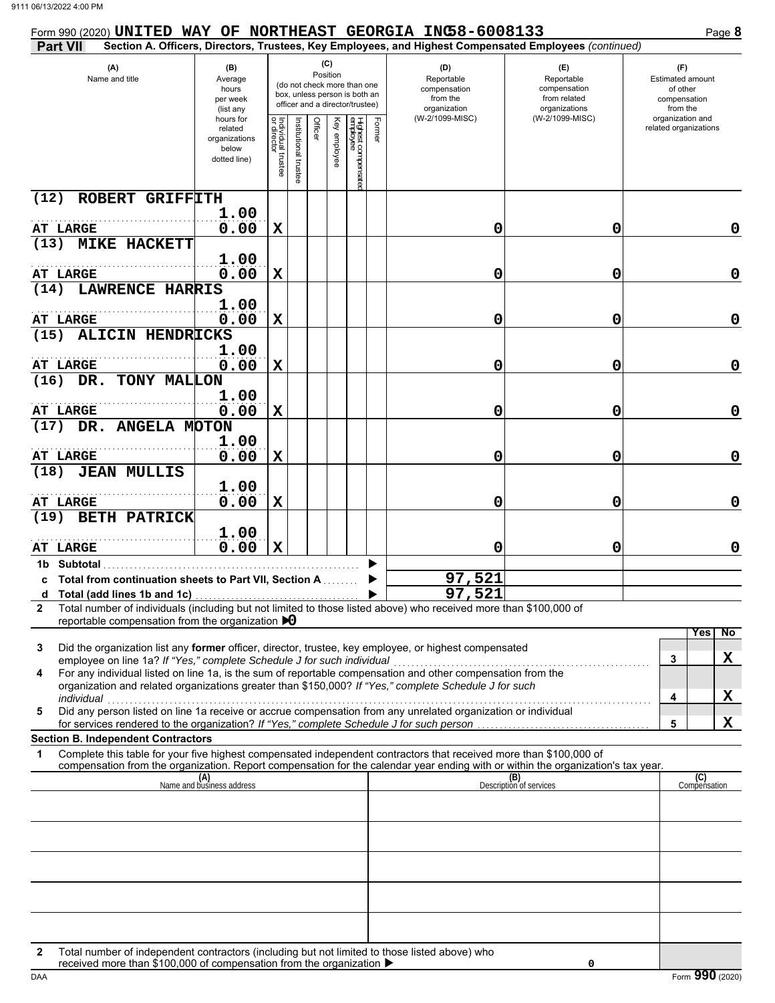| Form 990 (2020) UNITED WAY OF NORTHEAST GEORGIA INC58-6008133                                                                                                                                                                                                                                                                                                                                                     |                                                                |                                   |                         |         |                 |                                                                                                 |        |                                                                                                        |                                                                    | Page 8                                                          |
|-------------------------------------------------------------------------------------------------------------------------------------------------------------------------------------------------------------------------------------------------------------------------------------------------------------------------------------------------------------------------------------------------------------------|----------------------------------------------------------------|-----------------------------------|-------------------------|---------|-----------------|-------------------------------------------------------------------------------------------------|--------|--------------------------------------------------------------------------------------------------------|--------------------------------------------------------------------|-----------------------------------------------------------------|
| <b>Part VII</b>                                                                                                                                                                                                                                                                                                                                                                                                   |                                                                |                                   |                         |         |                 |                                                                                                 |        | Section A. Officers, Directors, Trustees, Key Employees, and Highest Compensated Employees (continued) |                                                                    |                                                                 |
| (A)<br>Name and title                                                                                                                                                                                                                                                                                                                                                                                             | (B)<br>Average<br>hours<br>per week<br>(list any               |                                   |                         |         | (C)<br>Position | (do not check more than one<br>box, unless person is both an<br>officer and a director/trustee) |        | (D)<br>Reportable<br>compensation<br>from the<br>organization                                          | (E)<br>Reportable<br>compensation<br>from related<br>organizations | (F)<br>Estimated amount<br>of other<br>compensation<br>from the |
|                                                                                                                                                                                                                                                                                                                                                                                                                   | hours for<br>related<br>organizations<br>below<br>dotted line) | Individual trustee<br>or director | nstitutional<br>trustee | Officer | Key employee    | Highest compensatec<br>employee                                                                 | Former | (W-2/1099-MISC)                                                                                        | (W-2/1099-MISC)                                                    | organization and<br>related organizations                       |
| ROBERT GRIFFITH<br>(12)                                                                                                                                                                                                                                                                                                                                                                                           |                                                                |                                   |                         |         |                 |                                                                                                 |        |                                                                                                        |                                                                    |                                                                 |
| AT LARGE                                                                                                                                                                                                                                                                                                                                                                                                          | 1.00<br>0.00                                                   | $\mathbf x$                       |                         |         |                 |                                                                                                 |        | 0                                                                                                      | 0                                                                  | 0                                                               |
| (13)<br><b>MIKE HACKETT</b>                                                                                                                                                                                                                                                                                                                                                                                       |                                                                |                                   |                         |         |                 |                                                                                                 |        |                                                                                                        |                                                                    |                                                                 |
|                                                                                                                                                                                                                                                                                                                                                                                                                   | 1.00                                                           |                                   |                         |         |                 |                                                                                                 |        |                                                                                                        |                                                                    |                                                                 |
| <b>AT LARGE</b>                                                                                                                                                                                                                                                                                                                                                                                                   | 0.00                                                           | $\mathbf X$                       |                         |         |                 |                                                                                                 |        | 0                                                                                                      | 0                                                                  | 0                                                               |
| <b>LAWRENCE HARRIS</b><br>(14)                                                                                                                                                                                                                                                                                                                                                                                    | 1.00                                                           |                                   |                         |         |                 |                                                                                                 |        |                                                                                                        |                                                                    |                                                                 |
| <b>AT LARGE</b>                                                                                                                                                                                                                                                                                                                                                                                                   | 0.00                                                           | $\mathbf X$                       |                         |         |                 |                                                                                                 |        | 0                                                                                                      | 0                                                                  | 0                                                               |
| <b>ALICIN HENDRICKS</b><br>(15)                                                                                                                                                                                                                                                                                                                                                                                   |                                                                |                                   |                         |         |                 |                                                                                                 |        |                                                                                                        |                                                                    |                                                                 |
|                                                                                                                                                                                                                                                                                                                                                                                                                   | 1.00                                                           |                                   |                         |         |                 |                                                                                                 |        |                                                                                                        |                                                                    |                                                                 |
| <b>AT LARGE</b>                                                                                                                                                                                                                                                                                                                                                                                                   | 0.00                                                           | $\mathbf X$                       |                         |         |                 |                                                                                                 |        | 0                                                                                                      | 0                                                                  | $\mathbf 0$                                                     |
| DR. TONY MALLON<br>(16)                                                                                                                                                                                                                                                                                                                                                                                           | 1.00                                                           |                                   |                         |         |                 |                                                                                                 |        |                                                                                                        |                                                                    |                                                                 |
| AT LARGE                                                                                                                                                                                                                                                                                                                                                                                                          | 0.00                                                           | $\mathbf x$                       |                         |         |                 |                                                                                                 |        | 0                                                                                                      | 0                                                                  | $\mathbf 0$                                                     |
| DR. ANGELA MOTON<br>(17)                                                                                                                                                                                                                                                                                                                                                                                          |                                                                |                                   |                         |         |                 |                                                                                                 |        |                                                                                                        |                                                                    |                                                                 |
| <b>AT LARGE</b>                                                                                                                                                                                                                                                                                                                                                                                                   | 1.00<br>0.00                                                   | $\mathbf x$                       |                         |         |                 |                                                                                                 |        | 0                                                                                                      | 0                                                                  | $\mathbf 0$                                                     |
| <b>JEAN MULLIS</b><br>(18)                                                                                                                                                                                                                                                                                                                                                                                        |                                                                |                                   |                         |         |                 |                                                                                                 |        |                                                                                                        |                                                                    |                                                                 |
|                                                                                                                                                                                                                                                                                                                                                                                                                   | 1.00                                                           |                                   |                         |         |                 |                                                                                                 |        |                                                                                                        |                                                                    |                                                                 |
| <b>AT LARGE</b><br><b>BETH PATRICK</b><br>(19)                                                                                                                                                                                                                                                                                                                                                                    | 0.00                                                           | $\mathbf x$                       |                         |         |                 |                                                                                                 |        | 0                                                                                                      | 0                                                                  | 0                                                               |
|                                                                                                                                                                                                                                                                                                                                                                                                                   | 1.00                                                           |                                   |                         |         |                 |                                                                                                 |        |                                                                                                        |                                                                    |                                                                 |
| <b>AT LARGE</b>                                                                                                                                                                                                                                                                                                                                                                                                   | 0.00                                                           | $\mathbf X$                       |                         |         |                 |                                                                                                 |        | 0                                                                                                      | 0                                                                  | 0                                                               |
| 1b Subtotal                                                                                                                                                                                                                                                                                                                                                                                                       |                                                                |                                   |                         |         |                 |                                                                                                 |        |                                                                                                        |                                                                    |                                                                 |
| c Total from continuation sheets to Part VII, Section A                                                                                                                                                                                                                                                                                                                                                           |                                                                |                                   |                         |         |                 |                                                                                                 |        | 97,521<br>97,521                                                                                       |                                                                    |                                                                 |
| Total number of individuals (including but not limited to those listed above) who received more than \$100,000 of<br>$\mathbf{2}$                                                                                                                                                                                                                                                                                 |                                                                |                                   |                         |         |                 |                                                                                                 |        |                                                                                                        |                                                                    |                                                                 |
| reportable compensation from the organization $\triangleright$ 0                                                                                                                                                                                                                                                                                                                                                  |                                                                |                                   |                         |         |                 |                                                                                                 |        |                                                                                                        |                                                                    | $\overline{N}$<br>Yes                                           |
| Did the organization list any former officer, director, trustee, key employee, or highest compensated<br>3<br>employee on line 1a? If "Yes," complete Schedule J for such individual<br>For any individual listed on line 1a, is the sum of reportable compensation and other compensation from the<br>4<br>organization and related organizations greater than \$150,000? If "Yes," complete Schedule J for such |                                                                |                                   |                         |         |                 |                                                                                                 |        |                                                                                                        |                                                                    | X<br>3<br>X<br>4                                                |
| individual<br>Did any person listed on line 1a receive or accrue compensation from any unrelated organization or individual<br>5                                                                                                                                                                                                                                                                                  |                                                                |                                   |                         |         |                 |                                                                                                 |        |                                                                                                        |                                                                    |                                                                 |
| for services rendered to the organization? If "Yes," complete Schedule J for such person                                                                                                                                                                                                                                                                                                                          |                                                                |                                   |                         |         |                 |                                                                                                 |        |                                                                                                        |                                                                    | X<br>5                                                          |
| <b>Section B. Independent Contractors</b><br>Complete this table for your five highest compensated independent contractors that received more than \$100,000 of<br>1                                                                                                                                                                                                                                              |                                                                |                                   |                         |         |                 |                                                                                                 |        |                                                                                                        |                                                                    |                                                                 |
| compensation from the organization. Report compensation for the calendar year ending with or within the organization's tax year.                                                                                                                                                                                                                                                                                  |                                                                |                                   |                         |         |                 |                                                                                                 |        |                                                                                                        |                                                                    |                                                                 |
|                                                                                                                                                                                                                                                                                                                                                                                                                   | (A)<br>Name and business address                               |                                   |                         |         |                 |                                                                                                 |        |                                                                                                        | (B)<br>Description of services                                     | (C)<br>Compensation                                             |
|                                                                                                                                                                                                                                                                                                                                                                                                                   |                                                                |                                   |                         |         |                 |                                                                                                 |        |                                                                                                        |                                                                    |                                                                 |
|                                                                                                                                                                                                                                                                                                                                                                                                                   |                                                                |                                   |                         |         |                 |                                                                                                 |        |                                                                                                        |                                                                    |                                                                 |
|                                                                                                                                                                                                                                                                                                                                                                                                                   |                                                                |                                   |                         |         |                 |                                                                                                 |        |                                                                                                        |                                                                    |                                                                 |
|                                                                                                                                                                                                                                                                                                                                                                                                                   |                                                                |                                   |                         |         |                 |                                                                                                 |        |                                                                                                        |                                                                    |                                                                 |
|                                                                                                                                                                                                                                                                                                                                                                                                                   |                                                                |                                   |                         |         |                 |                                                                                                 |        |                                                                                                        |                                                                    |                                                                 |
|                                                                                                                                                                                                                                                                                                                                                                                                                   |                                                                |                                   |                         |         |                 |                                                                                                 |        |                                                                                                        |                                                                    |                                                                 |
|                                                                                                                                                                                                                                                                                                                                                                                                                   |                                                                |                                   |                         |         |                 |                                                                                                 |        |                                                                                                        |                                                                    |                                                                 |
| Total number of independent contractors (including but not limited to those listed above) who<br>2<br>received more than \$100,000 of compensation from the organization ▶                                                                                                                                                                                                                                        |                                                                |                                   |                         |         |                 |                                                                                                 |        |                                                                                                        | 0                                                                  |                                                                 |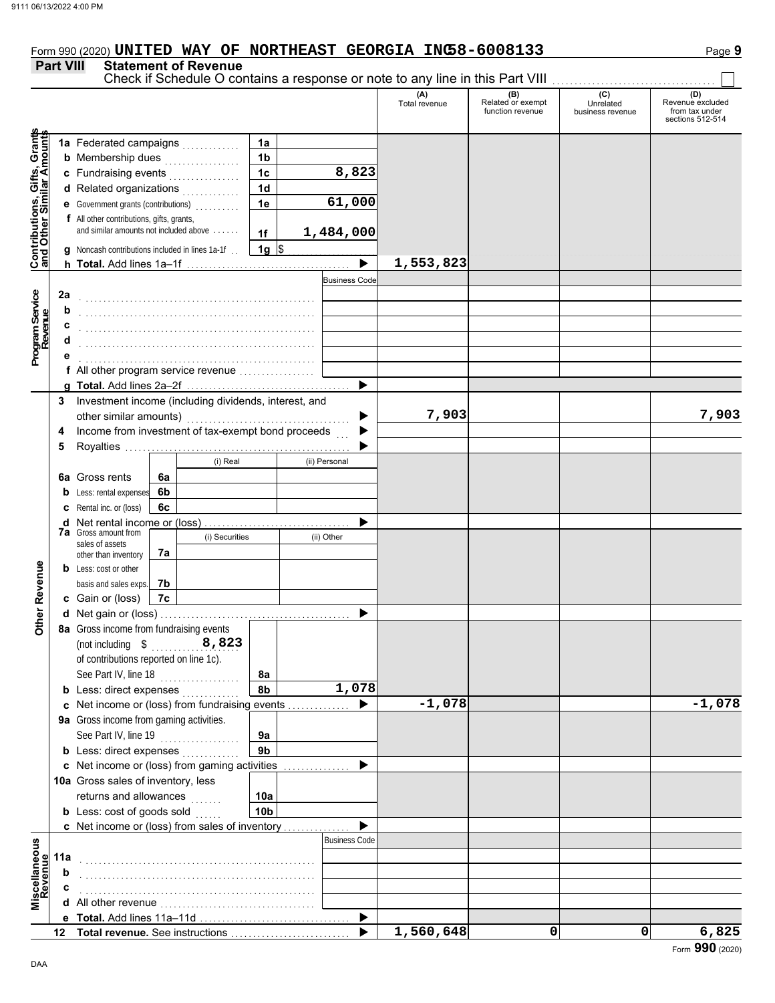# Form 990 (2020) **UNITED WAY OF NORTHEAST GEORGIA INC58-6008133**

### **Part VIII Statement of Revenue**

#### Check if Schedule O contains a response or note to any line in this Part VIII **(A) (B) (C) (D)** Total revenue Related or exempt Unrelated Revenue excluded<br>
Total revenue function revenue business revenue from tax under function revenue business revenue from tax under sections 512-514 **Contributions, Gifts, Grants and Other Similar Amounts** Grant **1a 1a** Federated campaigns . . . . . . . . . . . , Gifts, Gra<br>nilar Amou **1b b** Membership dues  $\ldots$  . . . . . . . . . . . . **8,823 1c c** Fundraising events . . . . . . . . . . . . . . . . **1d d** Related organizations <sub>.</sub> . . . . . . . . . . **Contributions,<br>and Other Simi 61,000 1e e** Government grants (contributions) . . . . . . . . . . **f** All other contributions, gifts, grants, and similar amounts not included above . . . . . . **1,484,000 1f 1g g** Noncash contributions included in lines 1a-1f . .  $\frac{1}{2}$ **1,553,823**  $\blacktriangleright$ **h Total.** Add lines 1a–1f . . . . . . . . . . . . . . . . . . . . . . . . . . . . . . . . . . . . . Business Cod **Program Service Program Service 2a** . . . . . . . . . . . . . . . . . . . . . . . . . . . . . . . . . . . . . . . . . . . . . . . . . . . . . **b** . . . . . . . . . . . . . . . . . . . . . . . . . . . . . . . . . . . . . . . . . . . . . . . . . . . . . **c** . . . . . . . . . . . . . . . . . . . . . . . . . . . . . . . . . . . . . . . . . . . . . . . . . . . . . **d** . . . . . . . . . . . . . . . . . . . . . . . . . . . . . . . . . . . . . . . . . . . . . . . . . . . . . **e** . . . . . . . . . . . . . . . . . . . . . . . . . . . . . . . . . . . . . . . . . . . . . . . . . . . . . **f** All other program service revenue . . . . . . . . . . . . . . . . . **g Total.** Add lines 2a–2f . . . . . . . . . . . . . . . . . . . . . . . . . . . . . . . . . . . . . **3** Investment income (including dividends, interest, and **7,903 7,903** other similar amounts) ь Income from investment of tax-exempt bond proceeds **4**  $\blacktriangleright$ **5** Royalties .... ▶ (i) Real (ii) Personal **6a** Gross rents **6a 6b b** Less: rental expenses **c** Rental inc. or (loss) **6c** ь **d** Net rental income or (loss) . . . . . . . . . . . . . . . . . . . . . . . . . . . . . . . . . **7a** Gross amount from (i) Securities (ii) Other sales of assets **7a** other than inventory **Other Revenue Other Revenue b** Less: cost or other basis and sales exps. **7b c** Gain or (loss) **7c d** Net gain or (loss) . . . . . . . . . . . . . . . . . . . . . . . . . . . . . . . . . . . . . . . . . . . **8a** Gross income from fundraising events (not including \$ . . . . . . . . . . . . . . . . . . . . **8,823** of contributions reported on line 1c). See Part IV, line 18 . . . . . . . . . . . . . . . . . . **8a 8b 1,078 b** Less: direct expenses <sub>.</sub> . . . . . . . . . . **-1,078 -1,078 c** Net income or (loss) from fundraising events . . . . . . . . . . . . . . ь **9a** Gross income from gaming activities. See Part IV, line 19 . . . . . . . . . . . . . . . . . . **9a 9b b** Less: direct expenses  $\ldots$  $\blacktriangleright$ Net income or (loss) from gaming activities . . . . . . . . . . . . . . . **c** 10a Gross sales of inventory, less returns and allowances **10a 10b b** Less:  $\cosh$  of goods  $\sinh$  $\blacktriangleright$ Net income or (loss) from sales of inventory . . . . . . . . . . . . . . . **c** cellaneous<br>Revenue Business Code **Miscellaneous 11a Revenue** . . . . . . . . . . . . . . . . . . . . . . . . . . . . . . . . . . . . . . . . . . . . . . . . . . . . . **b** . . . . . . . . . . . . . . . . . . . . . . . . . . . . . . . . . . . . . . . . . . . . . . . . . . . . . **c** . . . . . . . . . . . . . . . . . . . . . . . . . . . . . . . . . . . . . . . . . . . . . . . . . . . . . ă<br>Nă **d** All other revenue . . . . . . . . . . . . . . . . . . . . . . . . . . . . . . . . . . . ь Total. Add lines 11a-11d **e 1,560,648 0 0 6,825 Total revenue.** See instructions  $\blacktriangleright$ **12**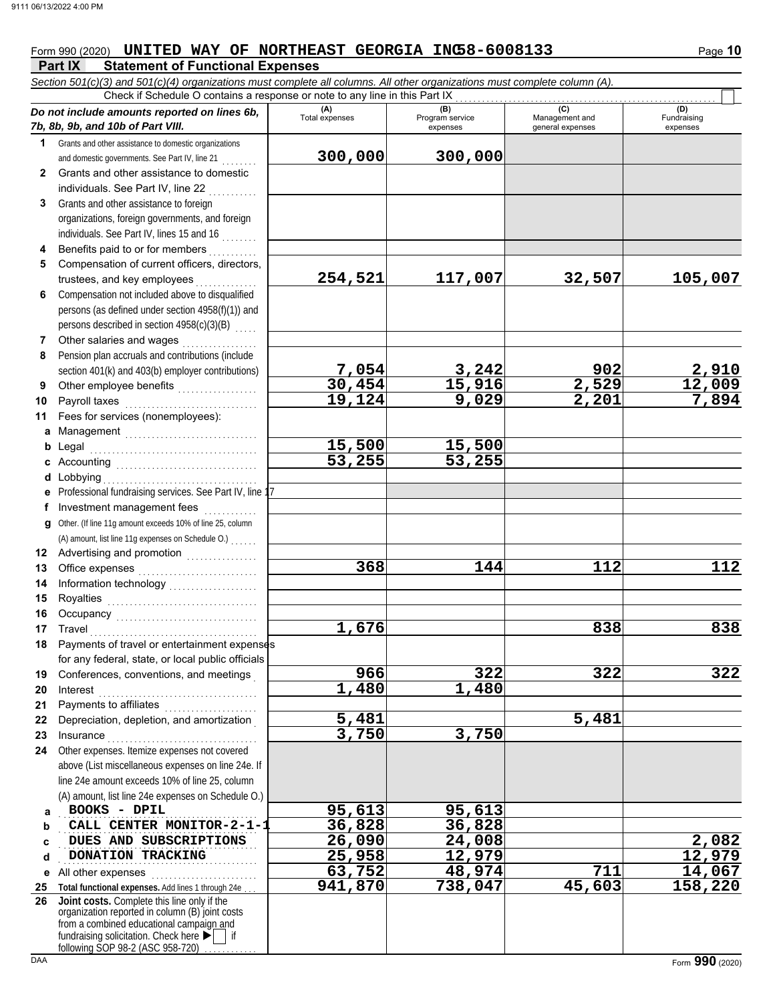## Form 990 (2020) **UNITED WAY OF NORTHEAST GEORGIA INC58-6008133** Page 10

**Part IX Statement of Functional Expenses** *Section 501(c)(3) and 501(c)(4) organizations must complete all columns. All other organizations must complete column (A).*  $\overline{C}$ beck if Schedule O contains a response or note to any line in this Part IX

| Check if Schedule O contains a response or note to any line in this Part IX |                                                                                                                                                                   |                |                             |                                    |                         |  |  |
|-----------------------------------------------------------------------------|-------------------------------------------------------------------------------------------------------------------------------------------------------------------|----------------|-----------------------------|------------------------------------|-------------------------|--|--|
|                                                                             | Do not include amounts reported on lines 6b,                                                                                                                      | (A)            | (B)                         | (C)                                | (D)                     |  |  |
|                                                                             | 7b, 8b, 9b, and 10b of Part VIII.                                                                                                                                 | Total expenses | Program service<br>expenses | Management and<br>general expenses | Fundraising<br>expenses |  |  |
| 1                                                                           | Grants and other assistance to domestic organizations                                                                                                             |                |                             |                                    |                         |  |  |
|                                                                             | and domestic governments. See Part IV, line 21                                                                                                                    | 300,000        | 300,000                     |                                    |                         |  |  |
| $\mathbf{2}$                                                                | Grants and other assistance to domestic                                                                                                                           |                |                             |                                    |                         |  |  |
|                                                                             | individuals. See Part IV, line 22                                                                                                                                 |                |                             |                                    |                         |  |  |
| 3                                                                           | Grants and other assistance to foreign                                                                                                                            |                |                             |                                    |                         |  |  |
|                                                                             | organizations, foreign governments, and foreign                                                                                                                   |                |                             |                                    |                         |  |  |
|                                                                             | individuals. See Part IV, lines 15 and 16                                                                                                                         |                |                             |                                    |                         |  |  |
| 4                                                                           | Benefits paid to or for members                                                                                                                                   |                |                             |                                    |                         |  |  |
| 5                                                                           | Compensation of current officers, directors,                                                                                                                      |                |                             |                                    |                         |  |  |
|                                                                             | trustees, and key employees                                                                                                                                       | 254,521        | 117,007                     | 32,507                             | 105,007                 |  |  |
| 6                                                                           | Compensation not included above to disqualified                                                                                                                   |                |                             |                                    |                         |  |  |
|                                                                             | persons (as defined under section 4958(f)(1)) and                                                                                                                 |                |                             |                                    |                         |  |  |
|                                                                             | persons described in section 4958(c)(3)(B)                                                                                                                        |                |                             |                                    |                         |  |  |
| $\overline{7}$                                                              | Other salaries and wages<br>.                                                                                                                                     |                |                             |                                    |                         |  |  |
| 8                                                                           | Pension plan accruals and contributions (include                                                                                                                  |                |                             |                                    |                         |  |  |
|                                                                             | section 401(k) and 403(b) employer contributions)                                                                                                                 | 7,054          | 3,242                       | 902                                | 2,910                   |  |  |
| 9                                                                           | Other employee benefits                                                                                                                                           | 30,454         | 15,916                      | 2,529                              | 12,009                  |  |  |
| 10                                                                          | Payroll taxes                                                                                                                                                     | 19,124         | 9,029                       | 2,201                              | 7,894                   |  |  |
| 11                                                                          | Fees for services (nonemployees):                                                                                                                                 |                |                             |                                    |                         |  |  |
|                                                                             |                                                                                                                                                                   |                |                             |                                    |                         |  |  |
| b                                                                           |                                                                                                                                                                   | 15,500         | 15,500                      |                                    |                         |  |  |
|                                                                             |                                                                                                                                                                   | 53,255         | 53,255                      |                                    |                         |  |  |
|                                                                             | <b>d</b> Lobbying                                                                                                                                                 |                |                             |                                    |                         |  |  |
|                                                                             | e Professional fundraising services. See Part IV, line 17                                                                                                         |                |                             |                                    |                         |  |  |
|                                                                             | f Investment management fees                                                                                                                                      |                |                             |                                    |                         |  |  |
| g                                                                           | Other. (If line 11g amount exceeds 10% of line 25, column                                                                                                         |                |                             |                                    |                         |  |  |
|                                                                             | (A) amount, list line 11g expenses on Schedule O.)                                                                                                                |                |                             |                                    |                         |  |  |
| 12                                                                          | Advertising and promotion<br>                                                                                                                                     |                |                             |                                    |                         |  |  |
| 13                                                                          |                                                                                                                                                                   | 368            | 144                         | 112                                | 112                     |  |  |
| 14                                                                          | Information technology<br>                                                                                                                                        |                |                             |                                    |                         |  |  |
| 15                                                                          |                                                                                                                                                                   |                |                             |                                    |                         |  |  |
| 16                                                                          |                                                                                                                                                                   | 1,676          |                             | 838                                | 838                     |  |  |
| 17                                                                          | Travel<br>Payments of travel or entertainment expenses                                                                                                            |                |                             |                                    |                         |  |  |
| 18                                                                          | for any federal, state, or local public officials                                                                                                                 |                |                             |                                    |                         |  |  |
| 19                                                                          | Conferences, conventions, and meetings                                                                                                                            | 966            | 322                         | 322                                | 322                     |  |  |
| 20                                                                          | Interest                                                                                                                                                          | 1,480          | 1,480                       |                                    |                         |  |  |
| 21                                                                          | Payments to affiliates                                                                                                                                            |                |                             |                                    |                         |  |  |
| 22                                                                          | <u> 1986 - Johann Stoff, Amerikaansk kanton en ferske område og formanner og som formanner og som formanner og s</u><br>Depreciation, depletion, and amortization | 5,481          |                             | 5,481                              |                         |  |  |
| 23                                                                          |                                                                                                                                                                   | 3,750          | 3,750                       |                                    |                         |  |  |
| 24                                                                          | Other expenses. Itemize expenses not covered                                                                                                                      |                |                             |                                    |                         |  |  |
|                                                                             | above (List miscellaneous expenses on line 24e. If                                                                                                                |                |                             |                                    |                         |  |  |
|                                                                             | line 24e amount exceeds 10% of line 25, column                                                                                                                    |                |                             |                                    |                         |  |  |
|                                                                             | (A) amount, list line 24e expenses on Schedule O.)                                                                                                                |                |                             |                                    |                         |  |  |
| a                                                                           | BOOKS - DPIL                                                                                                                                                      | 95,613         | 95,613                      |                                    |                         |  |  |
| b                                                                           | CALL CENTER MONITOR-2-1-1                                                                                                                                         | 36,828         | 36,828                      |                                    |                         |  |  |
| c                                                                           | DUES AND SUBSCRIPTIONS                                                                                                                                            | 26,090         | 24,008                      |                                    | 2,082                   |  |  |
| d                                                                           | DONATION TRACKING                                                                                                                                                 | 25,958         | 12,979                      |                                    | 12,979                  |  |  |
| е                                                                           | All other expenses                                                                                                                                                | 63,752         | 48,974                      | 711                                | 14,067                  |  |  |
| 25                                                                          | Total functional expenses. Add lines 1 through 24e                                                                                                                | 941,870        | 738,047                     | 45,603                             | 158,220                 |  |  |
| 26                                                                          | Joint costs. Complete this line only if the                                                                                                                       |                |                             |                                    |                         |  |  |
|                                                                             | organization reported in column (B) joint costs<br>from a combined educational campaign and                                                                       |                |                             |                                    |                         |  |  |
|                                                                             | fundraising solicitation. Check here ▶                                                                                                                            |                |                             |                                    |                         |  |  |
|                                                                             | following SOP 98-2 (ASC 958-720)                                                                                                                                  |                |                             |                                    |                         |  |  |
| <b>DAA</b>                                                                  |                                                                                                                                                                   |                |                             |                                    | Form 990 (2020)         |  |  |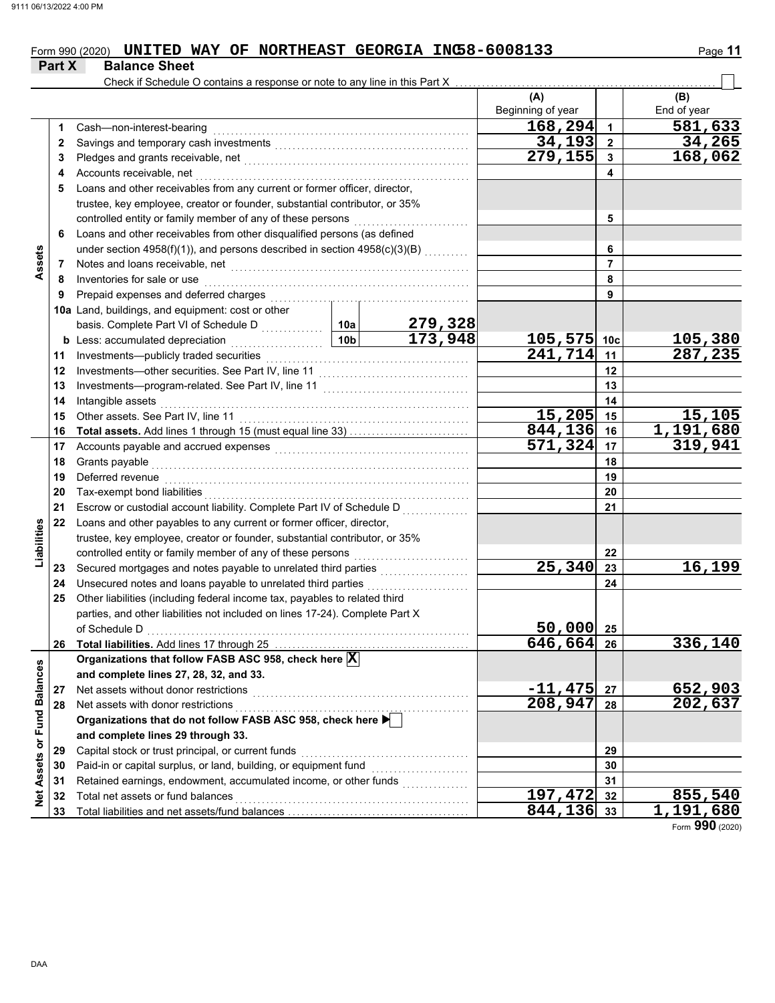# Form 990 (2020) **UNITED WAY OF NORTHEAST GEORGIA INC58-6008133** Page 11

|                             | <b>Part X</b> | <b>Balance Sheet</b>                                                                                                                                                                                                          |                        |                           |                   |                      |                |  |  |
|-----------------------------|---------------|-------------------------------------------------------------------------------------------------------------------------------------------------------------------------------------------------------------------------------|------------------------|---------------------------|-------------------|----------------------|----------------|--|--|
|                             |               | Check if Schedule O contains a response or note to any line in this Part X                                                                                                                                                    |                        |                           |                   |                      |                |  |  |
|                             |               |                                                                                                                                                                                                                               |                        |                           | (A)               |                      | (B)            |  |  |
|                             |               |                                                                                                                                                                                                                               |                        |                           | Beginning of year |                      | End of year    |  |  |
|                             | 1             | Cash-non-interest-bearing                                                                                                                                                                                                     |                        |                           | 168,294           | $\blacktriangleleft$ | 581,633        |  |  |
|                             | 2             |                                                                                                                                                                                                                               |                        |                           | 34,193            | $\mathbf{2}$         | 34,265         |  |  |
|                             | 3             |                                                                                                                                                                                                                               |                        |                           | 279,155           | $\mathbf{3}$         | 168,062        |  |  |
|                             | 4             | Accounts receivable, net                                                                                                                                                                                                      |                        |                           |                   | 4                    |                |  |  |
|                             | 5             | Loans and other receivables from any current or former officer, director,                                                                                                                                                     |                        |                           |                   |                      |                |  |  |
|                             |               | trustee, key employee, creator or founder, substantial contributor, or 35%                                                                                                                                                    |                        |                           |                   |                      |                |  |  |
|                             |               | controlled entity or family member of any of these persons                                                                                                                                                                    |                        |                           |                   | 5                    |                |  |  |
|                             | 6             | Loans and other receivables from other disqualified persons (as defined                                                                                                                                                       |                        |                           |                   |                      |                |  |  |
|                             |               | under section 4958(f)(1)), and persons described in section 4958(c)(3)(B)                                                                                                                                                     |                        |                           |                   | 6<br>$\overline{7}$  |                |  |  |
| Assets                      | 7             |                                                                                                                                                                                                                               |                        |                           |                   | 8                    |                |  |  |
|                             | 8             | Inventories for sale or use                                                                                                                                                                                                   |                        |                           |                   | 9                    |                |  |  |
|                             | 9             |                                                                                                                                                                                                                               |                        |                           |                   |                      |                |  |  |
|                             |               | 10a Land, buildings, and equipment: cost or other                                                                                                                                                                             |                        |                           |                   |                      |                |  |  |
|                             |               | basis. Complete Part VI of Schedule D                                                                                                                                                                                         | 10a<br>10 <sub>b</sub> | $\frac{279,328}{173,948}$ | 105,575           | 10 <sub>c</sub>      | 105,380        |  |  |
|                             |               | <b>b</b> Less: accumulated depreciation<br>.                                                                                                                                                                                  |                        |                           | 241,714           | 11                   | 287,235        |  |  |
|                             | 11<br>12      | Investments-other securities. See Part IV, line 11                                                                                                                                                                            |                        |                           |                   | 12                   |                |  |  |
|                             | 13            |                                                                                                                                                                                                                               |                        |                           |                   |                      |                |  |  |
|                             | 14            | Intangible assets                                                                                                                                                                                                             |                        |                           |                   | 13<br>14             |                |  |  |
|                             | 15            | Other assets. See Part IV, line 11                                                                                                                                                                                            |                        |                           | 15,205            | 15                   | 15,105         |  |  |
|                             | 16            |                                                                                                                                                                                                                               |                        |                           | 844,136           | 16                   | 1,191,680      |  |  |
|                             | 17            | Accounts payable and accrued expenses [[11] matter contracts and accrued expenses [11] matter contracts and accrued to the set of the set of the set of the set of the set of the set of the set of the set of the set of the |                        |                           | 571,324           | 17                   | 319,941        |  |  |
|                             | 18            | Grants payable                                                                                                                                                                                                                |                        |                           | 18                |                      |                |  |  |
|                             | 19            | Deferred revenue                                                                                                                                                                                                              |                        |                           | 19                |                      |                |  |  |
|                             | 20            | Tax-exempt bond liabilities                                                                                                                                                                                                   |                        |                           |                   | 20                   |                |  |  |
|                             | 21            | Escrow or custodial account liability. Complete Part IV of Schedule D                                                                                                                                                         |                        |                           |                   | 21                   |                |  |  |
|                             | 22            | Loans and other payables to any current or former officer, director,                                                                                                                                                          |                        |                           |                   |                      |                |  |  |
| Liabilities                 |               | trustee, key employee, creator or founder, substantial contributor, or 35%                                                                                                                                                    |                        |                           |                   |                      |                |  |  |
|                             |               | controlled entity or family member of any of these persons                                                                                                                                                                    |                        |                           |                   | 22                   |                |  |  |
|                             | 23            |                                                                                                                                                                                                                               |                        |                           | 25,340            | 23                   | 16,199         |  |  |
|                             | 24            | Unsecured notes and loans payable to unrelated third parties                                                                                                                                                                  |                        | .                         |                   | 24                   |                |  |  |
|                             | 25            | Other liabilities (including federal income tax, payables to related third                                                                                                                                                    |                        |                           |                   |                      |                |  |  |
|                             |               | parties, and other liabilities not included on lines 17-24). Complete Part X                                                                                                                                                  |                        |                           |                   |                      |                |  |  |
|                             |               | of Schedule D                                                                                                                                                                                                                 |                        |                           | 50,000            | 25                   |                |  |  |
|                             | 26            |                                                                                                                                                                                                                               |                        |                           | 646,664           | 26                   | 336,140        |  |  |
|                             |               | Organizations that follow FASB ASC 958, check here X                                                                                                                                                                          |                        |                           |                   |                      |                |  |  |
|                             |               | and complete lines 27, 28, 32, and 33.                                                                                                                                                                                        |                        |                           |                   |                      |                |  |  |
|                             | 27            | Net assets without donor restrictions                                                                                                                                                                                         |                        |                           | $-11,475$         | 27                   | <u>652,903</u> |  |  |
|                             | 28            | Net assets with donor restrictions                                                                                                                                                                                            | 208,947                | 28                        | 202,637           |                      |                |  |  |
|                             |               | Organizations that do not follow FASB ASC 958, check here                                                                                                                                                                     |                        |                           |                   |                      |                |  |  |
|                             |               | and complete lines 29 through 33.                                                                                                                                                                                             |                        |                           |                   |                      |                |  |  |
|                             | 29            | Capital stock or trust principal, or current funds                                                                                                                                                                            |                        |                           |                   | 29                   |                |  |  |
|                             | 30            | Paid-in or capital surplus, or land, building, or equipment fund                                                                                                                                                              |                        |                           |                   | 30                   |                |  |  |
| Net Assets or Fund Balances | 31            | Retained earnings, endowment, accumulated income, or other funds                                                                                                                                                              |                        |                           |                   | 31                   |                |  |  |
|                             | 32            | Total net assets or fund balances                                                                                                                                                                                             |                        |                           | 197,472           | 32                   | 855,540        |  |  |
|                             | 33            |                                                                                                                                                                                                                               |                        |                           | 844,136           | 33                   | 1,191,680      |  |  |

Form **990** (2020)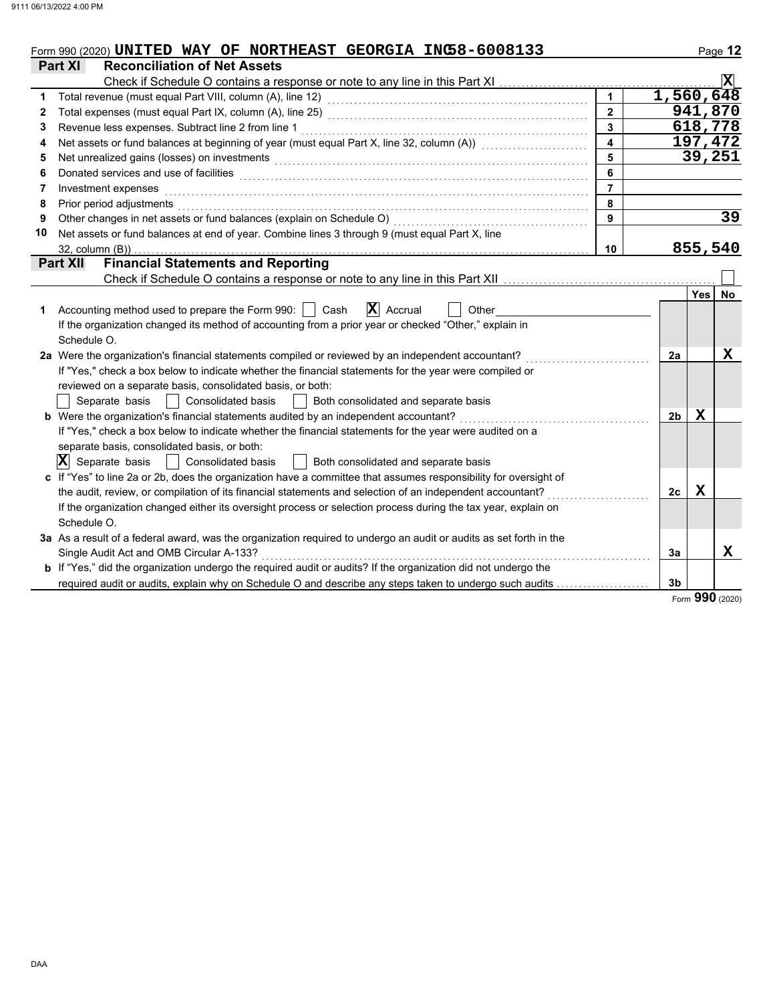|             | Form 990 (2020) UNITED WAY OF NORTHEAST GEORGIA INC58-6008133                                                                                                                                                                  |                         |                |            | Page 12                 |
|-------------|--------------------------------------------------------------------------------------------------------------------------------------------------------------------------------------------------------------------------------|-------------------------|----------------|------------|-------------------------|
|             | <b>Part XI</b><br><b>Reconciliation of Net Assets</b>                                                                                                                                                                          |                         |                |            |                         |
|             |                                                                                                                                                                                                                                |                         |                |            | $\overline{\mathbf{x}}$ |
| 1           |                                                                                                                                                                                                                                | $\mathbf{1}$            | 1,560,648      |            |                         |
| 2           |                                                                                                                                                                                                                                | $\overline{2}$          |                |            | 941,870                 |
| 3           |                                                                                                                                                                                                                                | $\overline{3}$          |                |            | 618,778                 |
| 4           | Net assets or fund balances at beginning of year (must equal Part X, line 32, column (A)) [[[[[[[[[[[[[[[[[[[                                                                                                                  | $\overline{\mathbf{4}}$ |                |            | 197,472                 |
| 5           | Net unrealized gains (losses) on investments [11] with the content of the content of the content of the content of the content of the content of the content of the content of the content of the content of the content of th | 5                       |                |            | 39,251                  |
| 6           | Donated services and use of facilities <b>constructs</b> and a service of the service of the services and use of facilities                                                                                                    | 6                       |                |            |                         |
| 7           | Investment expenses                                                                                                                                                                                                            | $\overline{7}$          |                |            |                         |
| 8           | Prior period adjustments                                                                                                                                                                                                       | 8                       |                |            |                         |
| 9           | Other changes in net assets or fund balances (explain on Schedule O)                                                                                                                                                           | 9                       |                |            | $\overline{39}$         |
| 10          | Net assets or fund balances at end of year. Combine lines 3 through 9 (must equal Part X, line                                                                                                                                 |                         |                |            |                         |
|             | $32$ , column $(B)$ )                                                                                                                                                                                                          | 10                      |                |            | 855,540                 |
|             | <b>Financial Statements and Reporting</b><br><b>Part XII</b>                                                                                                                                                                   |                         |                |            |                         |
|             |                                                                                                                                                                                                                                |                         |                |            |                         |
|             |                                                                                                                                                                                                                                |                         |                | <b>Yes</b> | No                      |
| $\mathbf 1$ | $ \mathbf{X} $ Accrual<br>Accounting method used to prepare the Form 990:   Cash<br>Other                                                                                                                                      |                         |                |            |                         |
|             | If the organization changed its method of accounting from a prior year or checked "Other," explain in                                                                                                                          |                         |                |            |                         |
|             | Schedule O.                                                                                                                                                                                                                    |                         |                |            |                         |
|             | 2a Were the organization's financial statements compiled or reviewed by an independent accountant?                                                                                                                             |                         | 2a             |            | $\mathbf X$             |
|             | If "Yes," check a box below to indicate whether the financial statements for the year were compiled or                                                                                                                         |                         |                |            |                         |
|             | reviewed on a separate basis, consolidated basis, or both:                                                                                                                                                                     |                         |                |            |                         |
|             | <b>Consolidated basis</b><br>Separate basis<br>Both consolidated and separate basis                                                                                                                                            |                         |                |            |                         |
|             | b Were the organization's financial statements audited by an independent accountant?                                                                                                                                           |                         | 2 <sub>b</sub> | Х          |                         |
|             | If "Yes," check a box below to indicate whether the financial statements for the year were audited on a                                                                                                                        |                         |                |            |                         |
|             | separate basis, consolidated basis, or both:                                                                                                                                                                                   |                         |                |            |                         |
|             | $ \mathbf{X} $ Separate basis<br><b>Consolidated basis</b><br>  Both consolidated and separate basis<br>$\sim$                                                                                                                 |                         |                |            |                         |
|             | c If "Yes" to line 2a or 2b, does the organization have a committee that assumes responsibility for oversight of                                                                                                               |                         |                |            |                         |
|             | the audit, review, or compilation of its financial statements and selection of an independent accountant?                                                                                                                      |                         | 2c             | x          |                         |
|             | If the organization changed either its oversight process or selection process during the tax year, explain on                                                                                                                  |                         |                |            |                         |
|             | Schedule O.                                                                                                                                                                                                                    |                         |                |            |                         |
|             | 3a As a result of a federal award, was the organization required to undergo an audit or audits as set forth in the                                                                                                             |                         |                |            |                         |
|             | Single Audit Act and OMB Circular A-133?                                                                                                                                                                                       |                         | 3a             |            | X                       |
|             | <b>b</b> If "Yes," did the organization undergo the required audit or audits? If the organization did not undergo the                                                                                                          |                         |                |            |                         |
|             | required audit or audits, explain why on Schedule O and describe any steps taken to undergo such audits                                                                                                                        |                         | 3 <sub>b</sub> |            |                         |

Form **990** (2020)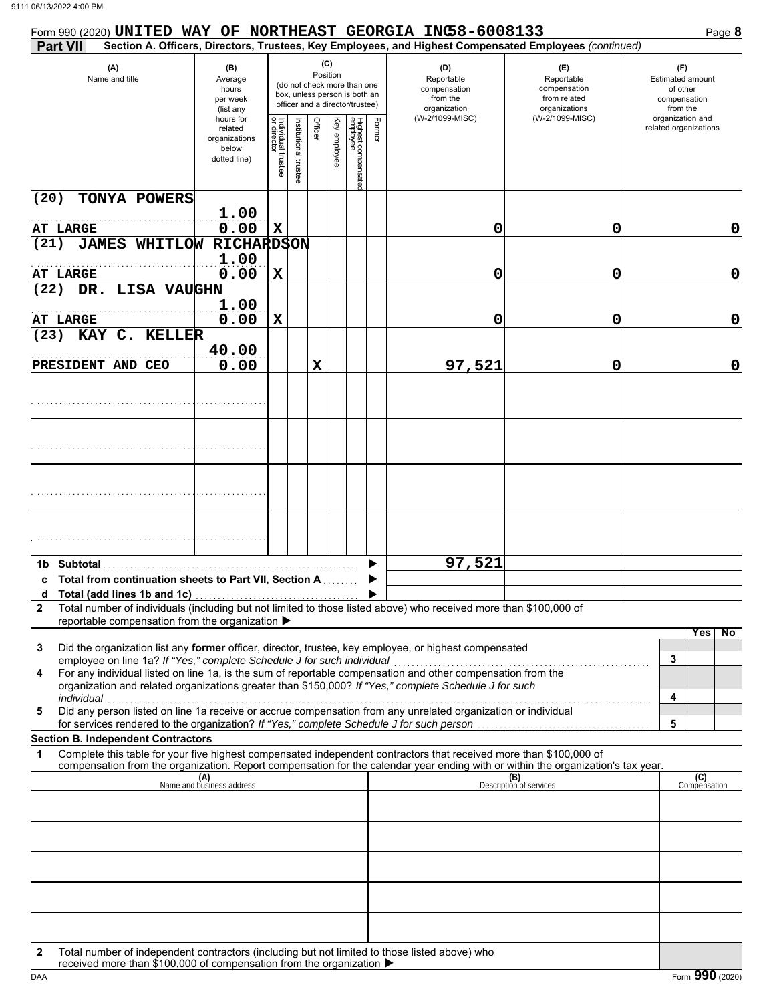| Form 990 (2020) UNITED WAY OF NORTHEAST GEORGIA INC58-6008133                                                                                                                                                                                                                                                                                                                                                     |                                                                |                                   |                      |         |                 |                                                                                                 |        |                                                                                                        |                                                                    | Page 8                                                          |
|-------------------------------------------------------------------------------------------------------------------------------------------------------------------------------------------------------------------------------------------------------------------------------------------------------------------------------------------------------------------------------------------------------------------|----------------------------------------------------------------|-----------------------------------|----------------------|---------|-----------------|-------------------------------------------------------------------------------------------------|--------|--------------------------------------------------------------------------------------------------------|--------------------------------------------------------------------|-----------------------------------------------------------------|
| <b>Part VII</b>                                                                                                                                                                                                                                                                                                                                                                                                   |                                                                |                                   |                      |         |                 |                                                                                                 |        | Section A. Officers, Directors, Trustees, Key Employees, and Highest Compensated Employees (continued) |                                                                    |                                                                 |
| (A)<br>Name and title                                                                                                                                                                                                                                                                                                                                                                                             | (B)<br>Average<br>hours<br>per week<br>(list any               |                                   |                      |         | (C)<br>Position | (do not check more than one<br>box, unless person is both an<br>officer and a director/trustee) |        | (D)<br>Reportable<br>compensation<br>from the<br>organization                                          | (E)<br>Reportable<br>compensation<br>from related<br>organizations | (F)<br>Estimated amount<br>of other<br>compensation<br>from the |
|                                                                                                                                                                                                                                                                                                                                                                                                                   | hours for<br>related<br>organizations<br>below<br>dotted line) | Individual trustee<br>or director | nstitutional trustee | Officer | Key employee    | Highest compensatec<br>employee                                                                 | Former | (W-2/1099-MISC)                                                                                        | (W-2/1099-MISC)                                                    | organization and<br>related organizations                       |
| (20)<br>TONYA POWERS                                                                                                                                                                                                                                                                                                                                                                                              |                                                                |                                   |                      |         |                 |                                                                                                 |        |                                                                                                        |                                                                    |                                                                 |
| <b>AT LARGE</b>                                                                                                                                                                                                                                                                                                                                                                                                   | 1.00<br>0.00                                                   | $\mathbf X$                       |                      |         |                 |                                                                                                 |        | 0                                                                                                      | 0                                                                  | 0                                                               |
| <b>JAMES WHITLOW</b><br>(21)                                                                                                                                                                                                                                                                                                                                                                                      | <b>RICHARDSON</b>                                              |                                   |                      |         |                 |                                                                                                 |        |                                                                                                        |                                                                    |                                                                 |
|                                                                                                                                                                                                                                                                                                                                                                                                                   | 1.00                                                           |                                   |                      |         |                 |                                                                                                 |        |                                                                                                        |                                                                    |                                                                 |
| AT LARGE<br>DR. LISA VAUGHN<br>(22)                                                                                                                                                                                                                                                                                                                                                                               | 0.00                                                           | $\mathbf x$                       |                      |         |                 |                                                                                                 |        | 0                                                                                                      | 0                                                                  | 0                                                               |
|                                                                                                                                                                                                                                                                                                                                                                                                                   | 1.00                                                           |                                   |                      |         |                 |                                                                                                 |        |                                                                                                        |                                                                    |                                                                 |
| AT LARGE                                                                                                                                                                                                                                                                                                                                                                                                          | 0.00                                                           | $\mathbf x$                       |                      |         |                 |                                                                                                 |        | 0                                                                                                      | 0                                                                  | 0                                                               |
| KAY C. KELLER<br>(23)                                                                                                                                                                                                                                                                                                                                                                                             |                                                                |                                   |                      |         |                 |                                                                                                 |        |                                                                                                        |                                                                    |                                                                 |
| PRESIDENT AND CEO                                                                                                                                                                                                                                                                                                                                                                                                 | 40.00<br>0.00                                                  |                                   |                      | X       |                 |                                                                                                 |        | 97,521                                                                                                 | 0                                                                  | 0                                                               |
|                                                                                                                                                                                                                                                                                                                                                                                                                   |                                                                |                                   |                      |         |                 |                                                                                                 |        |                                                                                                        |                                                                    |                                                                 |
|                                                                                                                                                                                                                                                                                                                                                                                                                   |                                                                |                                   |                      |         |                 |                                                                                                 |        |                                                                                                        |                                                                    |                                                                 |
|                                                                                                                                                                                                                                                                                                                                                                                                                   |                                                                |                                   |                      |         |                 |                                                                                                 |        |                                                                                                        |                                                                    |                                                                 |
|                                                                                                                                                                                                                                                                                                                                                                                                                   |                                                                |                                   |                      |         |                 |                                                                                                 |        |                                                                                                        |                                                                    |                                                                 |
| 1b Subtotal<br><b>Total from continuation sheets to Part VII, Section A Conservation</b>                                                                                                                                                                                                                                                                                                                          |                                                                |                                   |                      |         |                 |                                                                                                 |        | 97,521                                                                                                 |                                                                    |                                                                 |
| Total number of individuals (including but not limited to those listed above) who received more than \$100,000 of<br>$\mathbf{2}$<br>reportable compensation from the organization ▶                                                                                                                                                                                                                              |                                                                |                                   |                      |         |                 |                                                                                                 |        |                                                                                                        |                                                                    |                                                                 |
| Did the organization list any former officer, director, trustee, key employee, or highest compensated<br>3<br>employee on line 1a? If "Yes," complete Schedule J for such individual<br>For any individual listed on line 1a, is the sum of reportable compensation and other compensation from the<br>4<br>organization and related organizations greater than \$150,000? If "Yes," complete Schedule J for such |                                                                |                                   |                      |         |                 |                                                                                                 |        |                                                                                                        |                                                                    | $\overline{N}$<br>Yes<br>3<br>4                                 |
| individual<br>Did any person listed on line 1a receive or accrue compensation from any unrelated organization or individual<br>5<br>for services rendered to the organization? If "Yes," complete Schedule J for such person                                                                                                                                                                                      |                                                                |                                   |                      |         |                 |                                                                                                 |        |                                                                                                        |                                                                    | 5                                                               |
| <b>Section B. Independent Contractors</b><br>Complete this table for your five highest compensated independent contractors that received more than \$100,000 of                                                                                                                                                                                                                                                   |                                                                |                                   |                      |         |                 |                                                                                                 |        |                                                                                                        |                                                                    |                                                                 |
| 1<br>compensation from the organization. Report compensation for the calendar year ending with or within the organization's tax year.                                                                                                                                                                                                                                                                             |                                                                |                                   |                      |         |                 |                                                                                                 |        |                                                                                                        |                                                                    |                                                                 |
|                                                                                                                                                                                                                                                                                                                                                                                                                   | (A)<br>Name and business address                               |                                   |                      |         |                 |                                                                                                 |        |                                                                                                        | (B)<br>Description of services                                     | (C)<br>Compensation                                             |
|                                                                                                                                                                                                                                                                                                                                                                                                                   |                                                                |                                   |                      |         |                 |                                                                                                 |        |                                                                                                        |                                                                    |                                                                 |
|                                                                                                                                                                                                                                                                                                                                                                                                                   |                                                                |                                   |                      |         |                 |                                                                                                 |        |                                                                                                        |                                                                    |                                                                 |
|                                                                                                                                                                                                                                                                                                                                                                                                                   |                                                                |                                   |                      |         |                 |                                                                                                 |        |                                                                                                        |                                                                    |                                                                 |
|                                                                                                                                                                                                                                                                                                                                                                                                                   |                                                                |                                   |                      |         |                 |                                                                                                 |        |                                                                                                        |                                                                    |                                                                 |
| Total number of independent contractors (including but not limited to those listed above) who<br>2<br>received more than \$100,000 of compensation from the organization ▶                                                                                                                                                                                                                                        |                                                                |                                   |                      |         |                 |                                                                                                 |        |                                                                                                        |                                                                    |                                                                 |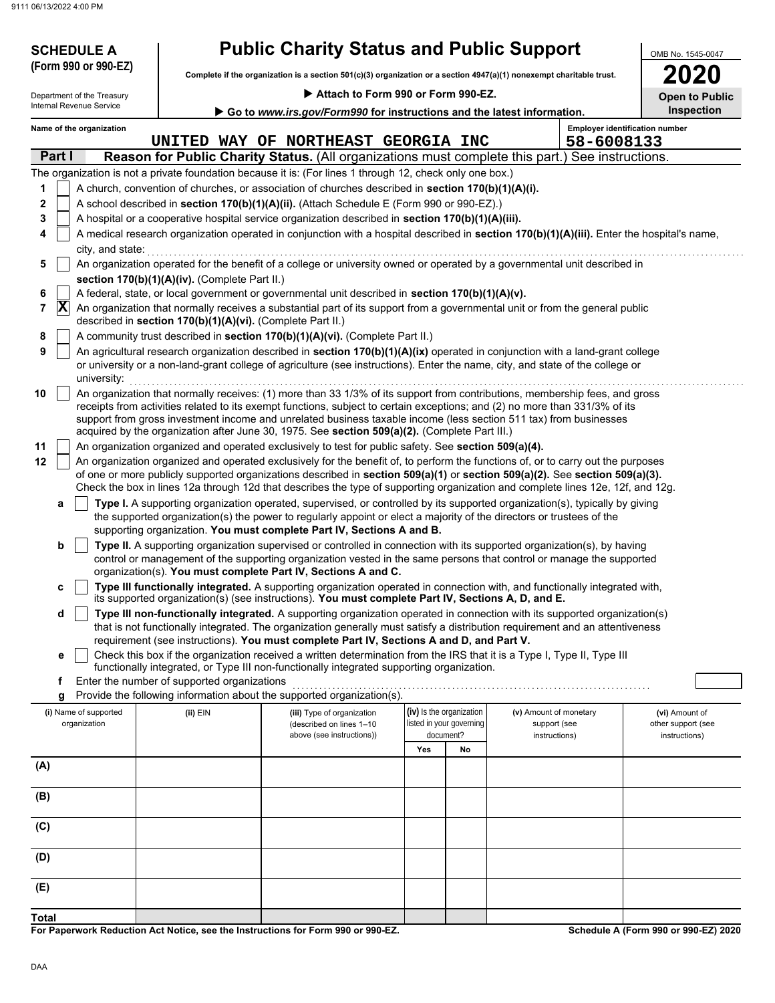| <b>SCHEDULE A</b>                     |                                                            | <b>Public Charity Status and Public Support</b>                                                                                                                                                                                                                 |                                                      |    |                                        |  | OMB No. 1545-0047                     |
|---------------------------------------|------------------------------------------------------------|-----------------------------------------------------------------------------------------------------------------------------------------------------------------------------------------------------------------------------------------------------------------|------------------------------------------------------|----|----------------------------------------|--|---------------------------------------|
| (Form 990 or 990-EZ)                  |                                                            | Complete if the organization is a section 501(c)(3) organization or a section 4947(a)(1) nonexempt charitable trust.                                                                                                                                            |                                                      |    |                                        |  | 2020                                  |
| Department of the Treasury            |                                                            | Attach to Form 990 or Form 990-EZ.                                                                                                                                                                                                                              |                                                      |    |                                        |  |                                       |
| Internal Revenue Service              |                                                            | Go to www.irs.gov/Form990 for instructions and the latest information.                                                                                                                                                                                          |                                                      |    |                                        |  | <b>Open to Public</b><br>Inspection   |
| Name of the organization              |                                                            |                                                                                                                                                                                                                                                                 |                                                      |    |                                        |  | <b>Employer identification number</b> |
|                                       | 58-6008133                                                 |                                                                                                                                                                                                                                                                 |                                                      |    |                                        |  |                                       |
| Part I                                |                                                            | Reason for Public Charity Status. (All organizations must complete this part.) See instructions.                                                                                                                                                                |                                                      |    |                                        |  |                                       |
|                                       |                                                            | The organization is not a private foundation because it is: (For lines 1 through 12, check only one box.)                                                                                                                                                       |                                                      |    |                                        |  |                                       |
| 1<br>$\mathbf 2$                      |                                                            | A church, convention of churches, or association of churches described in section 170(b)(1)(A)(i).<br>A school described in section 170(b)(1)(A)(ii). (Attach Schedule E (Form 990 or 990-EZ).)                                                                 |                                                      |    |                                        |  |                                       |
| 3                                     |                                                            | A hospital or a cooperative hospital service organization described in section 170(b)(1)(A)(iii).                                                                                                                                                               |                                                      |    |                                        |  |                                       |
| 4                                     |                                                            | A medical research organization operated in conjunction with a hospital described in section 170(b)(1)(A)(iii). Enter the hospital's name,                                                                                                                      |                                                      |    |                                        |  |                                       |
| city, and state:                      |                                                            |                                                                                                                                                                                                                                                                 |                                                      |    |                                        |  |                                       |
| 5                                     |                                                            | An organization operated for the benefit of a college or university owned or operated by a governmental unit described in                                                                                                                                       |                                                      |    |                                        |  |                                       |
|                                       | section 170(b)(1)(A)(iv). (Complete Part II.)              | A federal, state, or local government or governmental unit described in section 170(b)(1)(A)(v).                                                                                                                                                                |                                                      |    |                                        |  |                                       |
| 6<br>$ {\bf X} $<br>7                 |                                                            | An organization that normally receives a substantial part of its support from a governmental unit or from the general public                                                                                                                                    |                                                      |    |                                        |  |                                       |
|                                       | described in section 170(b)(1)(A)(vi). (Complete Part II.) |                                                                                                                                                                                                                                                                 |                                                      |    |                                        |  |                                       |
| 8                                     |                                                            | A community trust described in section 170(b)(1)(A)(vi). (Complete Part II.)                                                                                                                                                                                    |                                                      |    |                                        |  |                                       |
| 9<br>university:                      |                                                            | An agricultural research organization described in section 170(b)(1)(A)(ix) operated in conjunction with a land-grant college<br>or university or a non-land-grant college of agriculture (see instructions). Enter the name, city, and state of the college or |                                                      |    |                                        |  |                                       |
| 10                                    |                                                            | An organization that normally receives: (1) more than 33 1/3% of its support from contributions, membership fees, and gross                                                                                                                                     |                                                      |    |                                        |  |                                       |
|                                       |                                                            | receipts from activities related to its exempt functions, subject to certain exceptions; and (2) no more than 331/3% of its                                                                                                                                     |                                                      |    |                                        |  |                                       |
|                                       |                                                            | support from gross investment income and unrelated business taxable income (less section 511 tax) from businesses<br>acquired by the organization after June 30, 1975. See section 509(a)(2). (Complete Part III.)                                              |                                                      |    |                                        |  |                                       |
| 11                                    |                                                            | An organization organized and operated exclusively to test for public safety. See section 509(a)(4).                                                                                                                                                            |                                                      |    |                                        |  |                                       |
| 12                                    |                                                            | An organization organized and operated exclusively for the benefit of, to perform the functions of, or to carry out the purposes                                                                                                                                |                                                      |    |                                        |  |                                       |
|                                       |                                                            | of one or more publicly supported organizations described in section 509(a)(1) or section 509(a)(2). See section 509(a)(3).<br>Check the box in lines 12a through 12d that describes the type of supporting organization and complete lines 12e, 12f, and 12g.  |                                                      |    |                                        |  |                                       |
| а                                     |                                                            | Type I. A supporting organization operated, supervised, or controlled by its supported organization(s), typically by giving                                                                                                                                     |                                                      |    |                                        |  |                                       |
|                                       |                                                            | the supported organization(s) the power to regularly appoint or elect a majority of the directors or trustees of the                                                                                                                                            |                                                      |    |                                        |  |                                       |
|                                       |                                                            | supporting organization. You must complete Part IV, Sections A and B.                                                                                                                                                                                           |                                                      |    |                                        |  |                                       |
| b                                     |                                                            | Type II. A supporting organization supervised or controlled in connection with its supported organization(s), by having<br>control or management of the supporting organization vested in the same persons that control or manage the supported                 |                                                      |    |                                        |  |                                       |
|                                       |                                                            | organization(s). You must complete Part IV, Sections A and C.                                                                                                                                                                                                   |                                                      |    |                                        |  |                                       |
| c                                     |                                                            | Type III functionally integrated. A supporting organization operated in connection with, and functionally integrated with,                                                                                                                                      |                                                      |    |                                        |  |                                       |
| d                                     |                                                            | its supported organization(s) (see instructions). You must complete Part IV, Sections A, D, and E.<br>Type III non-functionally integrated. A supporting organization operated in connection with its supported organization(s)                                 |                                                      |    |                                        |  |                                       |
|                                       |                                                            | that is not functionally integrated. The organization generally must satisfy a distribution requirement and an attentiveness                                                                                                                                    |                                                      |    |                                        |  |                                       |
|                                       |                                                            | requirement (see instructions). You must complete Part IV, Sections A and D, and Part V.                                                                                                                                                                        |                                                      |    |                                        |  |                                       |
| е                                     |                                                            | Check this box if the organization received a written determination from the IRS that it is a Type I, Type II, Type III<br>functionally integrated, or Type III non-functionally integrated supporting organization.                                            |                                                      |    |                                        |  |                                       |
| f                                     | Enter the number of supported organizations                |                                                                                                                                                                                                                                                                 |                                                      |    |                                        |  |                                       |
| g                                     |                                                            | Provide the following information about the supported organization(s).                                                                                                                                                                                          |                                                      |    |                                        |  |                                       |
| (i) Name of supported<br>organization | $(ii)$ EIN                                                 | (iii) Type of organization<br>(described on lines 1-10                                                                                                                                                                                                          | (iv) Is the organization<br>listed in your governing |    | (v) Amount of monetary<br>support (see |  | (vi) Amount of<br>other support (see  |
|                                       |                                                            | above (see instructions))                                                                                                                                                                                                                                       | document?                                            |    | instructions)                          |  | instructions)                         |
|                                       |                                                            |                                                                                                                                                                                                                                                                 | Yes                                                  | No |                                        |  |                                       |
| (A)                                   |                                                            |                                                                                                                                                                                                                                                                 |                                                      |    |                                        |  |                                       |
| (B)                                   |                                                            |                                                                                                                                                                                                                                                                 |                                                      |    |                                        |  |                                       |
|                                       |                                                            |                                                                                                                                                                                                                                                                 |                                                      |    |                                        |  |                                       |
| (C)                                   |                                                            |                                                                                                                                                                                                                                                                 |                                                      |    |                                        |  |                                       |
|                                       |                                                            |                                                                                                                                                                                                                                                                 |                                                      |    |                                        |  |                                       |
| (D)                                   |                                                            |                                                                                                                                                                                                                                                                 |                                                      |    |                                        |  |                                       |
| (E)                                   |                                                            |                                                                                                                                                                                                                                                                 |                                                      |    |                                        |  |                                       |
|                                       |                                                            |                                                                                                                                                                                                                                                                 |                                                      |    |                                        |  |                                       |
| Total                                 |                                                            |                                                                                                                                                                                                                                                                 |                                                      |    |                                        |  |                                       |

**For Paperwork Reduction Act Notice, see the Instructions for Form 990 or 990-EZ.**

**Schedule A (Form 990 or 990-EZ) 2020**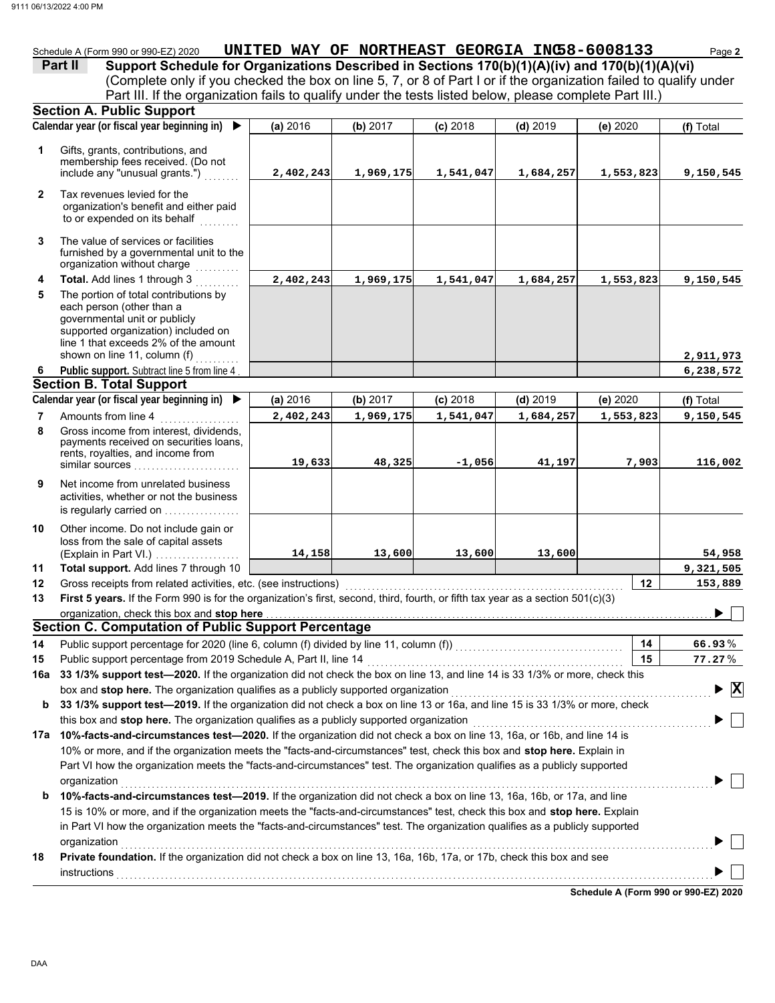|              | 06/13/2022 4:00 PM                                                                                                                    |                                               |           |            |            |           |                                           |
|--------------|---------------------------------------------------------------------------------------------------------------------------------------|-----------------------------------------------|-----------|------------|------------|-----------|-------------------------------------------|
|              |                                                                                                                                       |                                               |           |            |            |           |                                           |
|              |                                                                                                                                       |                                               |           |            |            |           |                                           |
|              | Schedule A (Form 990 or 990-EZ) 2020                                                                                                  | UNITED WAY OF NORTHEAST GEORGIA INC58-6008133 |           |            |            |           | Page 2                                    |
|              | Support Schedule for Organizations Described in Sections 170(b)(1)(A)(iv) and 170(b)(1)(A)(vi)<br>Part II                             |                                               |           |            |            |           |                                           |
|              | (Complete only if you checked the box on line 5, 7, or 8 of Part I or if the organization failed to qualify under                     |                                               |           |            |            |           |                                           |
|              | Part III. If the organization fails to qualify under the tests listed below, please complete Part III.)                               |                                               |           |            |            |           |                                           |
|              | <b>Section A. Public Support</b>                                                                                                      |                                               |           |            |            |           |                                           |
|              | Calendar year (or fiscal year beginning in)                                                                                           | (a) 2016                                      | (b) 2017  | $(c)$ 2018 | $(d)$ 2019 | (e) 2020  | (f) Total                                 |
| 1            | Gifts, grants, contributions, and<br>membership fees received. (Do not                                                                |                                               |           |            |            |           |                                           |
|              | include any "unusual grants.")                                                                                                        | 2,402,243                                     | 1,969,175 | 1,541,047  | 1,684,257  | 1,553,823 | 9,150,545                                 |
| $\mathbf{2}$ | Tax revenues levied for the<br>organization's benefit and either paid<br>to or expended on its behalf                                 |                                               |           |            |            |           |                                           |
| 3            | The value of services or facilities<br>furnished by a governmental unit to the<br>organization without charge                         |                                               |           |            |            |           |                                           |
| 4            | Total. Add lines 1 through 3                                                                                                          | 2,402,243                                     | 1,969,175 | 1,541,047  | 1,684,257  | 1,553,823 | 9,150,545                                 |
| 5            | The portion of total contributions by<br>each person (other than a                                                                    |                                               |           |            |            |           |                                           |
|              | governmental unit or publicly<br>supported organization) included on<br>line 1 that exceeds 2% of the amount                          |                                               |           |            |            |           |                                           |
|              | shown on line 11, column (f)                                                                                                          |                                               |           |            |            |           | 2,911,973                                 |
| 6            | Public support. Subtract line 5 from line 4                                                                                           |                                               |           |            |            |           | 6,238,572                                 |
|              | <b>Section B. Total Support</b>                                                                                                       |                                               |           |            |            |           |                                           |
|              | Calendar year (or fiscal year beginning in) ▶                                                                                         | (a) 2016                                      | (b) 2017  | $(c)$ 2018 | $(d)$ 2019 | (e) 2020  | (f) Total                                 |
| 7            | Amounts from line 4                                                                                                                   | 2,402,243                                     | 1,969,175 | 1,541,047  | 1,684,257  | 1,553,823 | 9,150,545                                 |
| 8            | Gross income from interest, dividends,<br>payments received on securities loans,<br>rents, royalties, and income from                 | 19,633                                        | 48,325    | $-1,056$   | 41,197     | 7,903     | 116,002                                   |
|              |                                                                                                                                       |                                               |           |            |            |           |                                           |
| 9            | Net income from unrelated business<br>activities, whether or not the business<br>is regularly carried on                              |                                               |           |            |            |           |                                           |
|              |                                                                                                                                       |                                               |           |            |            |           |                                           |
| 10           | Other income. Do not include gain or<br>loss from the sale of capital assets                                                          |                                               |           |            |            |           |                                           |
|              | (Explain in Part VI.)                                                                                                                 | 14,158                                        | 13,600    | 13,600     | 13,600     |           | 54,958                                    |
| 11           | Total support. Add lines 7 through 10                                                                                                 |                                               |           |            |            |           | 9,321,505                                 |
| 12           | Gross receipts from related activities, etc. (see instructions)                                                                       |                                               |           |            |            | 12        | 153,889                                   |
| 13           | First 5 years. If the Form 990 is for the organization's first, second, third, fourth, or fifth tax year as a section 501(c)(3)       |                                               |           |            |            |           |                                           |
|              | organization, check this box and stop here                                                                                            |                                               |           |            |            |           | ▶                                         |
|              | <b>Section C. Computation of Public Support Percentage</b>                                                                            |                                               |           |            |            |           |                                           |
| 14           | Public support percentage for 2020 (line 6, column (f) divided by line 11, column (f)) [[[[[[[[[[[[[[[[[[[[[[                         |                                               |           |            |            | 14        | 66.93%                                    |
| 15           | Public support percentage from 2019 Schedule A, Part II, line 14                                                                      |                                               |           |            |            | 15        | $77.27\%$                                 |
| 16a          | 33 1/3% support test-2020. If the organization did not check the box on line 13, and line 14 is 33 1/3% or more, check this           |                                               |           |            |            |           |                                           |
|              | box and stop here. The organization qualifies as a publicly supported organization                                                    |                                               |           |            |            |           | $\blacktriangleright \overline{\text{X}}$ |
| b            | 33 1/3% support test-2019. If the organization did not check a box on line 13 or 16a, and line 15 is 33 1/3% or more, check           |                                               |           |            |            |           |                                           |
|              | this box and stop here. The organization qualifies as a publicly supported organization                                               |                                               |           |            |            |           |                                           |
| 17a          | 10%-facts-and-circumstances test-2020. If the organization did not check a box on line 13, 16a, or 16b, and line 14 is                |                                               |           |            |            |           |                                           |
|              | 10% or more, and if the organization meets the "facts-and-circumstances" test, check this box and stop here. Explain in               |                                               |           |            |            |           |                                           |
|              | Part VI how the organization meets the "facts-and-circumstances" test. The organization qualifies as a publicly supported             |                                               |           |            |            |           |                                           |
| b            | organization<br>10%-facts-and-circumstances test-2019. If the organization did not check a box on line 13, 16a, 16b, or 17a, and line |                                               |           |            |            |           |                                           |
|              |                                                                                                                                       |                                               |           |            |            |           |                                           |

|    | 15 is 10% or more, and if the organization meets the "facts-and-circumstances" test, check this box and stop here. Explain<br>in Part VI how the organization meets the "facts-and-circumstances" test. The organization qualifies as a publicly supported |  |
|----|------------------------------------------------------------------------------------------------------------------------------------------------------------------------------------------------------------------------------------------------------------|--|
|    | organization                                                                                                                                                                                                                                               |  |
| 18 | Private foundation. If the organization did not check a box on line 13, 16a, 16b, 17a, or 17b, check this box and see<br>instructions                                                                                                                      |  |

**Schedule A (Form 990 or 990-EZ) 2020**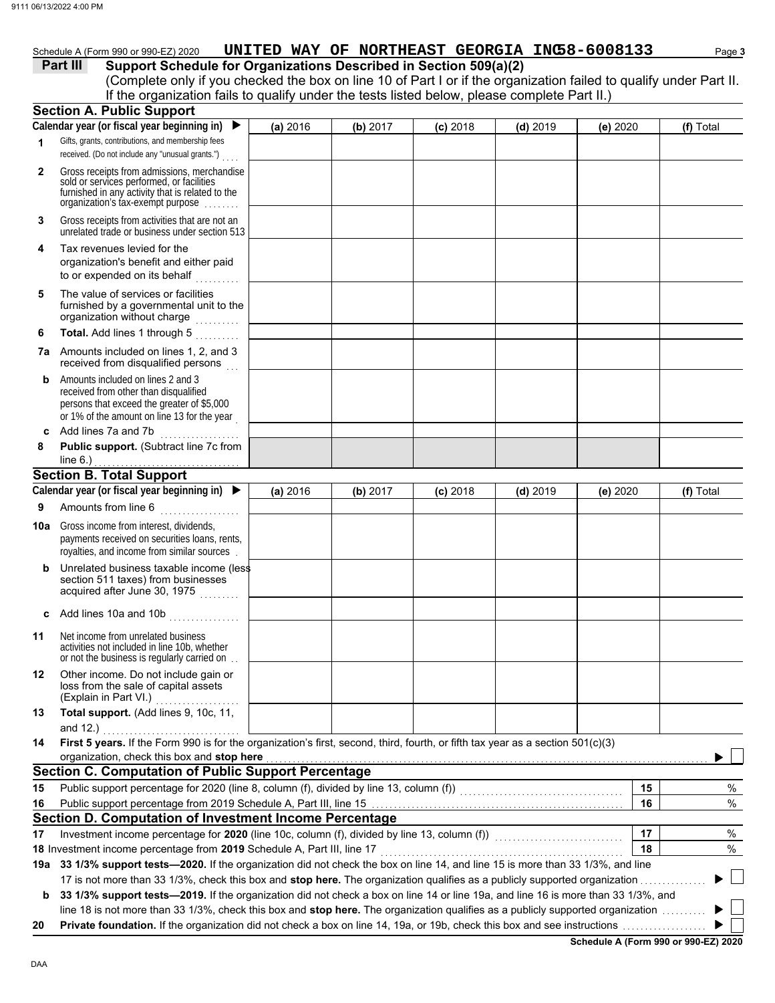## Schedule A (Form 990 or 990-EZ) 2020 **UNITED WAY OF NORTHEAST GEORGIA INC58-6008133** Page 3

### **Part III** Support Schedule for Organizations Described in Section 509(a)(2)

(Complete only if you checked the box on line 10 of Part I or if the organization failed to qualify under Part II. If the organization fails to qualify under the tests listed below, please complete Part II.)

|              | <b>Section A. Public Support</b>                                                                                                                                                  |          |          |            |            |          |    |           |
|--------------|-----------------------------------------------------------------------------------------------------------------------------------------------------------------------------------|----------|----------|------------|------------|----------|----|-----------|
|              | Calendar year (or fiscal year beginning in)                                                                                                                                       | (a) 2016 | (b) 2017 | $(c)$ 2018 | $(d)$ 2019 | (e) 2020 |    | (f) Total |
| 1            | Gifts, grants, contributions, and membership fees<br>received. (Do not include any "unusual grants.")                                                                             |          |          |            |            |          |    |           |
| $\mathbf{2}$ | Gross receipts from admissions, merchandise<br>sold or services performed, or facilities<br>furnished in any activity that is related to the<br>organization's tax-exempt purpose |          |          |            |            |          |    |           |
| 3            | Gross receipts from activities that are not an<br>unrelated trade or business under section 513                                                                                   |          |          |            |            |          |    |           |
| 4            | Tax revenues levied for the<br>organization's benefit and either paid<br>to or expended on its behalf                                                                             |          |          |            |            |          |    |           |
| 5            | The value of services or facilities<br>furnished by a governmental unit to the<br>organization without charge                                                                     |          |          |            |            |          |    |           |
| 6            | Total. Add lines 1 through 5<br>.                                                                                                                                                 |          |          |            |            |          |    |           |
|              | 7a Amounts included on lines 1, 2, and 3<br>received from disqualified persons                                                                                                    |          |          |            |            |          |    |           |
| b            | Amounts included on lines 2 and 3<br>received from other than disqualified<br>persons that exceed the greater of \$5,000<br>or 1% of the amount on line 13 for the year           |          |          |            |            |          |    |           |
| c<br>8       | Add lines 7a and 7b<br>.<br>Public support. (Subtract line 7c from                                                                                                                |          |          |            |            |          |    |           |
|              | line $6.$ )                                                                                                                                                                       |          |          |            |            |          |    |           |
|              | <b>Section B. Total Support</b>                                                                                                                                                   |          |          |            |            |          |    |           |
|              | Calendar year (or fiscal year beginning in) $\blacktriangleright$                                                                                                                 | (a) 2016 | (b) 2017 | $(c)$ 2018 | $(d)$ 2019 | (e) 2020 |    | (f) Total |
| 9            | Amounts from line 6                                                                                                                                                               |          |          |            |            |          |    |           |
| 10a l        | Gross income from interest, dividends,<br>payments received on securities loans, rents,<br>royalties, and income from similar sources                                             |          |          |            |            |          |    |           |
| b            | Unrelated business taxable income (less<br>section 511 taxes) from businesses<br>acquired after June 30, 1975                                                                     |          |          |            |            |          |    |           |
|              | Add lines 10a and 10b                                                                                                                                                             |          |          |            |            |          |    |           |
| 11           | Net income from unrelated business<br>activities not included in line 10b, whether<br>or not the business is regularly carried on                                                 |          |          |            |            |          |    |           |
| 12           | Other income. Do not include gain or<br>loss from the sale of capital assets<br>(Explain in Part VI.)                                                                             |          |          |            |            |          |    |           |
| 13           | Total support. (Add lines 9, 10c, 11,                                                                                                                                             |          |          |            |            |          |    |           |
| 14           | and $12.$ )<br>First 5 years. If the Form 990 is for the organization's first, second, third, fourth, or fifth tax year as a section 501(c)(3)                                    |          |          |            |            |          |    |           |
|              | organization, check this box and stop here                                                                                                                                        |          |          |            |            |          |    |           |
|              | <b>Section C. Computation of Public Support Percentage</b>                                                                                                                        |          |          |            |            |          |    |           |
| 15           | Public support percentage for 2020 (line 8, column (f), divided by line 13, column (f)) [[[[[[[[[[[[[[[[[[[[[                                                                     |          |          |            |            |          | 15 | $\%$      |
| 16           |                                                                                                                                                                                   |          |          |            |            |          | 16 | %         |
|              | Section D. Computation of Investment Income Percentage                                                                                                                            |          |          |            |            |          |    |           |
| 17           | Investment income percentage for 2020 (line 10c, column (f), divided by line 13, column (f)) [[[[[[[[[[[[[[[[                                                                     |          |          |            |            |          | 17 | %         |
|              | 18 Investment income percentage from 2019 Schedule A, Part III, line 17                                                                                                           |          |          |            |            |          | 18 | %         |
|              | 19a 33 1/3% support tests—2020. If the organization did not check the box on line 14, and line 15 is more than 33 1/3%, and line                                                  |          |          |            |            |          |    |           |
|              | 17 is not more than 33 1/3%, check this box and stop here. The organization qualifies as a publicly supported organization.                                                       |          |          |            |            |          |    |           |
| b            | 33 1/3% support tests-2019. If the organization did not check a box on line 14 or line 19a, and line 16 is more than 33 1/3%, and                                                 |          |          |            |            |          |    |           |
|              | line 18 is not more than 33 1/3%, check this box and stop here. The organization qualifies as a publicly supported organization                                                   |          |          |            |            |          |    |           |
| 20           |                                                                                                                                                                                   |          |          |            |            |          |    |           |

**Schedule A (Form 990 or 990-EZ) 2020**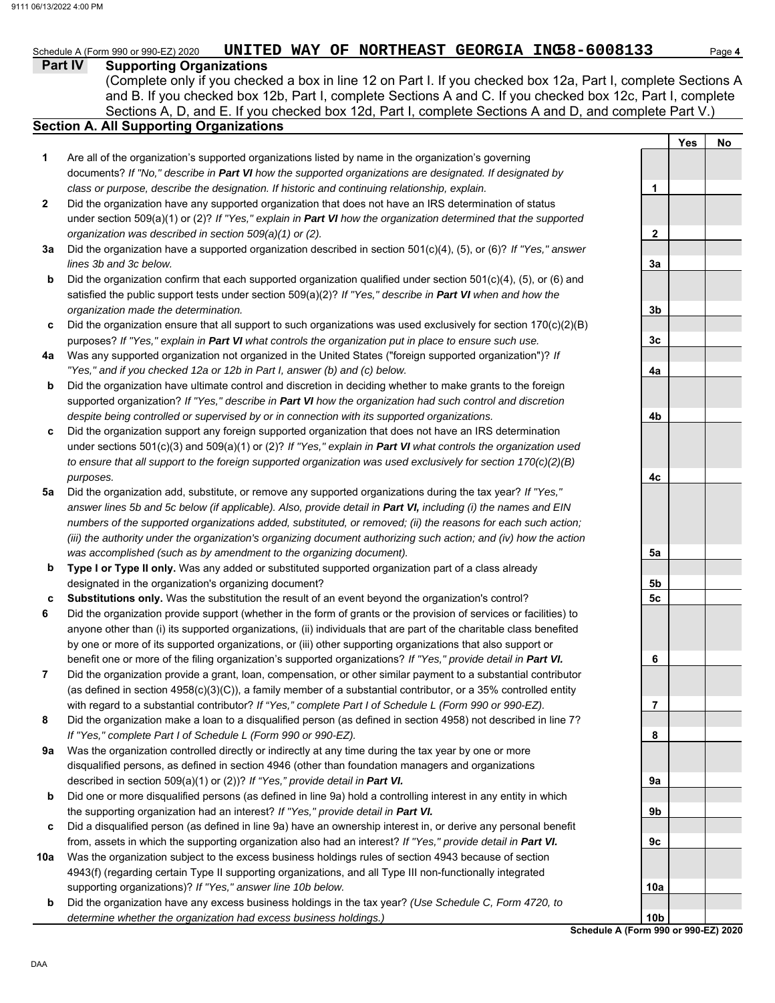**Yes No**

#### **Part IV Supporting Organizations** Sections A, D, and E. If you checked box 12d, Part I, complete Sections A and D, and complete Part V.) Schedule A (Form 990 or 990-EZ) 2020 **UNITED WAY OF NORTHEAST GEORGIA INC58-6008133** Page 4 **Section A. All Supporting Organizations** (Complete only if you checked a box in line 12 on Part I. If you checked box 12a, Part I, complete Sections A and B. If you checked box 12b, Part I, complete Sections A and C. If you checked box 12c, Part I, complete Are all of the organization's supported organizations listed by name in the organization's governing documents? *If "No," describe in Part VI how the supported organizations are designated. If designated by class or purpose, describe the designation. If historic and continuing relationship, explain.* Did the organization have any supported organization that does not have an IRS determination of status under section 509(a)(1) or (2)? *If "Yes," explain in Part VI how the organization determined that the supported organization was described in section 509(a)(1) or (2).* **1 2 3a** Did the organization have a supported organization described in section 501(c)(4), (5), or (6)? *If "Yes," answer* **b c** Did the organization ensure that all support to such organizations was used exclusively for section 170(c)(2)(B) **4a** Was any supported organization not organized in the United States ("foreign supported organization")? *If* **b c** Did the organization support any foreign supported organization that does not have an IRS determination **5a** Did the organization add, substitute, or remove any supported organizations during the tax year? *If "Yes,"* **b c 6 7 8 9a b c 10a b** *lines 3b and 3c below.* Did the organization confirm that each supported organization qualified under section 501(c)(4), (5), or (6) and satisfied the public support tests under section 509(a)(2)? *If "Yes," describe in Part VI when and how the organization made the determination.* purposes? *If "Yes," explain in Part VI what controls the organization put in place to ensure such use. "Yes," and if you checked 12a or 12b in Part I, answer (b) and (c) below.* Did the organization have ultimate control and discretion in deciding whether to make grants to the foreign supported organization? *If "Yes," describe in Part VI how the organization had such control and discretion despite being controlled or supervised by or in connection with its supported organizations.* under sections 501(c)(3) and 509(a)(1) or (2)? *If "Yes," explain in Part VI what controls the organization used to ensure that all support to the foreign supported organization was used exclusively for section 170(c)(2)(B) purposes. answer lines 5b and 5c below (if applicable). Also, provide detail in Part VI, including (i) the names and EIN numbers of the supported organizations added, substituted, or removed; (ii) the reasons for each such action; (iii) the authority under the organization's organizing document authorizing such action; and (iv) how the action was accomplished (such as by amendment to the organizing document).* **Type I or Type II only.** Was any added or substituted supported organization part of a class already designated in the organization's organizing document? **Substitutions only.** Was the substitution the result of an event beyond the organization's control? Did the organization provide support (whether in the form of grants or the provision of services or facilities) to anyone other than (i) its supported organizations, (ii) individuals that are part of the charitable class benefited by one or more of its supported organizations, or (iii) other supporting organizations that also support or benefit one or more of the filing organization's supported organizations? *If "Yes," provide detail in Part VI.* Did the organization provide a grant, loan, compensation, or other similar payment to a substantial contributor (as defined in section 4958(c)(3)(C)), a family member of a substantial contributor, or a 35% controlled entity with regard to a substantial contributor? *If "Yes," complete Part I of Schedule L (Form 990 or 990-EZ).* Did the organization make a loan to a disqualified person (as defined in section 4958) not described in line 7? *If "Yes," complete Part I of Schedule L (Form 990 or 990-EZ).* Was the organization controlled directly or indirectly at any time during the tax year by one or more disqualified persons, as defined in section 4946 (other than foundation managers and organizations described in section 509(a)(1) or (2))? *If "Yes," provide detail in Part VI.* Did one or more disqualified persons (as defined in line 9a) hold a controlling interest in any entity in which the supporting organization had an interest? *If "Yes," provide detail in Part VI.* Did a disqualified person (as defined in line 9a) have an ownership interest in, or derive any personal benefit from, assets in which the supporting organization also had an interest? *If "Yes," provide detail in Part VI.* Was the organization subject to the excess business holdings rules of section 4943 because of section 4943(f) (regarding certain Type II supporting organizations, and all Type III non-functionally integrated supporting organizations)? *If "Yes," answer line 10b below.* Did the organization have any excess business holdings in the tax year? *(Use Schedule C, Form 4720, to determine whether the organization had excess business holdings.)* **1 2 3a 3b 3c 4a 4b 4c 5a 5b 5c 6 7 8 9a 9b 9c 10a 10b**

**Schedule A (Form 990 or 990-EZ) 2020**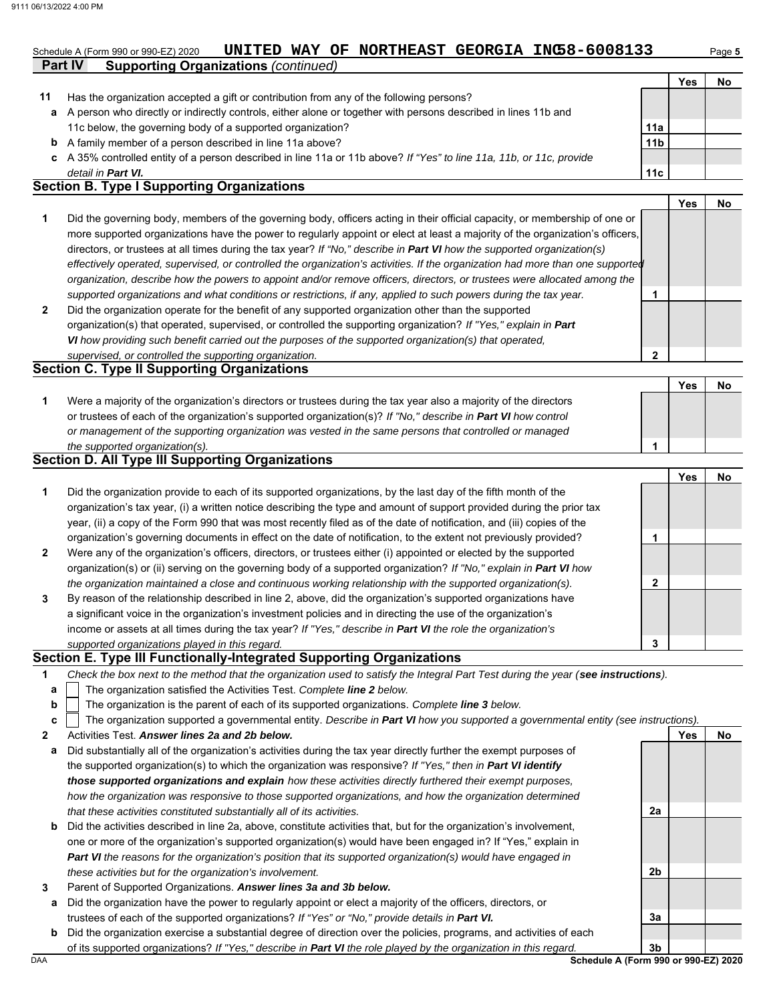# Schedule A (Form 990 or 990-EZ) 2020 **UNITED WAY OF NORTHEAST GEORGIA INC58-6008133** Page **5**

|    |                                                                                                                    |                 | Yes | No |
|----|--------------------------------------------------------------------------------------------------------------------|-----------------|-----|----|
| 11 | Has the organization accepted a gift or contribution from any of the following persons?                            |                 |     |    |
| a  | A person who directly or indirectly controls, either alone or together with persons described in lines 11b and     |                 |     |    |
|    | 11c below, the governing body of a supported organization?                                                         | 11a             |     |    |
| b  | A family member of a person described in line 11a above?                                                           | 11 <sub>b</sub> |     |    |
|    | A 35% controlled entity of a person described in line 11a or 11b above? If "Yes" to line 11a, 11b, or 11c, provide |                 |     |    |
|    | detail in <b>Part VI.</b>                                                                                          | 11 <sub>c</sub> |     |    |
|    | <b>Section B. Type I Supporting Organizations</b>                                                                  |                 |     |    |
|    |                                                                                                                    |                 | Yes | No |

|                | Did the governing body, members of the governing body, officers acting in their official capacity, or membership of one or<br>more supported organizations have the power to regularly appoint or elect at least a majority of the organization's officers, |  |  |
|----------------|-------------------------------------------------------------------------------------------------------------------------------------------------------------------------------------------------------------------------------------------------------------|--|--|
|                | directors, or trustees at all times during the tax year? If "No," describe in <b>Part VI</b> how the supported organization(s)                                                                                                                              |  |  |
|                | effectively operated, supervised, or controlled the organization's activities. If the organization had more than one supported                                                                                                                              |  |  |
|                | organization, describe how the powers to appoint and/or remove officers, directors, or trustees were allocated among the                                                                                                                                    |  |  |
|                | supported organizations and what conditions or restrictions, if any, applied to such powers during the tax year.                                                                                                                                            |  |  |
| $\overline{2}$ | Did the organization operate for the benefit of any supported organization other than the supported                                                                                                                                                         |  |  |
|                | organization(s) that operated, supervised, or controlled the supporting organization? If "Yes," explain in Part                                                                                                                                             |  |  |
|                | VI how providing such benefit carried out the purposes of the supported organization(s) that operated,                                                                                                                                                      |  |  |

*supervised, or controlled the supporting organization.* **Section C. Type II Supporting Organizations** Were a majority of the organization's directors or trustees during the tax year also a majority of the directors or trustees of each of the organization's supported organization(s)? *If "No," describe in Part VI how control* **1** *or management of the supporting organization was vested in the same persons that controlled or managed*  **Yes No**

#### *the supported organization(s).* **Section D. All Type III Supporting Organizations**

**Part IV Supporting Organizations** *(continued)*

|                |                                                                                                                        |   | Yes | No |
|----------------|------------------------------------------------------------------------------------------------------------------------|---|-----|----|
| 1              | Did the organization provide to each of its supported organizations, by the last day of the fifth month of the         |   |     |    |
|                | organization's tax year, (i) a written notice describing the type and amount of support provided during the prior tax  |   |     |    |
|                | year, (ii) a copy of the Form 990 that was most recently filed as of the date of notification, and (iii) copies of the |   |     |    |
|                | organization's governing documents in effect on the date of notification, to the extent not previously provided?       |   |     |    |
| $\overline{2}$ | Were any of the organization's officers, directors, or trustees either (i) appointed or elected by the supported       |   |     |    |
|                | organization(s) or (ii) serving on the governing body of a supported organization? If "No," explain in Part VI how     |   |     |    |
|                | the organization maintained a close and continuous working relationship with the supported organization(s).            | 2 |     |    |
| 3              | By reason of the relationship described in line 2, above, did the organization's supported organizations have          |   |     |    |
|                | a significant voice in the organization's investment policies and in directing the use of the organization's           |   |     |    |
|                | income or assets at all times during the tax year? If "Yes," describe in Part VI the role the organization's           |   |     |    |
|                | supported organizations played in this regard.                                                                         | 3 |     |    |

#### **Section E. Type III Functionally-Integrated Supporting Organizations**

| Check the box next to the method that the organization used to satisfy the Integral Part Test during the year (see instructions). |  |
|-----------------------------------------------------------------------------------------------------------------------------------|--|
|                                                                                                                                   |  |

- The organization satisfied the Activities Test. *Complete line 2 below.* **a**
- The organization is the parent of each of its supported organizations. *Complete line 3 below.* **b**

|  | c $\vert$ The organization supported a governmental entity. Describe in Part VI how you supported a governmental entity (see instructions). |  |  |  |
|--|---------------------------------------------------------------------------------------------------------------------------------------------|--|--|--|
|  |                                                                                                                                             |  |  |  |
|  |                                                                                                                                             |  |  |  |

**2** Activities Test. *Answer lines 2a and 2b below.*

- **a** Did substantially all of the organization's activities during the tax year directly further the exempt purposes of the supported organization(s) to which the organization was responsive? *If "Yes," then in Part VI identify those supported organizations and explain how these activities directly furthered their exempt purposes, how the organization was responsive to those supported organizations, and how the organization determined that these activities constituted substantially all of its activities.*
- **b** Did the activities described in line 2a, above, constitute activities that, but for the organization's involvement, one or more of the organization's supported organization(s) would have been engaged in? If "Yes," explain in *Part VI the reasons for the organization's position that its supported organization(s) would have engaged in these activities but for the organization's involvement.*
- **3** Parent of Supported Organizations. *Answer lines 3a and 3b below.*
	- **a** Did the organization have the power to regularly appoint or elect a majority of the officers, directors, or trustees of each of the supported organizations? *If "Yes" or "No," provide details in Part VI.*
	- **b** Did the organization exercise a substantial degree of direction over the policies, programs, and activities of each of its supported organizations? *If "Yes," describe in Part VI the role played by the organization in this regard.*

DAA **Schedule A (Form 990 or 990-EZ) 2020 3b**

**2a**

**2b**

**3a**

**Yes No**

**1**

**2**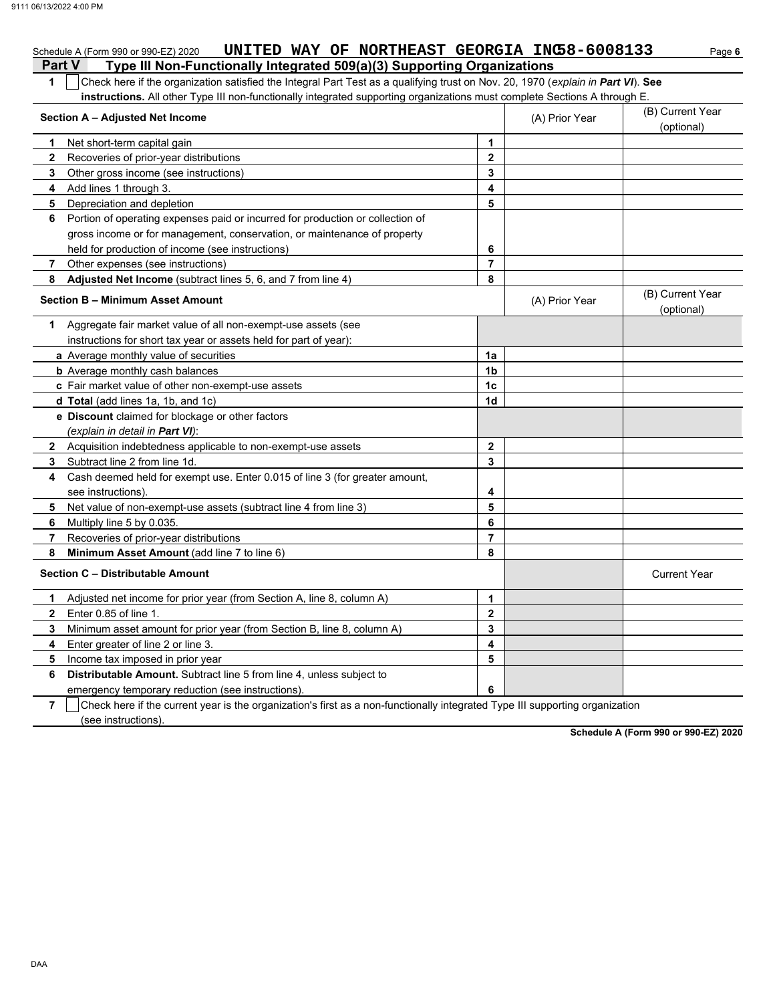|                | UNITED WAY OF NORTHEAST GEORGIA INC58-6008133<br>Schedule A (Form 990 or 990-EZ) 2020                                                 |                         |                | Page 6                         |  |  |  |
|----------------|---------------------------------------------------------------------------------------------------------------------------------------|-------------------------|----------------|--------------------------------|--|--|--|
| <b>Part V</b>  | Type III Non-Functionally Integrated 509(a)(3) Supporting Organizations                                                               |                         |                |                                |  |  |  |
|                | Check here if the organization satisfied the Integral Part Test as a qualifying trust on Nov. 20, 1970 (explain in Part VI). See<br>1 |                         |                |                                |  |  |  |
|                | instructions. All other Type III non-functionally integrated supporting organizations must complete Sections A through E.             |                         |                |                                |  |  |  |
|                | Section A - Adjusted Net Income                                                                                                       |                         | (A) Prior Year | (B) Current Year<br>(optional) |  |  |  |
| 1              | Net short-term capital gain                                                                                                           | 1                       |                |                                |  |  |  |
| $\mathbf{2}$   | Recoveries of prior-year distributions                                                                                                | $\overline{2}$          |                |                                |  |  |  |
| 3              | Other gross income (see instructions)                                                                                                 | 3                       |                |                                |  |  |  |
| 4              | Add lines 1 through 3.                                                                                                                | 4                       |                |                                |  |  |  |
| 5              | Depreciation and depletion                                                                                                            | 5                       |                |                                |  |  |  |
| 6              | Portion of operating expenses paid or incurred for production or collection of                                                        |                         |                |                                |  |  |  |
|                | gross income or for management, conservation, or maintenance of property                                                              |                         |                |                                |  |  |  |
|                | held for production of income (see instructions)                                                                                      | 6                       |                |                                |  |  |  |
| 7              | Other expenses (see instructions)                                                                                                     | $\overline{7}$          |                |                                |  |  |  |
| 8              | Adjusted Net Income (subtract lines 5, 6, and 7 from line 4)                                                                          | 8                       |                |                                |  |  |  |
|                | <b>Section B - Minimum Asset Amount</b>                                                                                               |                         | (A) Prior Year | (B) Current Year<br>(optional) |  |  |  |
| 1              | Aggregate fair market value of all non-exempt-use assets (see                                                                         |                         |                |                                |  |  |  |
|                | instructions for short tax year or assets held for part of year):                                                                     |                         |                |                                |  |  |  |
|                | a Average monthly value of securities                                                                                                 | 1a                      |                |                                |  |  |  |
|                | <b>b</b> Average monthly cash balances                                                                                                | 1 <sub>b</sub>          |                |                                |  |  |  |
|                | c Fair market value of other non-exempt-use assets                                                                                    | 1 <sub>c</sub>          |                |                                |  |  |  |
|                | d Total (add lines 1a, 1b, and 1c)                                                                                                    | 1d                      |                |                                |  |  |  |
|                | e Discount claimed for blockage or other factors                                                                                      |                         |                |                                |  |  |  |
|                | (explain in detail in Part VI):                                                                                                       |                         |                |                                |  |  |  |
| $\mathbf{2}$   | Acquisition indebtedness applicable to non-exempt-use assets                                                                          | $\mathbf{2}$            |                |                                |  |  |  |
| 3              | Subtract line 2 from line 1d.                                                                                                         | 3                       |                |                                |  |  |  |
| 4              | Cash deemed held for exempt use. Enter 0.015 of line 3 (for greater amount,                                                           |                         |                |                                |  |  |  |
|                | see instructions).                                                                                                                    | 4                       |                |                                |  |  |  |
| 5              | Net value of non-exempt-use assets (subtract line 4 from line 3)                                                                      | 5                       |                |                                |  |  |  |
| 6              | Multiply line 5 by 0.035.                                                                                                             | 6                       |                |                                |  |  |  |
| 7              | Recoveries of prior-year distributions                                                                                                | $\overline{7}$          |                |                                |  |  |  |
| 8              | Minimum Asset Amount (add line 7 to line 6)                                                                                           | 8                       |                |                                |  |  |  |
|                | Section C - Distributable Amount                                                                                                      |                         |                | <b>Current Year</b>            |  |  |  |
| 1              | Adjusted net income for prior year (from Section A, line 8, column A)                                                                 | 1                       |                |                                |  |  |  |
| $\mathbf 2$    | Enter 0.85 of line 1.                                                                                                                 | $\overline{\mathbf{2}}$ |                |                                |  |  |  |
| 3              | Minimum asset amount for prior year (from Section B, line 8, column A)                                                                | 3                       |                |                                |  |  |  |
| 4              | Enter greater of line 2 or line 3.                                                                                                    | 4                       |                |                                |  |  |  |
| 5              | Income tax imposed in prior year                                                                                                      | 5                       |                |                                |  |  |  |
| 6              | Distributable Amount. Subtract line 5 from line 4, unless subject to                                                                  |                         |                |                                |  |  |  |
|                | emergency temporary reduction (see instructions).                                                                                     | 6                       |                |                                |  |  |  |
| $\overline{7}$ | Check here if the current year is the organization's first as a non-functionally integrated Type III supporting organization          |                         |                |                                |  |  |  |

(see instructions).

**Schedule A (Form 990 or 990-EZ) 2020**

DAA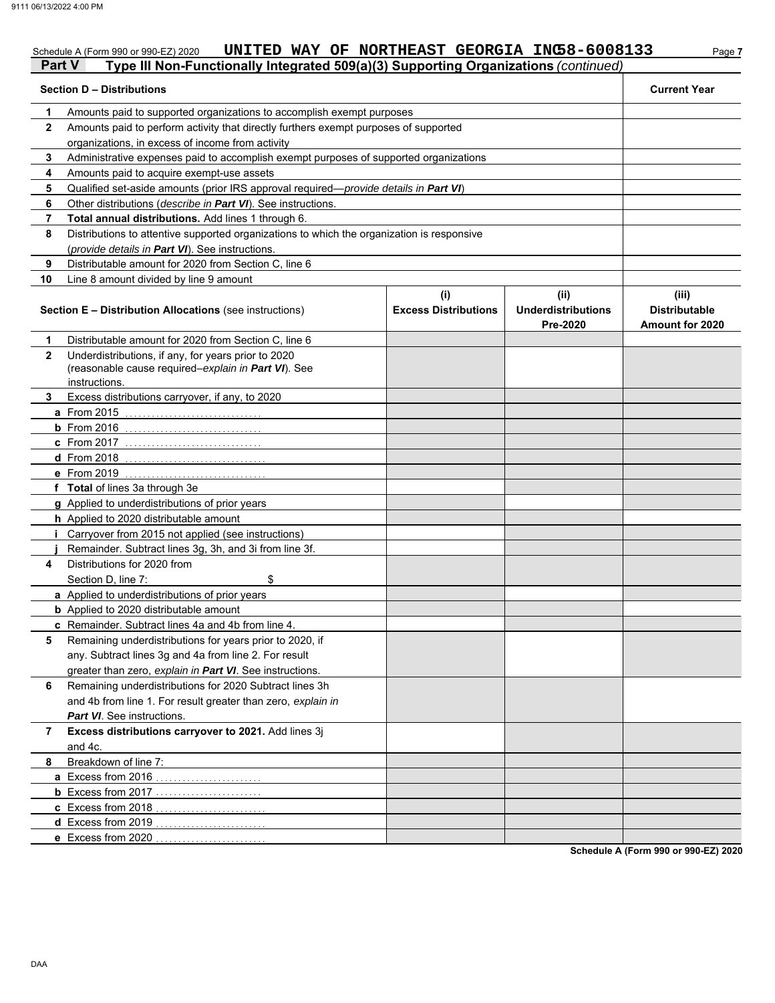#### Schedule A (Form 990 or 990-EZ) 2020 **UNITED WAY OF NORTHEAST GEORGIA INC5 8-6 0 0 8 L 3 S** Page **7 UNITED WAY OF NORTHEAST GEORGIA INC58-6008133**

|              | Part V<br>Type III Non-Functionally Integrated 509(a)(3) Supporting Organizations (continued)                               |                                    |                                               |                                                         |  |
|--------------|-----------------------------------------------------------------------------------------------------------------------------|------------------------------------|-----------------------------------------------|---------------------------------------------------------|--|
|              | <b>Section D - Distributions</b>                                                                                            |                                    |                                               | <b>Current Year</b>                                     |  |
| 1            | Amounts paid to supported organizations to accomplish exempt purposes                                                       |                                    |                                               |                                                         |  |
| $\mathbf{2}$ | Amounts paid to perform activity that directly furthers exempt purposes of supported                                        |                                    |                                               |                                                         |  |
|              | organizations, in excess of income from activity                                                                            |                                    |                                               |                                                         |  |
| 3            | Administrative expenses paid to accomplish exempt purposes of supported organizations                                       |                                    |                                               |                                                         |  |
| 4            | Amounts paid to acquire exempt-use assets                                                                                   |                                    |                                               |                                                         |  |
| 5            | Qualified set-aside amounts (prior IRS approval required-provide details in Part VI)                                        |                                    |                                               |                                                         |  |
| 6            | Other distributions (describe in Part VI). See instructions.                                                                |                                    |                                               |                                                         |  |
| 7            | Total annual distributions. Add lines 1 through 6.                                                                          |                                    |                                               |                                                         |  |
| 8            | Distributions to attentive supported organizations to which the organization is responsive                                  |                                    |                                               |                                                         |  |
|              | (provide details in Part VI). See instructions.                                                                             |                                    |                                               |                                                         |  |
| 9            | Distributable amount for 2020 from Section C, line 6                                                                        |                                    |                                               |                                                         |  |
| 10           | Line 8 amount divided by line 9 amount                                                                                      |                                    |                                               |                                                         |  |
|              | Section E - Distribution Allocations (see instructions)                                                                     | (i)<br><b>Excess Distributions</b> | (ii)<br><b>Underdistributions</b><br>Pre-2020 | (iii)<br><b>Distributable</b><br><b>Amount for 2020</b> |  |
| 1            | Distributable amount for 2020 from Section C, line 6                                                                        |                                    |                                               |                                                         |  |
| $\mathbf{2}$ | Underdistributions, if any, for years prior to 2020<br>(reasonable cause required-explain in Part VI). See<br>instructions. |                                    |                                               |                                                         |  |
| 3            | Excess distributions carryover, if any, to 2020                                                                             |                                    |                                               |                                                         |  |
|              | a From 2015                                                                                                                 |                                    |                                               |                                                         |  |
|              | <b>b</b> From $2016$                                                                                                        |                                    |                                               |                                                         |  |
|              | <b>c</b> From 2017                                                                                                          |                                    |                                               |                                                         |  |
|              | <b>d</b> From 2018                                                                                                          |                                    |                                               |                                                         |  |
|              | e From 2019                                                                                                                 |                                    |                                               |                                                         |  |
|              | f Total of lines 3a through 3e                                                                                              |                                    |                                               |                                                         |  |
|              | g Applied to underdistributions of prior years                                                                              |                                    |                                               |                                                         |  |
|              | <b>h</b> Applied to 2020 distributable amount                                                                               |                                    |                                               |                                                         |  |
|              | Carryover from 2015 not applied (see instructions)                                                                          |                                    |                                               |                                                         |  |
|              | Remainder. Subtract lines 3g, 3h, and 3i from line 3f.                                                                      |                                    |                                               |                                                         |  |
| 4            | Distributions for 2020 from                                                                                                 |                                    |                                               |                                                         |  |
|              | \$<br>Section D, line 7:                                                                                                    |                                    |                                               |                                                         |  |
|              | a Applied to underdistributions of prior years                                                                              |                                    |                                               |                                                         |  |
|              | <b>b</b> Applied to 2020 distributable amount                                                                               |                                    |                                               |                                                         |  |
|              | c Remainder. Subtract lines 4a and 4b from line 4.                                                                          |                                    |                                               |                                                         |  |
| 5            | Remaining underdistributions for years prior to 2020, if                                                                    |                                    |                                               |                                                         |  |
|              | any. Subtract lines 3g and 4a from line 2. For result                                                                       |                                    |                                               |                                                         |  |
|              | greater than zero, explain in Part VI. See instructions.                                                                    |                                    |                                               |                                                         |  |
| 6            | Remaining underdistributions for 2020 Subtract lines 3h                                                                     |                                    |                                               |                                                         |  |
|              | and 4b from line 1. For result greater than zero, explain in                                                                |                                    |                                               |                                                         |  |
|              | <b>Part VI</b> . See instructions.                                                                                          |                                    |                                               |                                                         |  |
| 7            | Excess distributions carryover to 2021. Add lines 3j<br>and 4c.                                                             |                                    |                                               |                                                         |  |
| 8            | Breakdown of line 7:                                                                                                        |                                    |                                               |                                                         |  |
|              | a Excess from 2016                                                                                                          |                                    |                                               |                                                         |  |
|              | <b>b</b> Excess from 2017                                                                                                   |                                    |                                               |                                                         |  |
|              | c Excess from 2018                                                                                                          |                                    |                                               |                                                         |  |
|              | d Excess from 2019                                                                                                          |                                    |                                               |                                                         |  |
|              | e Excess from 2020                                                                                                          |                                    |                                               |                                                         |  |
|              |                                                                                                                             |                                    |                                               |                                                         |  |

**Schedule A (Form 990 or 990-EZ) 2020**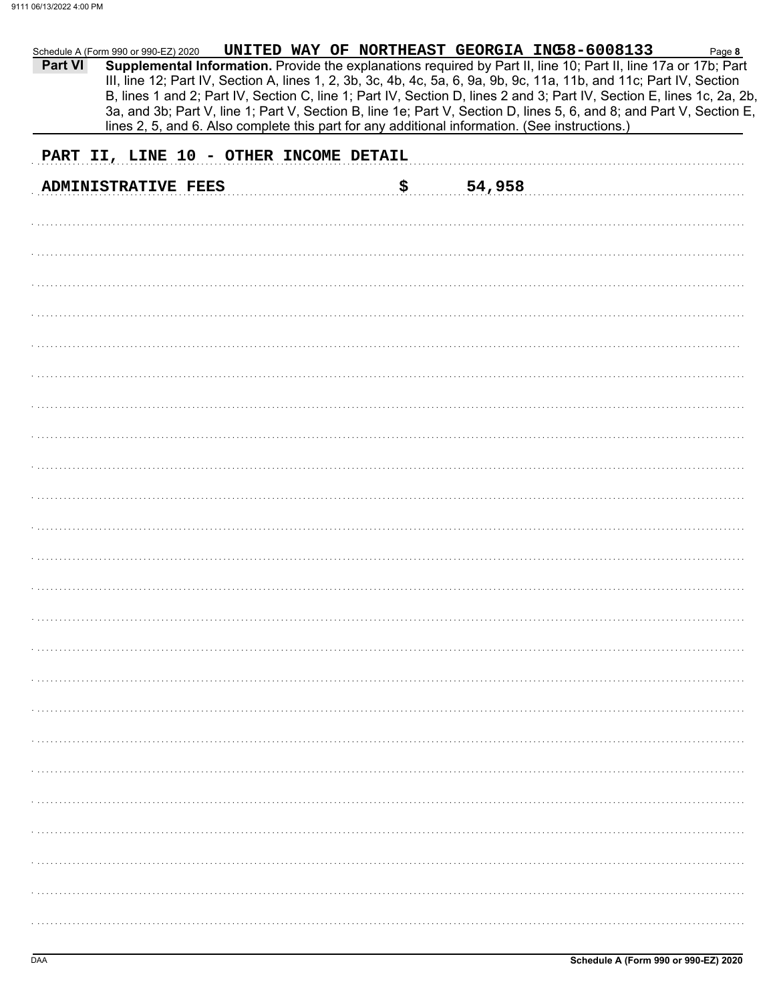| <b>Part VI</b> | Schedule A (Form 990 or 990-EZ) 2020<br>Supplemental Information. Provide the explanations required by Part II, line 10; Part II, line 17a or 17b; Part<br>III, line 12; Part IV, Section A, lines 1, 2, 3b, 3c, 4b, 4c, 5a, 6, 9a, 9b, 9c, 11a, 11b, and 11c; Part IV, Section<br>B, lines 1 and 2; Part IV, Section C, line 1; Part IV, Section D, lines 2 and 3; Part IV, Section E, lines 1c, 2a, 2b,<br>3a, and 3b; Part V, line 1; Part V, Section B, line 1e; Part V, Section D, lines 5, 6, and 8; and Part V, Section E,<br>lines 2, 5, and 6. Also complete this part for any additional information. (See instructions.) |    | UNITED WAY OF NORTHEAST GEORGIA INC58-6008133 | Page 8 |
|----------------|-------------------------------------------------------------------------------------------------------------------------------------------------------------------------------------------------------------------------------------------------------------------------------------------------------------------------------------------------------------------------------------------------------------------------------------------------------------------------------------------------------------------------------------------------------------------------------------------------------------------------------------|----|-----------------------------------------------|--------|
|                | PART II, LINE 10 - OTHER INCOME DETAIL                                                                                                                                                                                                                                                                                                                                                                                                                                                                                                                                                                                              |    |                                               |        |
|                | <b>ADMINISTRATIVE FEES</b>                                                                                                                                                                                                                                                                                                                                                                                                                                                                                                                                                                                                          | \$ | 54,958                                        |        |
|                |                                                                                                                                                                                                                                                                                                                                                                                                                                                                                                                                                                                                                                     |    |                                               |        |
|                |                                                                                                                                                                                                                                                                                                                                                                                                                                                                                                                                                                                                                                     |    |                                               |        |
|                |                                                                                                                                                                                                                                                                                                                                                                                                                                                                                                                                                                                                                                     |    |                                               |        |
|                |                                                                                                                                                                                                                                                                                                                                                                                                                                                                                                                                                                                                                                     |    |                                               |        |
|                |                                                                                                                                                                                                                                                                                                                                                                                                                                                                                                                                                                                                                                     |    |                                               |        |
|                |                                                                                                                                                                                                                                                                                                                                                                                                                                                                                                                                                                                                                                     |    |                                               |        |
|                |                                                                                                                                                                                                                                                                                                                                                                                                                                                                                                                                                                                                                                     |    |                                               |        |
|                |                                                                                                                                                                                                                                                                                                                                                                                                                                                                                                                                                                                                                                     |    |                                               |        |
|                |                                                                                                                                                                                                                                                                                                                                                                                                                                                                                                                                                                                                                                     |    |                                               |        |
|                |                                                                                                                                                                                                                                                                                                                                                                                                                                                                                                                                                                                                                                     |    |                                               |        |
|                |                                                                                                                                                                                                                                                                                                                                                                                                                                                                                                                                                                                                                                     |    |                                               |        |
|                |                                                                                                                                                                                                                                                                                                                                                                                                                                                                                                                                                                                                                                     |    |                                               |        |
|                |                                                                                                                                                                                                                                                                                                                                                                                                                                                                                                                                                                                                                                     |    |                                               |        |
|                |                                                                                                                                                                                                                                                                                                                                                                                                                                                                                                                                                                                                                                     |    |                                               |        |
|                |                                                                                                                                                                                                                                                                                                                                                                                                                                                                                                                                                                                                                                     |    |                                               |        |
|                |                                                                                                                                                                                                                                                                                                                                                                                                                                                                                                                                                                                                                                     |    |                                               |        |
|                |                                                                                                                                                                                                                                                                                                                                                                                                                                                                                                                                                                                                                                     |    |                                               |        |
|                |                                                                                                                                                                                                                                                                                                                                                                                                                                                                                                                                                                                                                                     |    |                                               |        |
|                |                                                                                                                                                                                                                                                                                                                                                                                                                                                                                                                                                                                                                                     |    |                                               |        |
|                |                                                                                                                                                                                                                                                                                                                                                                                                                                                                                                                                                                                                                                     |    |                                               |        |
|                |                                                                                                                                                                                                                                                                                                                                                                                                                                                                                                                                                                                                                                     |    |                                               |        |
|                |                                                                                                                                                                                                                                                                                                                                                                                                                                                                                                                                                                                                                                     |    |                                               |        |
|                |                                                                                                                                                                                                                                                                                                                                                                                                                                                                                                                                                                                                                                     |    |                                               |        |
|                |                                                                                                                                                                                                                                                                                                                                                                                                                                                                                                                                                                                                                                     |    |                                               |        |
|                |                                                                                                                                                                                                                                                                                                                                                                                                                                                                                                                                                                                                                                     |    |                                               |        |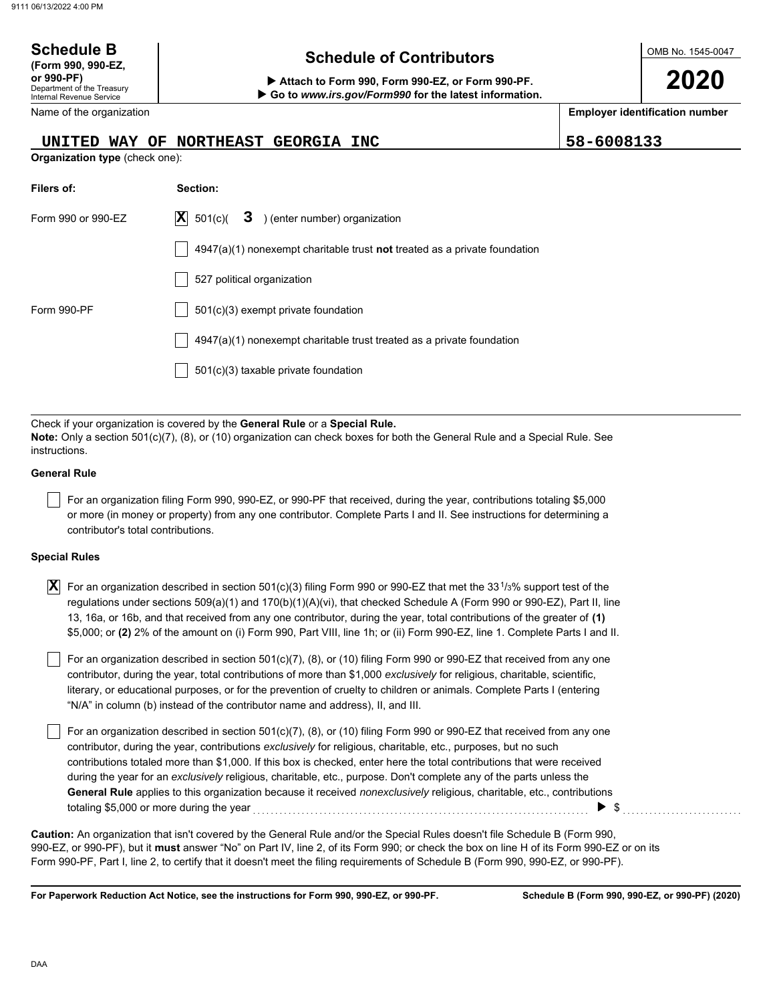| <b>Schedule B</b><br>(Form 990, 990-EZ,                              | <b>Schedule of Contributors</b>                                                                                                                                                                             |  | OMB No. 1545-0047                     |  |  |  |  |  |
|----------------------------------------------------------------------|-------------------------------------------------------------------------------------------------------------------------------------------------------------------------------------------------------------|--|---------------------------------------|--|--|--|--|--|
| or 990-PF)<br>Department of the Treasury<br>Internal Revenue Service | Attach to Form 990, Form 990-EZ, or Form 990-PF.<br>Go to www.irs.gov/Form990 for the latest information.                                                                                                   |  | 2020                                  |  |  |  |  |  |
| Name of the organization                                             |                                                                                                                                                                                                             |  | <b>Employer identification number</b> |  |  |  |  |  |
|                                                                      | 58-6008133<br>NORTHEAST GEORGIA INC<br>UNITED WAY OF                                                                                                                                                        |  |                                       |  |  |  |  |  |
| <b>Organization type (check one):</b>                                |                                                                                                                                                                                                             |  |                                       |  |  |  |  |  |
| Filers of:                                                           | Section:                                                                                                                                                                                                    |  |                                       |  |  |  |  |  |
| Form 990 or 990-EZ                                                   | $ \mathbf{X} $<br>3 ) (enter number) organization<br>501(c)(                                                                                                                                                |  |                                       |  |  |  |  |  |
|                                                                      | $4947(a)(1)$ nonexempt charitable trust <b>not</b> treated as a private foundation                                                                                                                          |  |                                       |  |  |  |  |  |
|                                                                      | 527 political organization                                                                                                                                                                                  |  |                                       |  |  |  |  |  |
| Form 990-PF                                                          | 501(c)(3) exempt private foundation                                                                                                                                                                         |  |                                       |  |  |  |  |  |
|                                                                      | 4947(a)(1) nonexempt charitable trust treated as a private foundation                                                                                                                                       |  |                                       |  |  |  |  |  |
|                                                                      | 501(c)(3) taxable private foundation                                                                                                                                                                        |  |                                       |  |  |  |  |  |
|                                                                      |                                                                                                                                                                                                             |  |                                       |  |  |  |  |  |
| instructions.                                                        | Check if your organization is covered by the General Rule or a Special Rule.<br>Note: Only a section 501(c)(7), (8), or (10) organization can check boxes for both the General Rule and a Special Rule. See |  |                                       |  |  |  |  |  |
| <b>General Rule</b>                                                  |                                                                                                                                                                                                             |  |                                       |  |  |  |  |  |

For an organization filing Form 990, 990-EZ, or 990-PF that received, during the year, contributions totaling \$5,000 or more (in money or property) from any one contributor. Complete Parts I and II. See instructions for determining a contributor's total contributions.

#### **Special Rules**

| $\vert \overline{\textbf{X}} \vert$ For an organization described in section 501(c)(3) filing Form 990 or 990-EZ that met the 33 <sup>1</sup> /3% support test of the |
|-----------------------------------------------------------------------------------------------------------------------------------------------------------------------|
| regulations under sections 509(a)(1) and 170(b)(1)(A)(vi), that checked Schedule A (Form 990 or 990-EZ), Part II, line                                                |
| 13, 16a, or 16b, and that received from any one contributor, during the year, total contributions of the greater of (1)                                               |
| \$5,000; or (2) 2% of the amount on (i) Form 990, Part VIII, line 1h; or (ii) Form 990-EZ, line 1. Complete Parts I and II.                                           |

literary, or educational purposes, or for the prevention of cruelty to children or animals. Complete Parts I (entering For an organization described in section 501(c)(7), (8), or (10) filing Form 990 or 990-EZ that received from any one contributor, during the year, total contributions of more than \$1,000 *exclusively* for religious, charitable, scientific, "N/A" in column (b) instead of the contributor name and address), II, and III.

For an organization described in section 501(c)(7), (8), or (10) filing Form 990 or 990-EZ that received from any one contributor, during the year, contributions *exclusively* for religious, charitable, etc., purposes, but no such contributions totaled more than \$1,000. If this box is checked, enter here the total contributions that were received during the year for an *exclusively* religious, charitable, etc., purpose. Don't complete any of the parts unless the **General Rule** applies to this organization because it received *nonexclusively* religious, charitable, etc., contributions totaling \$5,000 or more during the year . . . . . . . . . . . . . . . . . . . . . . . . . . . . . . . . . . . . . . . . . . . . . . . . . . . . . . . . . . . . . . . . . . . . . . . . . . . . \$ . . . . . . . . . . . . . . . . . . . . . . . . . . .

990-EZ, or 990-PF), but it **must** answer "No" on Part IV, line 2, of its Form 990; or check the box on line H of its Form 990-EZ or on its Form 990-PF, Part I, line 2, to certify that it doesn't meet the filing requirements of Schedule B (Form 990, 990-EZ, or 990-PF). **Caution:** An organization that isn't covered by the General Rule and/or the Special Rules doesn't file Schedule B (Form 990,

**For Paperwork Reduction Act Notice, see the instructions for Form 990, 990-EZ, or 990-PF.**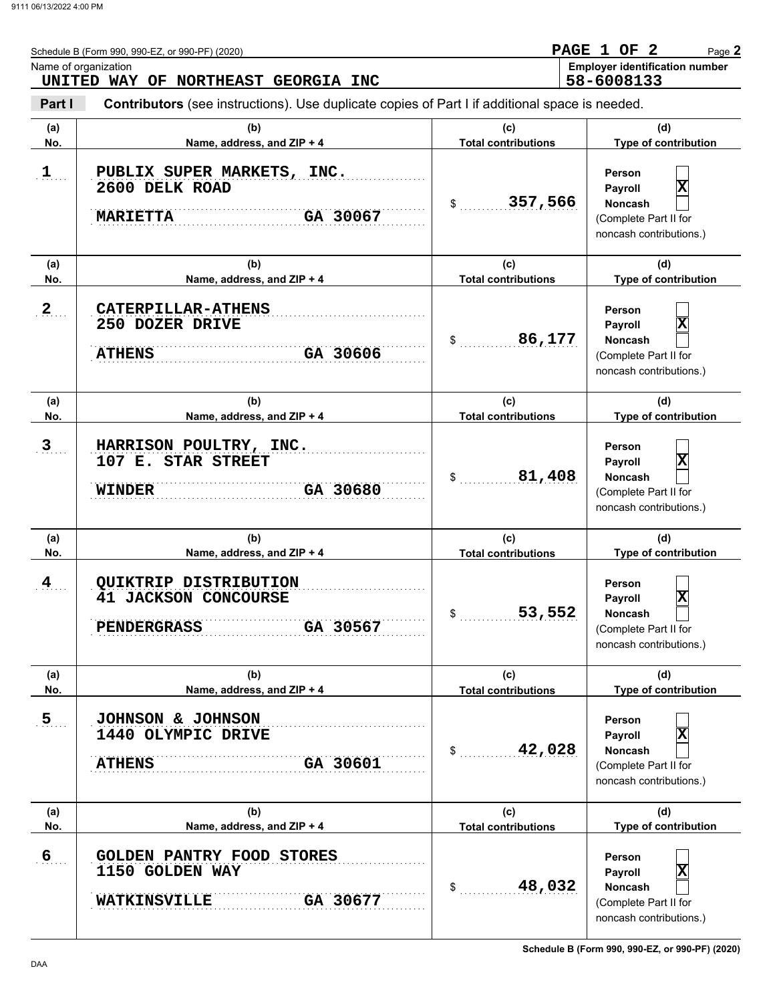|                  | Schedule B (Form 990, 990-EZ, or 990-PF) (2020)                                                | <b>PAGE</b><br>1 OF<br>2<br>Page 2 |                                                                                                                    |  |  |
|------------------|------------------------------------------------------------------------------------------------|------------------------------------|--------------------------------------------------------------------------------------------------------------------|--|--|
|                  | Name of organization<br>UNITED WAY OF NORTHEAST GEORGIA INC                                    |                                    | <b>Employer identification number</b><br>58-6008133                                                                |  |  |
| Part I           | Contributors (see instructions). Use duplicate copies of Part I if additional space is needed. |                                    |                                                                                                                    |  |  |
| (a)<br>No.       | (b)<br>Name, address, and ZIP + 4                                                              | (c)<br><b>Total contributions</b>  | (d)<br>Type of contribution                                                                                        |  |  |
| $\mathbf{1}$     | PUBLIX SUPER MARKETS, INC.<br>2600 DELK ROAD<br>GA 30067<br><b>MARIETTA</b>                    | 357,566<br>$\frac{1}{2}$           | Person<br>$\overline{\mathbf{x}}$<br>Payroll<br>Noncash<br>(Complete Part II for<br>noncash contributions.)        |  |  |
| (a)              | (b)                                                                                            | (c)                                | (d)                                                                                                                |  |  |
| No.              | Name, address, and ZIP + 4                                                                     | <b>Total contributions</b>         | Type of contribution                                                                                               |  |  |
| $\mathbf{2}$     | <b>CATERPILLAR-ATHENS</b><br>250 DOZER DRIVE<br>GA 30606<br><b>ATHENS</b>                      | 86,177<br>\$                       | Person<br>$\overline{\mathbf{x}}$<br>Payroll<br><b>Noncash</b><br>(Complete Part II for<br>noncash contributions.) |  |  |
| (a)<br>No.       | (b)<br>Name, address, and ZIP + 4                                                              | (c)<br><b>Total contributions</b>  | (d)<br>Type of contribution                                                                                        |  |  |
| 3                | HARRISON POULTRY, INC.<br>107 E. STAR STREET<br>GA 30680<br><b>WINDER</b>                      | 81,408<br>\$                       | Person<br>$\overline{\mathbf{x}}$<br>Payroll<br><b>Noncash</b><br>(Complete Part II for<br>noncash contributions.) |  |  |
| (a)<br>No.       | (b)<br>Name, address, and ZIP + 4                                                              | (c)<br><b>Total contributions</b>  | (d)<br>Type of contribution                                                                                        |  |  |
| 4                | QUIKTRIP DISTRIBUTION<br><b>41 JACKSON CONCOURSE</b><br>GA 30567<br><b>PENDERGRASS</b>         | 53,552                             | Person<br>$\overline{\mathbf{x}}$<br>Payroll<br>Noncash<br>(Complete Part II for<br>noncash contributions.)        |  |  |
| (a)              | (b)                                                                                            | (c)                                | (d)                                                                                                                |  |  |
| No.              | Name, address, and ZIP + 4                                                                     | <b>Total contributions</b>         | Type of contribution                                                                                               |  |  |
| $\overline{5}$   | JOHNSON & JOHNSON<br>1440 OLYMPIC DRIVE<br><b>ATHENS</b><br>GA 30601                           | 42,028<br>\$                       | Person<br>x<br>Payroll<br>Noncash<br>(Complete Part II for<br>noncash contributions.)                              |  |  |
| (a)<br>No.       | (b)<br>Name, address, and ZIP + 4                                                              | (c)<br><b>Total contributions</b>  | (d)<br>Type of contribution                                                                                        |  |  |
| $6 \overline{6}$ | <b>GOLDEN PANTRY FOOD STORES</b><br>1150 GOLDEN WAY<br>GA 30677<br><b>WATKINSVILLE</b>         | 48,032<br>\$                       | Person<br>X<br>Payroll<br>Noncash<br>(Complete Part II for<br>noncash contributions.)                              |  |  |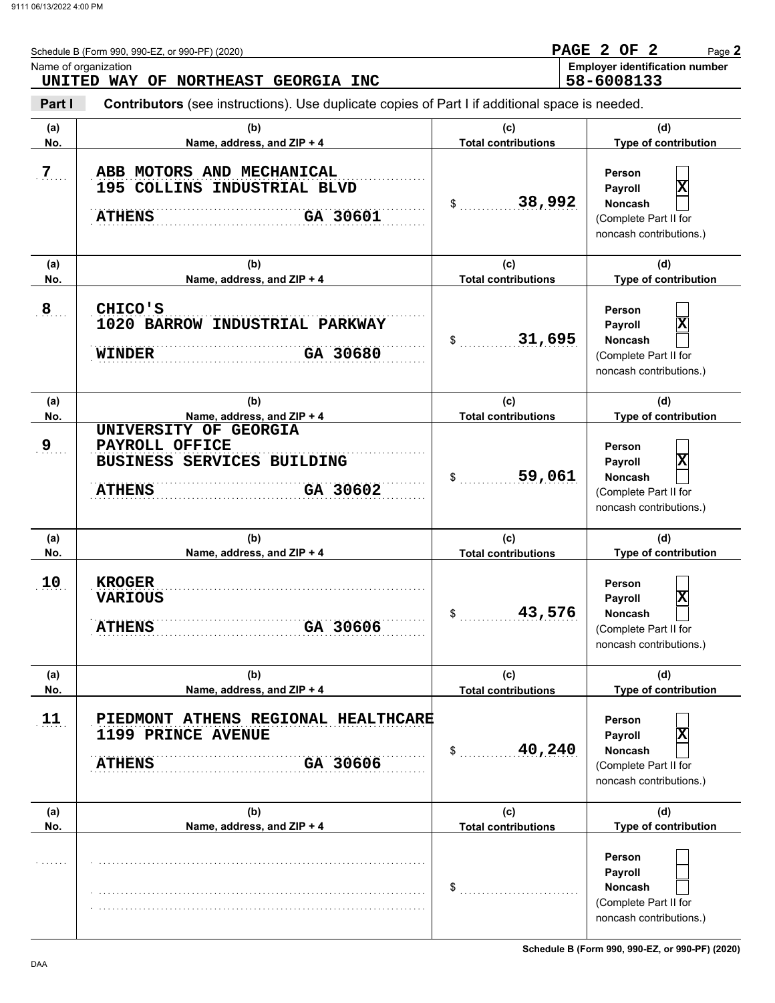|                | Schedule B (Form 990, 990-EZ, or 990-PF) (2020)<br>Name of organization                                                               |                                   | PAGE 2 OF 2<br>Page 2<br><b>Employer identification number</b>                                                     |
|----------------|---------------------------------------------------------------------------------------------------------------------------------------|-----------------------------------|--------------------------------------------------------------------------------------------------------------------|
| Part I         | UNITED WAY OF NORTHEAST GEORGIA INC<br>Contributors (see instructions). Use duplicate copies of Part I if additional space is needed. |                                   | 58-6008133                                                                                                         |
| (a)<br>No.     | (b)<br>Name, address, and ZIP + 4                                                                                                     | (c)<br><b>Total contributions</b> | (d)<br>Type of contribution                                                                                        |
| $\overline{7}$ | ABB MOTORS AND MECHANICAL<br>195 COLLINS INDUSTRIAL BLVD<br>GA 30601<br><b>ATHENS</b>                                                 | 38,992<br>\$                      | Person<br>$\overline{\mathbf{x}}$<br>Payroll<br><b>Noncash</b><br>(Complete Part II for<br>noncash contributions.) |
| (a)<br>No.     | (b)<br>Name, address, and ZIP + 4                                                                                                     | (c)<br><b>Total contributions</b> | (d)<br>Type of contribution                                                                                        |
| $\overline{8}$ | CHICO'S<br>1020 BARROW INDUSTRIAL PARKWAY<br>GA 30680<br><b>WINDER</b>                                                                | 31,695<br>\$                      | Person<br>$\overline{\mathbf{x}}$<br>Payroll<br><b>Noncash</b><br>(Complete Part II for<br>noncash contributions.) |
| (a)<br>No.     | (b)<br>Name, address, and ZIP + 4                                                                                                     | (c)<br><b>Total contributions</b> | (d)<br>Type of contribution                                                                                        |
| 9              | UNIVERSITY OF GEORGIA<br>PAYROLL OFFICE<br><b>BUSINESS SERVICES BUILDING</b><br>GA 30602<br><b>ATHENS</b>                             | 59,061<br>\$                      | Person<br>$\overline{\mathbf{x}}$<br>Payroll<br><b>Noncash</b><br>(Complete Part II for<br>noncash contributions.) |
| (a)<br>No.     | (b)<br>Name, address, and ZIP + 4                                                                                                     | (c)<br><b>Total contributions</b> | (d)<br>Type of contribution                                                                                        |
| 10             | <b>KROGER</b><br><b>VARIOUS</b><br>GA 30606<br><b>ATHENS</b>                                                                          | 43,576<br>\$                      | Person<br>$ \mathbf{x} $<br>Payroll<br>Noncash<br>(Complete Part II for<br>noncash contributions.)                 |
| (a)<br>No.     | (b)<br>Name, address, and ZIP + 4                                                                                                     | (c)<br><b>Total contributions</b> | (d)<br>Type of contribution                                                                                        |
| 11             | PIEDMONT ATHENS REGIONAL HEALTHCARE<br>1199 PRINCE AVENUE<br>GA 30606<br><b>ATHENS</b>                                                | 40,240<br>\$                      | Person<br>X<br>Payroll<br>Noncash<br>(Complete Part II for<br>noncash contributions.)                              |
| (a)<br>No.     | (b)<br>Name, address, and ZIP + 4                                                                                                     | (c)<br><b>Total contributions</b> | (d)<br>Type of contribution                                                                                        |
|                |                                                                                                                                       | \$                                | Person<br>Payroll<br>Noncash<br>(Complete Part II for<br>noncash contributions.)                                   |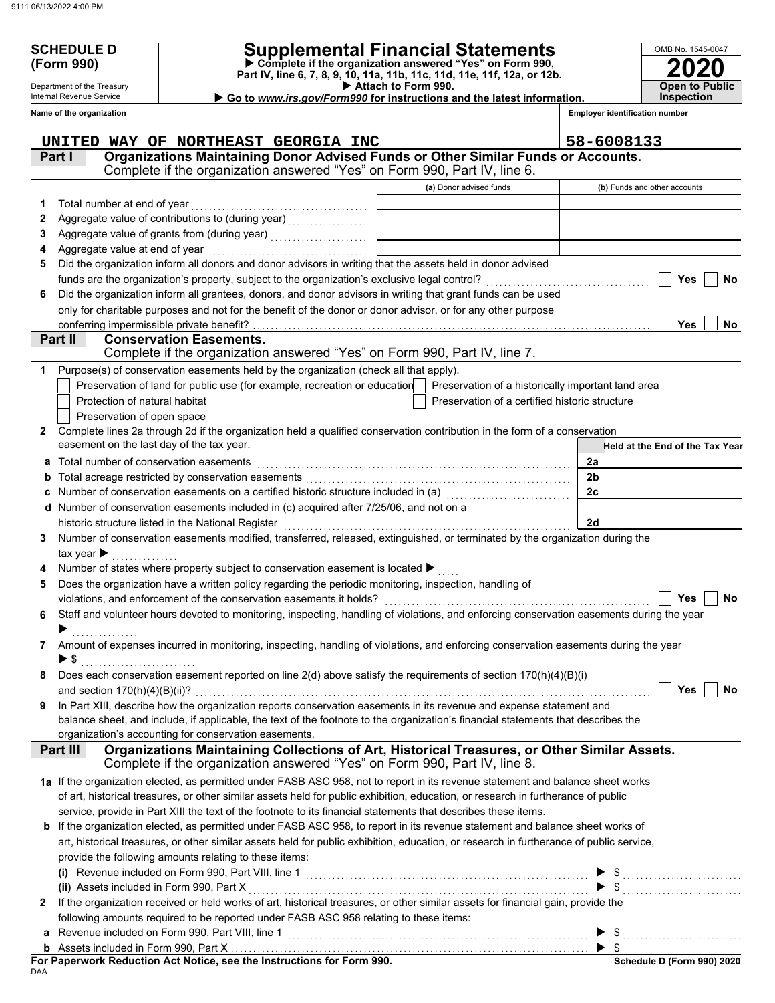Department of the Treasury Internal Revenue Service **Name of the organization**

# **SCHEDULE D Supplemental Financial Statements**

 **Attach to Form 990. (Form 990) Part IV, line 6, 7, 8, 9, 10, 11a, 11b, 11c, 11d, 11e, 11f, 12a, or 12b. Complete if the organization answered "Yes" on Form 990,**

 **Go to** *www.irs.gov/Form990* **for instructions and the latest information.**

**2020 Open to Public Inspection**

OMB No. 1545-0047

**Employer identification number**

|    | UNITED WAY OF NORTHEAST GEORGIA INC                                                                                                       |                                                    | 58-6008133                      |
|----|-------------------------------------------------------------------------------------------------------------------------------------------|----------------------------------------------------|---------------------------------|
|    | Organizations Maintaining Donor Advised Funds or Other Similar Funds or Accounts.<br>Part I                                               |                                                    |                                 |
|    | Complete if the organization answered "Yes" on Form 990, Part IV, line 6.                                                                 |                                                    |                                 |
|    |                                                                                                                                           | (a) Donor advised funds                            | (b) Funds and other accounts    |
| 1. | Total number at end of year                                                                                                               |                                                    |                                 |
| 2  |                                                                                                                                           |                                                    |                                 |
| З  |                                                                                                                                           |                                                    |                                 |
| 4  | Aggregate value at end of year                                                                                                            |                                                    |                                 |
| 5  | Did the organization inform all donors and donor advisors in writing that the assets held in donor advised                                |                                                    |                                 |
|    | funds are the organization's property, subject to the organization's exclusive legal control?                                             |                                                    | Yes<br><b>No</b>                |
| 6  | Did the organization inform all grantees, donors, and donor advisors in writing that grant funds can be used                              |                                                    |                                 |
|    | only for charitable purposes and not for the benefit of the donor or donor advisor, or for any other purpose                              |                                                    |                                 |
|    | conferring impermissible private benefit?                                                                                                 |                                                    | Yes<br>No                       |
|    | Part II<br><b>Conservation Easements.</b>                                                                                                 |                                                    |                                 |
|    | Complete if the organization answered "Yes" on Form 990, Part IV, line 7.                                                                 |                                                    |                                 |
| 1  | Purpose(s) of conservation easements held by the organization (check all that apply).                                                     |                                                    |                                 |
|    | Preservation of land for public use (for example, recreation or education                                                                 | Preservation of a historically important land area |                                 |
|    | Protection of natural habitat                                                                                                             | Preservation of a certified historic structure     |                                 |
|    | Preservation of open space                                                                                                                |                                                    |                                 |
| 2  | Complete lines 2a through 2d if the organization held a qualified conservation contribution in the form of a conservation                 |                                                    |                                 |
|    | easement on the last day of the tax year.                                                                                                 |                                                    | Held at the End of the Tax Year |
| а  | Total number of conservation easements                                                                                                    |                                                    | 2a                              |
| b  |                                                                                                                                           |                                                    | 2 <sub>b</sub>                  |
| с  | Number of conservation easements on a certified historic structure included in (a) [11] Number of conservation                            |                                                    | 2c                              |
| d  | Number of conservation easements included in (c) acquired after 7/25/06, and not on a                                                     |                                                    |                                 |
|    | historic structure listed in the National Register                                                                                        |                                                    | 2d                              |
| 3  | Number of conservation easements modified, transferred, released, extinguished, or terminated by the organization during the              |                                                    |                                 |
|    | tax year $\blacktriangleright$                                                                                                            |                                                    |                                 |
|    | Number of states where property subject to conservation easement is located ▶                                                             |                                                    |                                 |
|    | Does the organization have a written policy regarding the periodic monitoring, inspection, handling of                                    |                                                    |                                 |
| 5  | violations, and enforcement of the conservation easements it holds?                                                                       |                                                    | <b>Yes</b><br>No                |
| 6  | Staff and volunteer hours devoted to monitoring, inspecting, handling of violations, and enforcing conservation easements during the year |                                                    |                                 |
|    |                                                                                                                                           |                                                    |                                 |
| 7  | Amount of expenses incurred in monitoring, inspecting, handling of violations, and enforcing conservation easements during the year       |                                                    |                                 |
|    | $\blacktriangleright$ \$                                                                                                                  |                                                    |                                 |
| 8  | Does each conservation easement reported on line 2(d) above satisfy the requirements of section 170(h)(4)(B)(i)                           |                                                    |                                 |
|    |                                                                                                                                           |                                                    | Yes $ $<br>No                   |
| 9  | In Part XIII, describe how the organization reports conservation easements in its revenue and expense statement and                       |                                                    |                                 |
|    | balance sheet, and include, if applicable, the text of the footnote to the organization's financial statements that describes the         |                                                    |                                 |
|    | organization's accounting for conservation easements.                                                                                     |                                                    |                                 |
|    | Organizations Maintaining Collections of Art, Historical Treasures, or Other Similar Assets.<br>Part III                                  |                                                    |                                 |
|    | Complete if the organization answered "Yes" on Form 990, Part IV, line 8.                                                                 |                                                    |                                 |
|    | 1a If the organization elected, as permitted under FASB ASC 958, not to report in its revenue statement and balance sheet works           |                                                    |                                 |
|    | of art, historical treasures, or other similar assets held for public exhibition, education, or research in furtherance of public         |                                                    |                                 |
|    | service, provide in Part XIII the text of the footnote to its financial statements that describes these items.                            |                                                    |                                 |
|    | b If the organization elected, as permitted under FASB ASC 958, to report in its revenue statement and balance sheet works of             |                                                    |                                 |
|    | art, historical treasures, or other similar assets held for public exhibition, education, or research in furtherance of public service,   |                                                    |                                 |
|    | provide the following amounts relating to these items:                                                                                    |                                                    |                                 |
|    |                                                                                                                                           |                                                    |                                 |
|    | (ii) Assets included in Form 990, Part X                                                                                                  |                                                    |                                 |
| 2  | If the organization received or held works of art, historical treasures, or other similar assets for financial gain, provide the          |                                                    |                                 |
|    | following amounts required to be reported under FASB ASC 958 relating to these items:                                                     |                                                    |                                 |
| a  | Revenue included on Form 990, Part VIII, line 1                                                                                           |                                                    | $\blacktriangleright$ \$        |
|    |                                                                                                                                           |                                                    | $\blacktriangleright$ s         |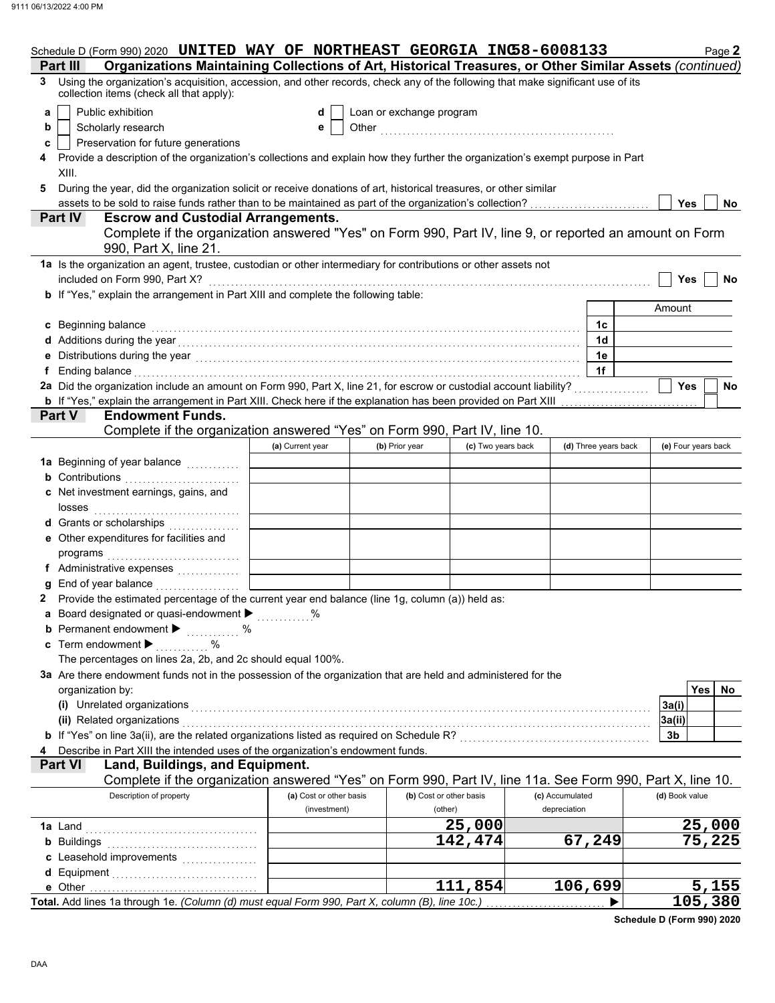|   | Schedule D (Form 990) 2020 UNITED WAY OF NORTHEAST GEORGIA INC58-6008133                                                                                                                                                      |                         |                          |                         |                 |                      |                | Page 2              |
|---|-------------------------------------------------------------------------------------------------------------------------------------------------------------------------------------------------------------------------------|-------------------------|--------------------------|-------------------------|-----------------|----------------------|----------------|---------------------|
|   | Organizations Maintaining Collections of Art, Historical Treasures, or Other Similar Assets (continued)<br>Part III                                                                                                           |                         |                          |                         |                 |                      |                |                     |
| 3 | Using the organization's acquisition, accession, and other records, check any of the following that make significant use of its<br>collection items (check all that apply):                                                   |                         |                          |                         |                 |                      |                |                     |
| a | Public exhibition                                                                                                                                                                                                             | d                       | Loan or exchange program |                         |                 |                      |                |                     |
| b | Scholarly research                                                                                                                                                                                                            | е                       |                          |                         |                 |                      |                |                     |
| c | Preservation for future generations                                                                                                                                                                                           |                         |                          |                         |                 |                      |                |                     |
|   | Provide a description of the organization's collections and explain how they further the organization's exempt purpose in Part<br>XIII.                                                                                       |                         |                          |                         |                 |                      |                |                     |
| 5 | During the year, did the organization solicit or receive donations of art, historical treasures, or other similar                                                                                                             |                         |                          |                         |                 |                      |                |                     |
|   |                                                                                                                                                                                                                               |                         |                          |                         |                 |                      | Yes            | No                  |
|   | <b>Escrow and Custodial Arrangements.</b><br><b>Part IV</b>                                                                                                                                                                   |                         |                          |                         |                 |                      |                |                     |
|   | Complete if the organization answered "Yes" on Form 990, Part IV, line 9, or reported an amount on Form<br>990, Part X, line 21.                                                                                              |                         |                          |                         |                 |                      |                |                     |
|   | 1a Is the organization an agent, trustee, custodian or other intermediary for contributions or other assets not<br>included on Form 990, Part X?<br>Yes<br>No                                                                 |                         |                          |                         |                 |                      |                |                     |
|   | b If "Yes," explain the arrangement in Part XIII and complete the following table:                                                                                                                                            |                         |                          |                         |                 |                      |                |                     |
|   |                                                                                                                                                                                                                               |                         |                          |                         |                 |                      | Amount         |                     |
|   | c Beginning balance                                                                                                                                                                                                           |                         |                          |                         |                 | 1c                   |                |                     |
|   | d Additions during the year with the contract of the set of the set of the set of the set of the set of the set of the set of the set of the set of the set of the set of the set of the set of the set of the set of the set |                         |                          |                         |                 | 1 <sub>d</sub>       |                |                     |
|   |                                                                                                                                                                                                                               |                         |                          |                         |                 | 1e                   |                |                     |
|   | Ending balance with a construction of the construction of the construction of the construction of the construction of the construction of the construction of the construction of the construction of the construction of the |                         |                          |                         |                 | 1f                   |                |                     |
|   | 2a Did the organization include an amount on Form 990, Part X, line 21, for escrow or custodial account liability?                                                                                                            |                         |                          |                         |                 |                      | <b>Yes</b>     | No                  |
|   | <b>b</b> If "Yes," explain the arrangement in Part XIII. Check here if the explanation has been provided on Part XIII                                                                                                         |                         |                          |                         |                 |                      |                |                     |
|   | <b>Endowment Funds.</b><br>Part V                                                                                                                                                                                             |                         |                          |                         |                 |                      |                |                     |
|   | Complete if the organization answered "Yes" on Form 990, Part IV, line 10.                                                                                                                                                    |                         |                          |                         |                 |                      |                |                     |
|   |                                                                                                                                                                                                                               | (a) Current year        | (b) Prior year           | (c) Two years back      |                 | (d) Three years back |                | (e) Four years back |
|   | 1a Beginning of year balance <i>minimizing</i>                                                                                                                                                                                |                         |                          |                         |                 |                      |                |                     |
|   | <b>b</b> Contributions <b>contributions</b>                                                                                                                                                                                   |                         |                          |                         |                 |                      |                |                     |
|   | c Net investment earnings, gains, and                                                                                                                                                                                         |                         |                          |                         |                 |                      |                |                     |
|   | losses                                                                                                                                                                                                                        |                         |                          |                         |                 |                      |                |                     |
|   | d Grants or scholarships                                                                                                                                                                                                      |                         |                          |                         |                 |                      |                |                     |
|   | e Other expenditures for facilities and                                                                                                                                                                                       |                         |                          |                         |                 |                      |                |                     |
|   | programs                                                                                                                                                                                                                      |                         |                          |                         |                 |                      |                |                     |
|   |                                                                                                                                                                                                                               |                         |                          |                         |                 |                      |                |                     |
|   | End of year balance                                                                                                                                                                                                           |                         |                          |                         |                 |                      |                |                     |
|   | Provide the estimated percentage of the current year end balance (line 1g, column (a)) held as:                                                                                                                               |                         |                          |                         |                 |                      |                |                     |
|   | a Board designated or quasi-endowment > %                                                                                                                                                                                     |                         |                          |                         |                 |                      |                |                     |
|   | <b>b</b> Permanent endowment $\blacktriangleright$<br>%                                                                                                                                                                       |                         |                          |                         |                 |                      |                |                     |
|   | c Term endowment $\blacktriangleright$<br>$\%$                                                                                                                                                                                |                         |                          |                         |                 |                      |                |                     |
|   | The percentages on lines 2a, 2b, and 2c should equal 100%.                                                                                                                                                                    |                         |                          |                         |                 |                      |                |                     |
|   | 3a Are there endowment funds not in the possession of the organization that are held and administered for the                                                                                                                 |                         |                          |                         |                 |                      |                |                     |
|   | organization by:                                                                                                                                                                                                              |                         |                          |                         |                 |                      |                | <b>Yes</b><br>No    |
|   | (i) Unrelated organizations                                                                                                                                                                                                   |                         |                          |                         |                 |                      | 3a(i)          |                     |
|   | (ii) Related organizations                                                                                                                                                                                                    |                         |                          |                         |                 |                      | 3a(ii)         |                     |
|   | b If "Yes" on line 3a(ii), are the related organizations listed as required on Schedule R? [[[[[[[[[[[[[[[[[[[                                                                                                                |                         |                          |                         |                 |                      | 3b             |                     |
|   | Describe in Part XIII the intended uses of the organization's endowment funds.                                                                                                                                                |                         |                          |                         |                 |                      |                |                     |
|   | Land, Buildings, and Equipment.<br><b>Part VI</b>                                                                                                                                                                             |                         |                          |                         |                 |                      |                |                     |
|   | Complete if the organization answered "Yes" on Form 990, Part IV, line 11a. See Form 990, Part X, line 10.                                                                                                                    |                         |                          |                         |                 |                      |                |                     |
|   | Description of property                                                                                                                                                                                                       | (a) Cost or other basis |                          | (b) Cost or other basis | (c) Accumulated |                      | (d) Book value |                     |
|   |                                                                                                                                                                                                                               | (investment)            |                          | (other)                 | depreciation    |                      |                |                     |
|   | <b>1a</b> Land                                                                                                                                                                                                                |                         |                          | 25,000                  |                 |                      |                | 25,000              |
|   | <b>b</b> Buildings                                                                                                                                                                                                            |                         |                          | 142,474                 |                 | 67,249               |                | 75,225              |
|   |                                                                                                                                                                                                                               |                         |                          |                         |                 |                      |                |                     |
|   | <b>d</b> Equipment                                                                                                                                                                                                            |                         |                          |                         |                 |                      |                |                     |
|   | e Other                                                                                                                                                                                                                       |                         |                          | 111,854                 |                 | 106,699              |                | 5,155               |
|   | Total. Add lines 1a through 1e. (Column (d) must equal Form 990, Part X, column (B), line 10c.)                                                                                                                               |                         |                          |                         |                 |                      |                | 105,380             |

**Schedule D (Form 990) 2020**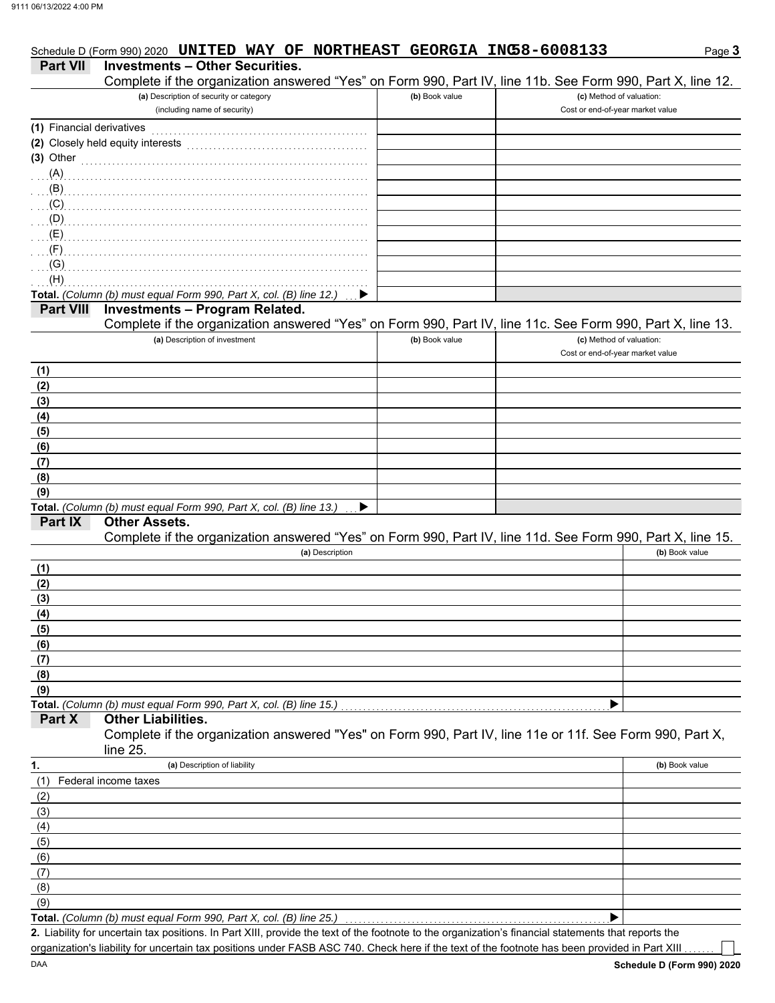| <b>Part VII</b>           | <b>Investments - Other Securities.</b>                                                                                                                                                                                             |                |                                  |                |
|---------------------------|------------------------------------------------------------------------------------------------------------------------------------------------------------------------------------------------------------------------------------|----------------|----------------------------------|----------------|
|                           | Complete if the organization answered "Yes" on Form 990, Part IV, line 11b. See Form 990, Part X, line 12.                                                                                                                         |                |                                  |                |
|                           | (a) Description of security or category                                                                                                                                                                                            | (b) Book value | (c) Method of valuation:         |                |
|                           | (including name of security)                                                                                                                                                                                                       |                | Cost or end-of-year market value |                |
| (1) Financial derivatives |                                                                                                                                                                                                                                    |                |                                  |                |
|                           | (2) Closely held equity interests                                                                                                                                                                                                  |                |                                  |                |
| $(3)$ Other               |                                                                                                                                                                                                                                    |                |                                  |                |
| (A)                       |                                                                                                                                                                                                                                    |                |                                  |                |
|                           |                                                                                                                                                                                                                                    |                |                                  |                |
|                           | $\overline{a}$ (C) and the continuum continuum continuum continuum continuum continuum continuum continuum continuum continuum continuum continuum continuum continuum continuum continuum continuum continuum continuum continuum |                |                                  |                |
|                           | $\overline{p}$ (D) and the continuum continuum continuum continuum continuum continuum continuum continuum continuum continuum continuum continuum continuum continuum continuum continuum continuum continuum continuum continuum |                |                                  |                |
|                           |                                                                                                                                                                                                                                    |                |                                  |                |
| $\cdot$ (F)               |                                                                                                                                                                                                                                    |                |                                  |                |
| (G)<br>(H)                |                                                                                                                                                                                                                                    |                |                                  |                |
|                           | Total. (Column (b) must equal Form 990, Part X, col. (B) line 12.)                                                                                                                                                                 |                |                                  |                |
| <b>Part VIII</b>          | <b>Investments - Program Related.</b>                                                                                                                                                                                              |                |                                  |                |
|                           | Complete if the organization answered "Yes" on Form 990, Part IV, line 11c. See Form 990, Part X, line 13.                                                                                                                         |                |                                  |                |
|                           | (a) Description of investment                                                                                                                                                                                                      | (b) Book value | (c) Method of valuation:         |                |
|                           |                                                                                                                                                                                                                                    |                | Cost or end-of-year market value |                |
| (1)                       |                                                                                                                                                                                                                                    |                |                                  |                |
| (2)                       |                                                                                                                                                                                                                                    |                |                                  |                |
| (3)                       |                                                                                                                                                                                                                                    |                |                                  |                |
| (4)                       |                                                                                                                                                                                                                                    |                |                                  |                |
| (5)                       |                                                                                                                                                                                                                                    |                |                                  |                |
| (6)                       |                                                                                                                                                                                                                                    |                |                                  |                |
| (7)                       |                                                                                                                                                                                                                                    |                |                                  |                |
| (8)                       |                                                                                                                                                                                                                                    |                |                                  |                |
| (9)                       | Total. (Column (b) must equal Form 990, Part X, col. (B) line 13.)<br>▶                                                                                                                                                            |                |                                  |                |
| Part IX                   | <b>Other Assets.</b>                                                                                                                                                                                                               |                |                                  |                |
|                           | Complete if the organization answered "Yes" on Form 990, Part IV, line 11d. See Form 990, Part X, line 15.                                                                                                                         |                |                                  |                |
|                           | (a) Description                                                                                                                                                                                                                    |                |                                  | (b) Book value |
| (1)                       |                                                                                                                                                                                                                                    |                |                                  |                |
| (2)                       |                                                                                                                                                                                                                                    |                |                                  |                |
| (3)                       |                                                                                                                                                                                                                                    |                |                                  |                |
| (4)                       |                                                                                                                                                                                                                                    |                |                                  |                |
| (5)                       |                                                                                                                                                                                                                                    |                |                                  |                |
| (6)                       |                                                                                                                                                                                                                                    |                |                                  |                |
| (7)                       |                                                                                                                                                                                                                                    |                |                                  |                |
| (8)                       |                                                                                                                                                                                                                                    |                |                                  |                |
| (9)                       |                                                                                                                                                                                                                                    |                |                                  |                |
| Part X                    | Total. (Column (b) must equal Form 990, Part X, col. (B) line 15.)<br><b>Other Liabilities.</b>                                                                                                                                    |                | Þ                                |                |
|                           | Complete if the organization answered "Yes" on Form 990, Part IV, line 11e or 11f. See Form 990, Part X,                                                                                                                           |                |                                  |                |
|                           | line 25.                                                                                                                                                                                                                           |                |                                  |                |
| 1.                        | (a) Description of liability                                                                                                                                                                                                       |                |                                  | (b) Book value |
| (1)                       | Federal income taxes                                                                                                                                                                                                               |                |                                  |                |
| (2)                       |                                                                                                                                                                                                                                    |                |                                  |                |
| (3)                       |                                                                                                                                                                                                                                    |                |                                  |                |
| (4)                       |                                                                                                                                                                                                                                    |                |                                  |                |
| (5)                       |                                                                                                                                                                                                                                    |                |                                  |                |
| (6)                       |                                                                                                                                                                                                                                    |                |                                  |                |
| (7)                       |                                                                                                                                                                                                                                    |                |                                  |                |
| (8)                       |                                                                                                                                                                                                                                    |                |                                  |                |
| (9)                       |                                                                                                                                                                                                                                    |                |                                  |                |
|                           | Total. (Column (b) must equal Form 990, Part X, col. (B) line 25.)                                                                                                                                                                 |                |                                  |                |

Schedule D (Form 990) 2020 **UNITED WAY OF NORTHEAST GEORGIA INC58-6008133** 

**Total.** *(Column (b) must equal Form 990, Part X, col. (B) line 25.)* 

Liability for uncertain tax positions. In Part XIII, provide the text of the footnote to the organization's financial statements that reports the **2.** organization's liability for uncertain tax positions under FASB ASC 740. Check here if the text of the footnote has been provided in Part XIII

Page **3**

DAA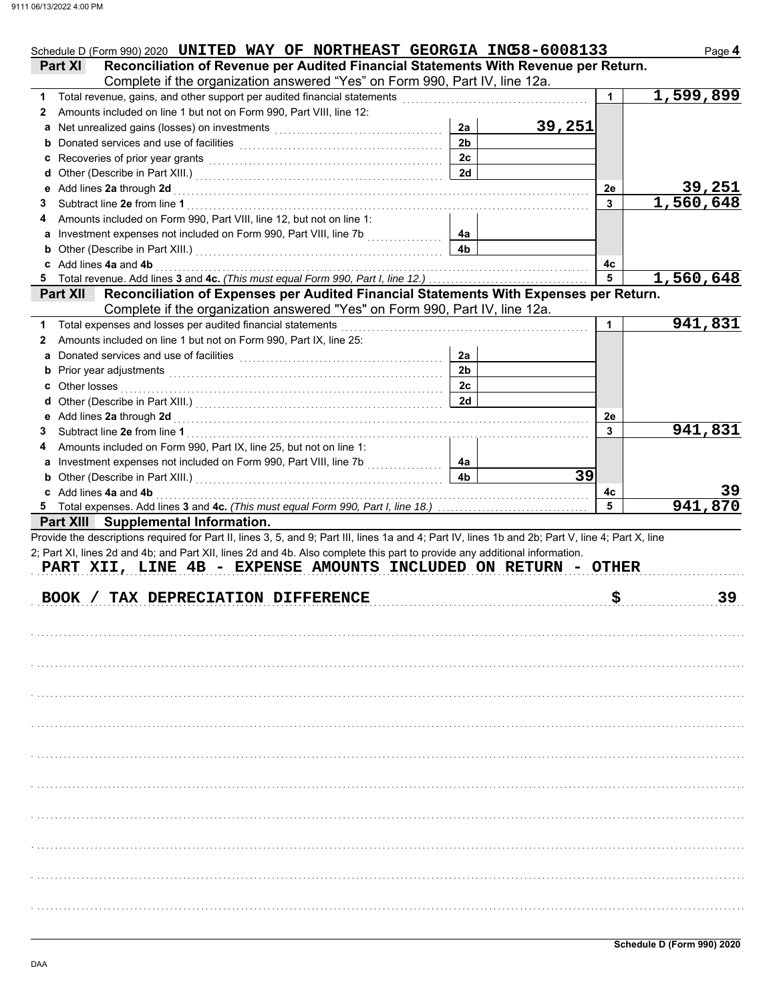|                                                                                                                                                                                              |                      | Schedule D (Form 990) 2020 UNITED WAY OF NORTHEAST GEORGIA INC58-6008133 |              | Page 4    |
|----------------------------------------------------------------------------------------------------------------------------------------------------------------------------------------------|----------------------|--------------------------------------------------------------------------|--------------|-----------|
| Reconciliation of Revenue per Audited Financial Statements With Revenue per Return.<br><b>Part XI</b>                                                                                        |                      |                                                                          |              |           |
| Complete if the organization answered "Yes" on Form 990, Part IV, line 12a.                                                                                                                  |                      |                                                                          |              |           |
| Total revenue, gains, and other support per audited financial statements<br>1                                                                                                                |                      |                                                                          | 1            | 1,599,899 |
| Amounts included on line 1 but not on Form 990, Part VIII, line 12:<br>2                                                                                                                     |                      |                                                                          |              |           |
| Net unrealized gains (losses) on investments [11] with the uncontracted value of the uncontracted value of the<br>a                                                                          | 2a                   | 39,251                                                                   |              |           |
|                                                                                                                                                                                              | 2 <sub>b</sub>       |                                                                          |              |           |
|                                                                                                                                                                                              | 2 <sub>c</sub>       |                                                                          |              |           |
| d                                                                                                                                                                                            | 2d                   |                                                                          |              |           |
|                                                                                                                                                                                              |                      |                                                                          | 2e           | 39,251    |
| 3                                                                                                                                                                                            |                      |                                                                          | $\mathbf{3}$ | 1,560,648 |
| Amounts included on Form 990, Part VIII, line 12, but not on line 1:<br>4                                                                                                                    |                      |                                                                          |              |           |
| a Investment expenses not included on Form 990, Part VIII, line 7b [[[[[[[[[[[[[[[[[[[[[[[[[[[[[[[[[                                                                                         | 4a                   |                                                                          |              |           |
| <b>b</b> Other (Describe in Part XIII.) <b>CONSIDENT DESCRIPTION DESCRIPTION DESCRIPTION DESCRIPTION DESCRIPTION DESCRIPTION DESCRIPTION DESCRIPTION DESCRIPTION DESCRIPTION DESCRIPTION</b> | 4 <sub>b</sub>       |                                                                          |              |           |
| c Add lines 4a and 4b                                                                                                                                                                        |                      |                                                                          | 4c<br>5      |           |
|                                                                                                                                                                                              |                      |                                                                          |              | 1,560,648 |
| Part XII Reconciliation of Expenses per Audited Financial Statements With Expenses per Return.                                                                                               |                      |                                                                          |              |           |
| Complete if the organization answered "Yes" on Form 990, Part IV, line 12a.                                                                                                                  |                      |                                                                          |              | 941,831   |
| Total expenses and losses per audited financial statements<br>1.                                                                                                                             |                      |                                                                          | 1            |           |
| Amounts included on line 1 but not on Form 990, Part IX, line 25:<br>2                                                                                                                       |                      |                                                                          |              |           |
| a                                                                                                                                                                                            | 2a<br>2 <sub>b</sub> |                                                                          |              |           |
|                                                                                                                                                                                              | 2c                   |                                                                          |              |           |
| Other losses<br>c                                                                                                                                                                            | 2d                   |                                                                          |              |           |
|                                                                                                                                                                                              |                      |                                                                          |              |           |
|                                                                                                                                                                                              |                      |                                                                          | 2e<br>3      | 941,831   |
| 3                                                                                                                                                                                            |                      |                                                                          |              |           |
| Amounts included on Form 990, Part IX, line 25, but not on line 1:<br>4                                                                                                                      |                      |                                                                          |              |           |
|                                                                                                                                                                                              | 4a<br>4 <sub>b</sub> | 39                                                                       |              |           |
| <b>b</b> Other (Describe in Part XIII.) <b>CONSERVING (2018)</b>                                                                                                                             |                      |                                                                          |              | 39        |
| c Add lines 4a and 4b<br>5 Total expenses. Add lines 3 and 4c. (This must equal Form 990, Part I, line 18.)                                                                                  |                      |                                                                          | 4с<br>5      | 941,870   |
|                                                                                                                                                                                              |                      |                                                                          |              |           |
| Part XIII Supplemental Information.<br>Provide the descriptions required for Part II, lines 3, 5, and 9; Part III, lines 1a and 4; Part IV, lines 1b and 2b; Part V, line 4; Part X, line    |                      |                                                                          |              |           |
| 2; Part XI, lines 2d and 4b; and Part XII, lines 2d and 4b. Also complete this part to provide any additional information.                                                                   |                      |                                                                          |              |           |
| PART XII, LINE 4B - EXPENSE AMOUNTS INCLUDED ON RETURN - OTHER                                                                                                                               |                      |                                                                          |              |           |
|                                                                                                                                                                                              |                      |                                                                          |              |           |
| BOOK / TAX DEPRECIATION DIFFERENCE                                                                                                                                                           |                      |                                                                          | \$           | 39        |
|                                                                                                                                                                                              |                      |                                                                          |              |           |
|                                                                                                                                                                                              |                      |                                                                          |              |           |
|                                                                                                                                                                                              |                      |                                                                          |              |           |
|                                                                                                                                                                                              |                      |                                                                          |              |           |
|                                                                                                                                                                                              |                      |                                                                          |              |           |
|                                                                                                                                                                                              |                      |                                                                          |              |           |
|                                                                                                                                                                                              |                      |                                                                          |              |           |
|                                                                                                                                                                                              |                      |                                                                          |              |           |
|                                                                                                                                                                                              |                      |                                                                          |              |           |
|                                                                                                                                                                                              |                      |                                                                          |              |           |
|                                                                                                                                                                                              |                      |                                                                          |              |           |
|                                                                                                                                                                                              |                      |                                                                          |              |           |
|                                                                                                                                                                                              |                      |                                                                          |              |           |
|                                                                                                                                                                                              |                      |                                                                          |              |           |
|                                                                                                                                                                                              |                      |                                                                          |              |           |
|                                                                                                                                                                                              |                      |                                                                          |              |           |
|                                                                                                                                                                                              |                      |                                                                          |              |           |
|                                                                                                                                                                                              |                      |                                                                          |              |           |
|                                                                                                                                                                                              |                      |                                                                          |              |           |
|                                                                                                                                                                                              |                      |                                                                          |              |           |
|                                                                                                                                                                                              |                      |                                                                          |              |           |
|                                                                                                                                                                                              |                      |                                                                          |              |           |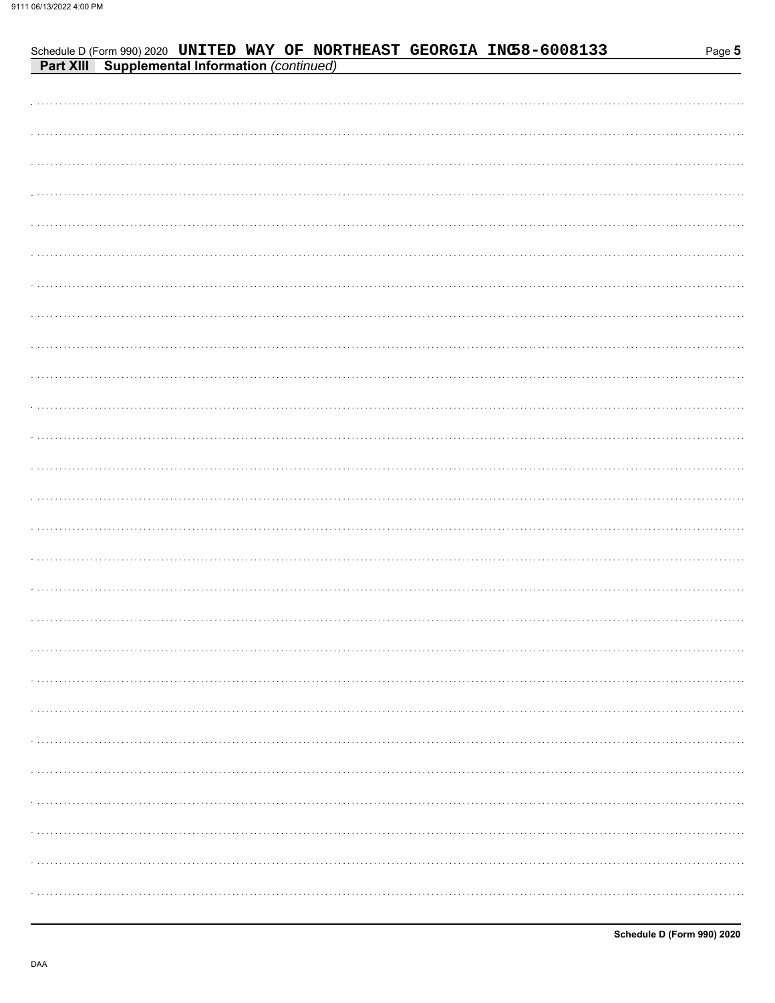| Schedule D (Form 990) 2020 UNITED WAY OF NORTHEAST GEORGIA INC58-6008133<br>Part XIII Supplemental Information (continued) | Page 5 |
|----------------------------------------------------------------------------------------------------------------------------|--------|
|                                                                                                                            |        |
|                                                                                                                            |        |
|                                                                                                                            |        |
|                                                                                                                            |        |
|                                                                                                                            |        |
|                                                                                                                            |        |
|                                                                                                                            |        |
|                                                                                                                            |        |
|                                                                                                                            |        |
|                                                                                                                            |        |
|                                                                                                                            |        |
|                                                                                                                            |        |
|                                                                                                                            |        |
|                                                                                                                            |        |
|                                                                                                                            |        |
|                                                                                                                            |        |
|                                                                                                                            |        |
|                                                                                                                            |        |
|                                                                                                                            |        |
|                                                                                                                            |        |
|                                                                                                                            |        |
|                                                                                                                            |        |
|                                                                                                                            |        |
|                                                                                                                            |        |
|                                                                                                                            |        |
|                                                                                                                            |        |
|                                                                                                                            |        |
|                                                                                                                            |        |
|                                                                                                                            |        |
|                                                                                                                            |        |
|                                                                                                                            |        |
|                                                                                                                            |        |
|                                                                                                                            |        |
|                                                                                                                            |        |
|                                                                                                                            |        |
|                                                                                                                            |        |
|                                                                                                                            |        |
|                                                                                                                            |        |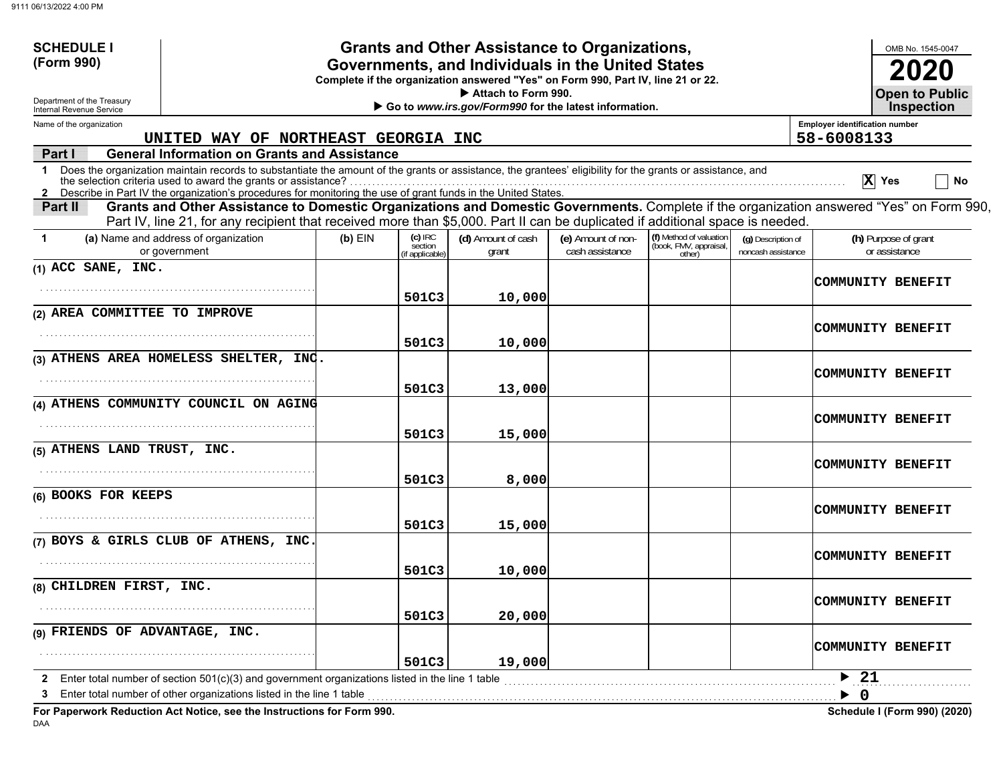| <b>SCHEDULE I</b>                                                      |                                                                                                                                                                                                                                                                               |           |                                       | <b>Grants and Other Assistance to Organizations,</b>  |                                       |                                                             |                                          |                                       | OMB No. 1545-0047                          |
|------------------------------------------------------------------------|-------------------------------------------------------------------------------------------------------------------------------------------------------------------------------------------------------------------------------------------------------------------------------|-----------|---------------------------------------|-------------------------------------------------------|---------------------------------------|-------------------------------------------------------------|------------------------------------------|---------------------------------------|--------------------------------------------|
| (Form 990)                                                             | Governments, and Individuals in the United States<br>Complete if the organization answered "Yes" on Form 990, Part IV, line 21 or 22.<br>Attach to Form 990.                                                                                                                  |           |                                       |                                                       |                                       |                                                             |                                          |                                       |                                            |
| Department of the Treasury<br>Internal Revenue Service                 |                                                                                                                                                                                                                                                                               |           |                                       | Go to www.irs.gov/Form990 for the latest information. |                                       |                                                             |                                          |                                       | <b>Open to Public</b><br><b>Inspection</b> |
| Name of the organization                                               |                                                                                                                                                                                                                                                                               |           |                                       |                                                       |                                       |                                                             |                                          | <b>Employer identification number</b> |                                            |
|                                                                        | UNITED WAY OF NORTHEAST GEORGIA INC<br><b>General Information on Grants and Assistance</b>                                                                                                                                                                                    |           |                                       |                                                       |                                       |                                                             |                                          | 58-6008133                            |                                            |
| Part I<br>1                                                            | Does the organization maintain records to substantiate the amount of the grants or assistance, the grantees' eligibility for the grants or assistance, and<br>2 Describe in Part IV the organization's procedures for monitoring the use of grant funds in the United States. |           |                                       |                                                       |                                       |                                                             |                                          |                                       | $ X $ Yes<br>No                            |
| Part II                                                                | Grants and Other Assistance to Domestic Organizations and Domestic Governments. Complete if the organization answered "Yes" on Form 990,<br>Part IV, line 21, for any recipient that received more than \$5,000. Part II can be duplicated if additional space is needed.     |           |                                       |                                                       |                                       |                                                             |                                          |                                       |                                            |
| (a) Name and address of organization<br>-1<br>or government            |                                                                                                                                                                                                                                                                               | $(b)$ EIN | (c) IRC<br>section<br>(if applicable) | (d) Amount of cash<br>grant                           | (e) Amount of non-<br>cash assistance | (f) Method of valuation<br>(book, FMV, appraisal,<br>other) | (g) Description of<br>noncash assistance |                                       | (h) Purpose of grant<br>or assistance      |
| $(1)$ ACC SANE, INC.                                                   |                                                                                                                                                                                                                                                                               |           |                                       |                                                       |                                       |                                                             |                                          |                                       | <b>COMMUNITY BENEFIT</b>                   |
|                                                                        |                                                                                                                                                                                                                                                                               |           | 501C3                                 | 10,000                                                |                                       |                                                             |                                          |                                       |                                            |
| (2) AREA COMMITTEE TO IMPROVE                                          |                                                                                                                                                                                                                                                                               |           |                                       |                                                       |                                       |                                                             |                                          |                                       | COMMUNITY BENEFIT                          |
|                                                                        |                                                                                                                                                                                                                                                                               |           | 501C3                                 | 10,000                                                |                                       |                                                             |                                          |                                       |                                            |
| (3) ATHENS AREA HOMELESS SHELTER, INC.                                 |                                                                                                                                                                                                                                                                               |           |                                       |                                                       |                                       |                                                             |                                          |                                       | COMMUNITY BENEFIT                          |
|                                                                        |                                                                                                                                                                                                                                                                               |           | 501C3                                 | 13,000                                                |                                       |                                                             |                                          |                                       |                                            |
| (4) ATHENS COMMUNITY COUNCIL ON AGING                                  |                                                                                                                                                                                                                                                                               |           |                                       |                                                       |                                       |                                                             |                                          |                                       | COMMUNITY BENEFIT                          |
|                                                                        |                                                                                                                                                                                                                                                                               |           | 501C3                                 | 15,000                                                |                                       |                                                             |                                          |                                       |                                            |
| (5) ATHENS LAND TRUST, INC.                                            |                                                                                                                                                                                                                                                                               |           |                                       |                                                       |                                       |                                                             |                                          |                                       |                                            |
|                                                                        |                                                                                                                                                                                                                                                                               |           | 501C3                                 | 8,000                                                 |                                       |                                                             |                                          |                                       | COMMUNITY BENEFIT                          |
| (6) BOOKS FOR KEEPS                                                    |                                                                                                                                                                                                                                                                               |           |                                       |                                                       |                                       |                                                             |                                          |                                       |                                            |
|                                                                        |                                                                                                                                                                                                                                                                               |           | 501C3                                 | 15,000                                                |                                       |                                                             |                                          |                                       | <b>COMMUNITY BENEFIT</b>                   |
| (7) BOYS & GIRLS CLUB OF ATHENS, INC.                                  |                                                                                                                                                                                                                                                                               |           |                                       |                                                       |                                       |                                                             |                                          |                                       |                                            |
|                                                                        |                                                                                                                                                                                                                                                                               |           | 501C3                                 | 10,000                                                |                                       |                                                             |                                          |                                       | COMMUNITY BENEFIT                          |
| (8) CHILDREN FIRST, INC.                                               |                                                                                                                                                                                                                                                                               |           |                                       |                                                       |                                       |                                                             |                                          |                                       |                                            |
|                                                                        |                                                                                                                                                                                                                                                                               |           | 501C3                                 | 20,000                                                |                                       |                                                             |                                          |                                       | COMMUNITY BENEFIT                          |
| (9) FRIENDS OF ADVANTAGE, INC.                                         |                                                                                                                                                                                                                                                                               |           |                                       |                                                       |                                       |                                                             |                                          |                                       |                                            |
|                                                                        |                                                                                                                                                                                                                                                                               |           | 501C3                                 | 19,000                                                |                                       |                                                             |                                          |                                       | COMMUNITY BENEFIT                          |
| з                                                                      | Enter total number of section 501(c)(3) and government organizations listed in the line 1 table<br>Enter total number of other organizations listed in the line 1 table                                                                                                       |           |                                       |                                                       |                                       |                                                             |                                          | $\blacktriangleright$ 21<br>- 0<br>▶  |                                            |
| For Paperwork Reduction Act Notice, see the Instructions for Form 990. |                                                                                                                                                                                                                                                                               |           |                                       |                                                       |                                       |                                                             |                                          |                                       | <b>Schedule I (Form 990) (2020)</b>        |

DAA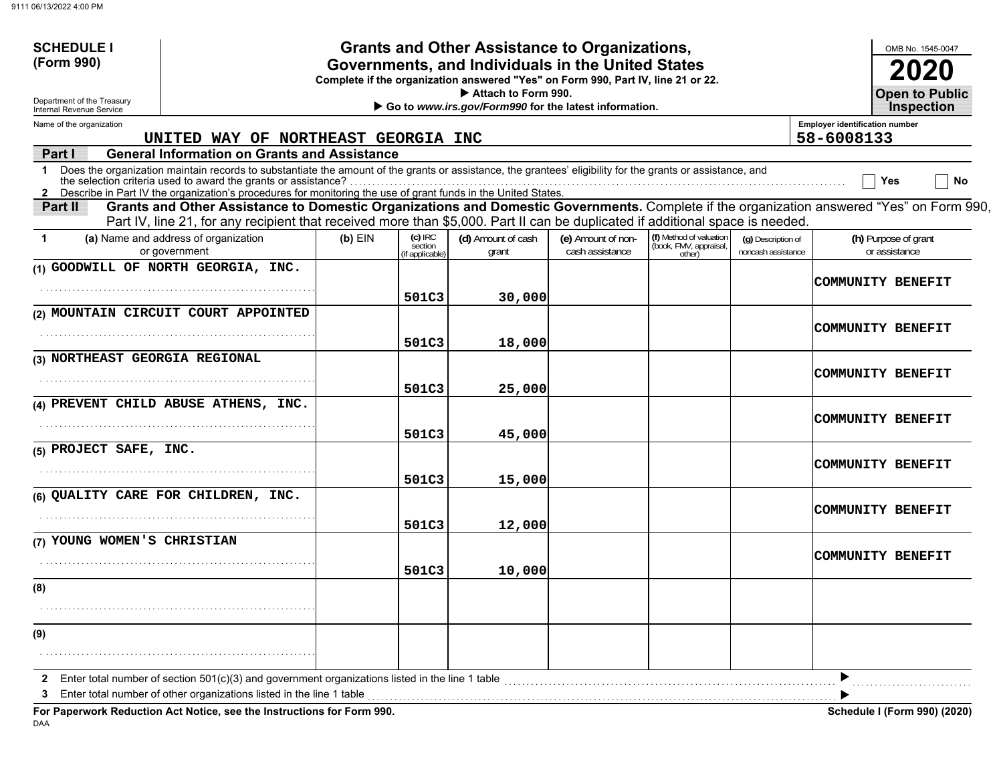| <b>SCHEDULE I</b>                                                                                                                                                                                                              |                                                                                                                                          |           |                                       | Grants and Other Assistance to Organizations,                                                                                         |                                       |                                                             |                                            |                                       | OMB No. 1545-0047                     |
|--------------------------------------------------------------------------------------------------------------------------------------------------------------------------------------------------------------------------------|------------------------------------------------------------------------------------------------------------------------------------------|-----------|---------------------------------------|---------------------------------------------------------------------------------------------------------------------------------------|---------------------------------------|-------------------------------------------------------------|--------------------------------------------|---------------------------------------|---------------------------------------|
| (Form 990)                                                                                                                                                                                                                     |                                                                                                                                          |           |                                       | Governments, and Individuals in the United States<br>Complete if the organization answered "Yes" on Form 990, Part IV, line 21 or 22. |                                       |                                                             |                                            |                                       |                                       |
| Attach to Form 990.<br>Department of the Treasury<br>Go to www.irs.gov/Form990 for the latest information.<br>Internal Revenue Service                                                                                         |                                                                                                                                          |           |                                       |                                                                                                                                       |                                       |                                                             | <b>Open to Public</b><br><b>Inspection</b> |                                       |                                       |
| Name of the organization                                                                                                                                                                                                       |                                                                                                                                          |           |                                       |                                                                                                                                       |                                       |                                                             |                                            | <b>Employer identification number</b> |                                       |
| Part I                                                                                                                                                                                                                         | UNITED WAY OF NORTHEAST GEORGIA INC<br><b>General Information on Grants and Assistance</b>                                               |           |                                       |                                                                                                                                       |                                       |                                                             |                                            | 58-6008133                            |                                       |
| 1 Does the organization maintain records to substantiate the amount of the grants or assistance, the grantees' eligibility for the grants or assistance, and<br>the selection criteria used to award the grants or assistance? |                                                                                                                                          |           |                                       |                                                                                                                                       |                                       |                                                             |                                            |                                       | No<br>Yes                             |
| 2 Describe in Part IV the organization's procedures for monitoring the use of grant funds in the United States.<br>Part II                                                                                                     | Grants and Other Assistance to Domestic Organizations and Domestic Governments. Complete if the organization answered "Yes" on Form 990, |           |                                       |                                                                                                                                       |                                       |                                                             |                                            |                                       |                                       |
|                                                                                                                                                                                                                                | Part IV, line 21, for any recipient that received more than \$5,000. Part II can be duplicated if additional space is needed.            |           |                                       |                                                                                                                                       |                                       |                                                             |                                            |                                       |                                       |
| (a) Name and address of organization<br>1<br>or government                                                                                                                                                                     |                                                                                                                                          | $(b)$ EIN | (c) IRC<br>section<br>(if applicable) | (d) Amount of cash<br>grant                                                                                                           | (e) Amount of non-<br>cash assistance | (f) Method of valuation<br>(book, FMV, appraisal,<br>other) | (g) Description of<br>noncash assistance   |                                       | (h) Purpose of grant<br>or assistance |
| (1) GOODWILL OF NORTH GEORGIA, INC.                                                                                                                                                                                            |                                                                                                                                          |           |                                       |                                                                                                                                       |                                       |                                                             |                                            |                                       |                                       |
|                                                                                                                                                                                                                                |                                                                                                                                          |           | 501C3                                 | 30,000                                                                                                                                |                                       |                                                             |                                            |                                       | COMMUNITY BENEFIT                     |
| (2) MOUNTAIN CIRCUIT COURT APPOINTED                                                                                                                                                                                           |                                                                                                                                          |           |                                       |                                                                                                                                       |                                       |                                                             |                                            |                                       |                                       |
|                                                                                                                                                                                                                                |                                                                                                                                          |           |                                       |                                                                                                                                       |                                       |                                                             |                                            |                                       | COMMUNITY BENEFIT                     |
| (3) NORTHEAST GEORGIA REGIONAL                                                                                                                                                                                                 |                                                                                                                                          |           | 501C3                                 | 18,000                                                                                                                                |                                       |                                                             |                                            |                                       |                                       |
|                                                                                                                                                                                                                                |                                                                                                                                          |           |                                       |                                                                                                                                       |                                       |                                                             |                                            |                                       | COMMUNITY BENEFIT                     |
|                                                                                                                                                                                                                                |                                                                                                                                          |           | 501C3                                 | 25,000                                                                                                                                |                                       |                                                             |                                            |                                       |                                       |
| (4) PREVENT CHILD ABUSE ATHENS, INC.                                                                                                                                                                                           |                                                                                                                                          |           |                                       |                                                                                                                                       |                                       |                                                             |                                            |                                       | COMMUNITY BENEFIT                     |
|                                                                                                                                                                                                                                |                                                                                                                                          |           | 501C3                                 | 45,000                                                                                                                                |                                       |                                                             |                                            |                                       |                                       |
| (5) PROJECT SAFE, INC.                                                                                                                                                                                                         |                                                                                                                                          |           |                                       |                                                                                                                                       |                                       |                                                             |                                            |                                       |                                       |
|                                                                                                                                                                                                                                |                                                                                                                                          |           | 501C3                                 | 15,000                                                                                                                                |                                       |                                                             |                                            |                                       | COMMUNITY BENEFIT                     |
| (6) QUALITY CARE FOR CHILDREN, INC.                                                                                                                                                                                            |                                                                                                                                          |           |                                       |                                                                                                                                       |                                       |                                                             |                                            |                                       |                                       |
|                                                                                                                                                                                                                                |                                                                                                                                          |           |                                       |                                                                                                                                       |                                       |                                                             |                                            |                                       | COMMUNITY BENEFIT                     |
| (7) YOUNG WOMEN'S CHRISTIAN                                                                                                                                                                                                    |                                                                                                                                          |           | 501C3                                 | 12,000                                                                                                                                |                                       |                                                             |                                            |                                       |                                       |
|                                                                                                                                                                                                                                |                                                                                                                                          |           |                                       |                                                                                                                                       |                                       |                                                             |                                            |                                       | COMMUNITY BENEFIT                     |
|                                                                                                                                                                                                                                |                                                                                                                                          |           | 501C3                                 | 10,000                                                                                                                                |                                       |                                                             |                                            |                                       |                                       |
| (8)                                                                                                                                                                                                                            |                                                                                                                                          |           |                                       |                                                                                                                                       |                                       |                                                             |                                            |                                       |                                       |
|                                                                                                                                                                                                                                |                                                                                                                                          |           |                                       |                                                                                                                                       |                                       |                                                             |                                            |                                       |                                       |
| (9)                                                                                                                                                                                                                            |                                                                                                                                          |           |                                       |                                                                                                                                       |                                       |                                                             |                                            |                                       |                                       |
|                                                                                                                                                                                                                                |                                                                                                                                          |           |                                       |                                                                                                                                       |                                       |                                                             |                                            |                                       |                                       |
| Enter total number of section $501(c)(3)$ and government organizations listed in the line 1 table                                                                                                                              |                                                                                                                                          |           |                                       |                                                                                                                                       |                                       |                                                             |                                            |                                       |                                       |
| Enter total number of other organizations listed in the line 1 table                                                                                                                                                           |                                                                                                                                          |           |                                       |                                                                                                                                       |                                       |                                                             |                                            |                                       |                                       |
| For Paperwork Reduction Act Notice, see the Instructions for Form 990.                                                                                                                                                         |                                                                                                                                          |           |                                       |                                                                                                                                       |                                       |                                                             |                                            |                                       | Schedule I (Form 990) (2020)          |

DAA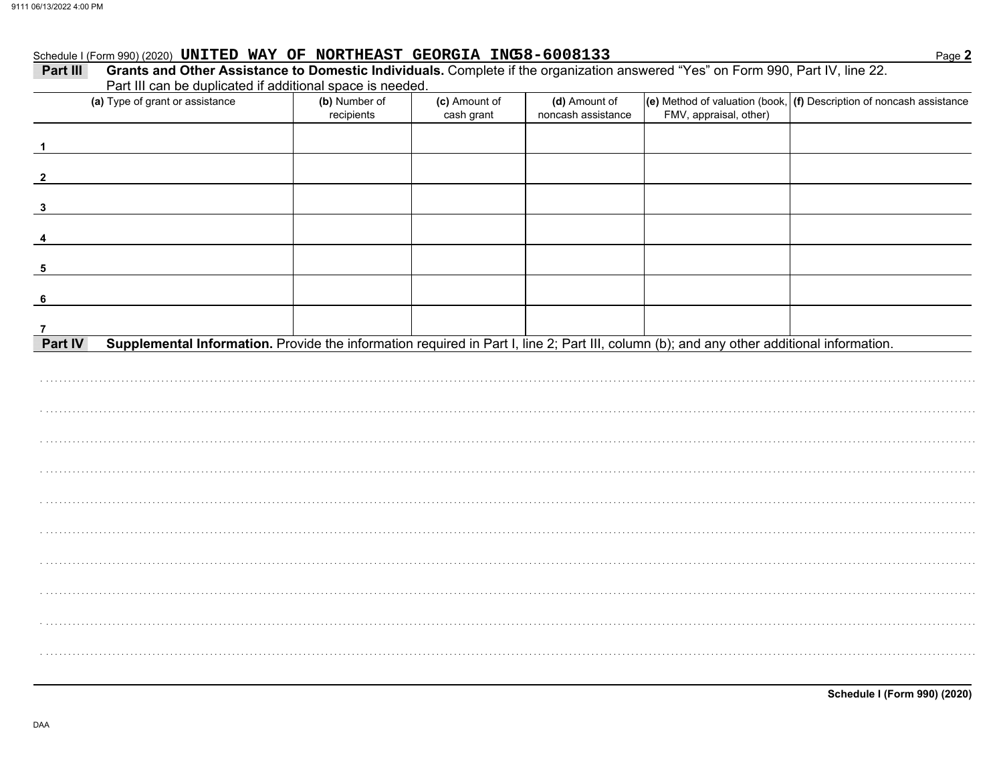## Schedule I (Form 990) (2020) UNITED WAY OF NORTHEAST GEORGIA INC58-6008133

| Part III                | Grants and Other Assistance to Domestic Individuals. Complete if the organization answered "Yes" on Form 990, Part IV, line 22.<br>Part III can be duplicated if additional space is needed. |                             |                             |                                     |                        |                                                                                      |
|-------------------------|----------------------------------------------------------------------------------------------------------------------------------------------------------------------------------------------|-----------------------------|-----------------------------|-------------------------------------|------------------------|--------------------------------------------------------------------------------------|
|                         | (a) Type of grant or assistance                                                                                                                                                              | (b) Number of<br>recipients | (c) Amount of<br>cash grant | (d) Amount of<br>noncash assistance | FMV, appraisal, other) | $\vert$ (e) Method of valuation (book, $\vert$ (f) Description of noncash assistance |
|                         |                                                                                                                                                                                              |                             |                             |                                     |                        |                                                                                      |
| $\mathbf{2}$            |                                                                                                                                                                                              |                             |                             |                                     |                        |                                                                                      |
| 3                       |                                                                                                                                                                                              |                             |                             |                                     |                        |                                                                                      |
| $\overline{\mathbf{4}}$ |                                                                                                                                                                                              |                             |                             |                                     |                        |                                                                                      |
| $\sqrt{5}$              |                                                                                                                                                                                              |                             |                             |                                     |                        |                                                                                      |
| - 6                     |                                                                                                                                                                                              |                             |                             |                                     |                        |                                                                                      |
|                         |                                                                                                                                                                                              |                             |                             |                                     |                        |                                                                                      |
| Part IV                 | Supplemental Information. Provide the information required in Part I, line 2; Part III, column (b); and any other additional information.                                                    |                             |                             |                                     |                        |                                                                                      |
|                         |                                                                                                                                                                                              |                             |                             |                                     |                        |                                                                                      |
|                         |                                                                                                                                                                                              |                             |                             |                                     |                        |                                                                                      |
|                         |                                                                                                                                                                                              |                             |                             |                                     |                        |                                                                                      |
|                         |                                                                                                                                                                                              |                             |                             |                                     |                        |                                                                                      |
|                         |                                                                                                                                                                                              |                             |                             |                                     |                        |                                                                                      |
|                         |                                                                                                                                                                                              |                             |                             |                                     |                        |                                                                                      |
|                         |                                                                                                                                                                                              |                             |                             |                                     |                        |                                                                                      |
|                         |                                                                                                                                                                                              |                             |                             |                                     |                        |                                                                                      |
|                         |                                                                                                                                                                                              |                             |                             |                                     |                        |                                                                                      |
|                         |                                                                                                                                                                                              |                             |                             |                                     |                        |                                                                                      |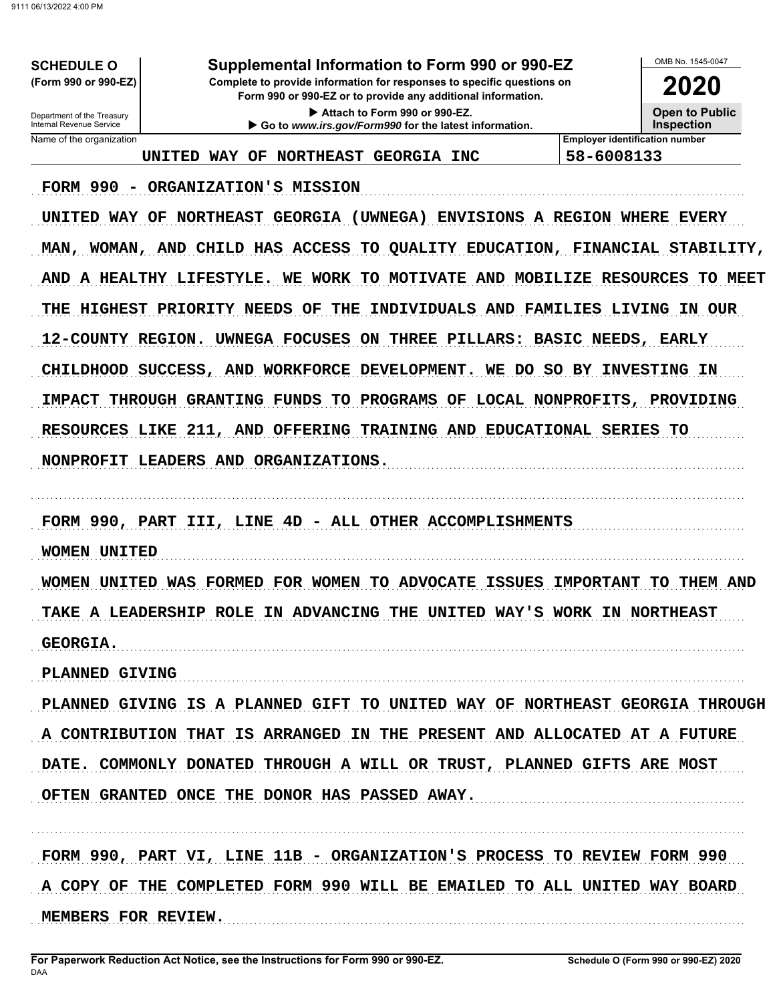# Supplemental Information to Form 990 or 990-EZ

Complete to provide information for responses to specific questions on Form 990 or 990-EZ or to provide any additional information.

> Attach to Form 990 or 990-EZ. Go to www.irs.gov/Form990 for the latest information.

OMB No. 1545-0047 2020

Department of the Treasury<br>Internal Revenue Service Name of the organization

**SCHEDULE O** (Form 990 or 990-EZ)

> **Open to Public Inspection**

UNITED WAY OF NORTHEAST GEORGIA INC

**Employer identification number** 58-6008133

FORM 990 - ORGANIZATION'S MISSION

UNITED WAY OF NORTHEAST GEORGIA (UWNEGA) ENVISIONS A REGION WHERE EVERY MAN, WOMAN, AND CHILD HAS ACCESS TO QUALITY EDUCATION, FINANCIAL STABILITY, AND A HEALTHY LIFESTYLE. WE WORK TO MOTIVATE AND MOBILIZE RESOURCES TO MEET THE HIGHEST PRIORITY NEEDS OF THE INDIVIDUALS AND FAMILIES LIVING IN OUR 12-COUNTY REGION. UWNEGA FOCUSES ON THREE PILLARS: BASIC NEEDS, EARLY CHILDHOOD SUCCESS, AND WORKFORCE DEVELOPMENT. WE DO SO BY INVESTING IN IMPACT THROUGH GRANTING FUNDS TO PROGRAMS OF LOCAL NONPROFITS, PROVIDING RESOURCES LIKE 211, AND OFFERING TRAINING AND EDUCATIONAL SERIES TO NONPROFIT LEADERS AND ORGANIZATIONS.

FORM 990, PART III, LINE 4D - ALL OTHER ACCOMPLISHMENTS

**WOMEN UNITED** 

WOMEN UNITED WAS FORMED FOR WOMEN TO ADVOCATE ISSUES IMPORTANT TO THEM AND TAKE A LEADERSHIP ROLE IN ADVANCING THE UNITED WAY'S WORK IN NORTHEAST **GEORGIA.** 

PLANNED GIVING

PLANNED GIVING IS A PLANNED GIFT TO UNITED WAY OF NORTHEAST GEORGIA THROUGH A CONTRIBUTION THAT IS ARRANGED IN THE PRESENT AND ALLOCATED AT A FUTURE DATE. COMMONLY DONATED THROUGH A WILL OR TRUST, PLANNED GIFTS ARE MOST OFTEN GRANTED ONCE THE DONOR HAS PASSED AWAY.

FORM 990, PART VI, LINE 11B - ORGANIZATION'S PROCESS TO REVIEW FORM 990 A COPY OF THE COMPLETED FORM 990 WILL BE EMAILED TO ALL UNITED WAY BOARD MEMBERS FOR REVIEW.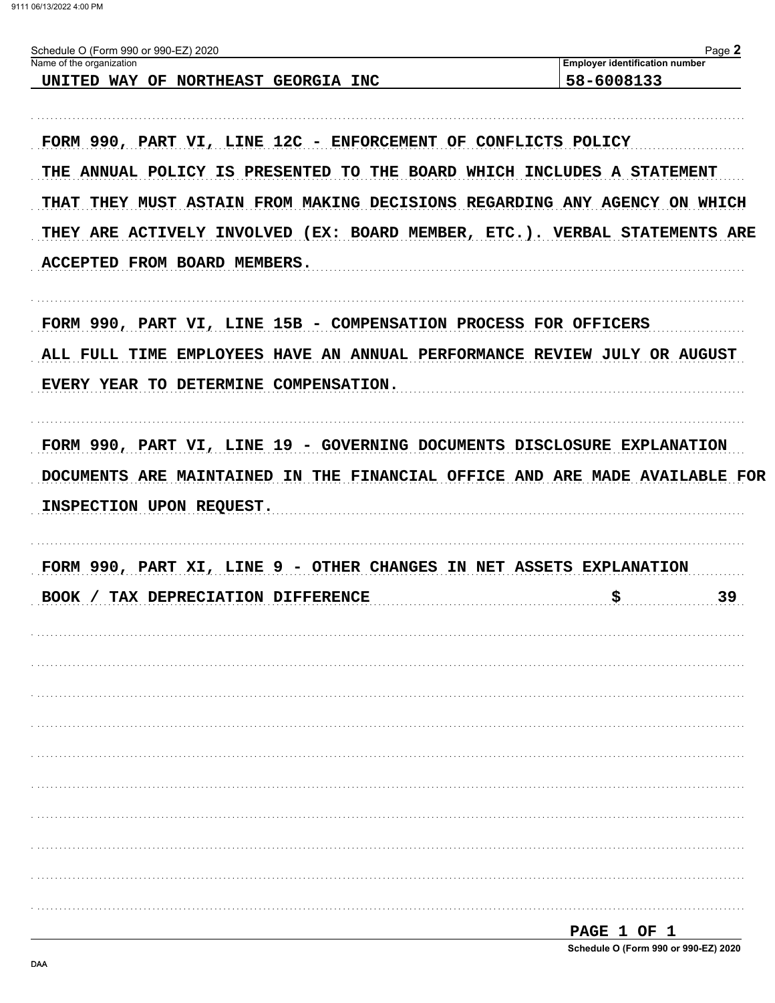| Schedule O (Form 990 or 990-EZ) 2020<br>Name of the organization                                                                                                                   | Page 2<br><b>Employer identification number</b> |
|------------------------------------------------------------------------------------------------------------------------------------------------------------------------------------|-------------------------------------------------|
| UNITED WAY OF NORTHEAST GEORGIA INC                                                                                                                                                | 58-6008133                                      |
| FORM 990, PART VI, LINE 12C - ENFORCEMENT OF CONFLICTS POLICY                                                                                                                      |                                                 |
| THE ANNUAL POLICY IS PRESENTED TO THE BOARD WHICH INCLUDES A STATEMENT                                                                                                             |                                                 |
| THAT THEY MUST ASTAIN FROM MAKING DECISIONS REGARDING ANY AGENCY ON WHICH                                                                                                          |                                                 |
| THEY ARE ACTIVELY INVOLVED (EX: BOARD MEMBER, ETC.). VERBAL STATEMENTS ARE                                                                                                         |                                                 |
| ACCEPTED FROM BOARD MEMBERS.                                                                                                                                                       |                                                 |
| FORM 990, PART VI, LINE 15B - COMPENSATION PROCESS FOR OFFICERS                                                                                                                    |                                                 |
| ALL FULL TIME EMPLOYEES HAVE AN ANNUAL PERFORMANCE REVIEW JULY OR AUGUST                                                                                                           |                                                 |
| EVERY YEAR TO DETERMINE COMPENSATION.                                                                                                                                              |                                                 |
|                                                                                                                                                                                    |                                                 |
|                                                                                                                                                                                    |                                                 |
|                                                                                                                                                                                    |                                                 |
|                                                                                                                                                                                    |                                                 |
| FORM 990, PART VI, LINE 19 - GOVERNING DOCUMENTS DISCLOSURE EXPLANATION<br>DOCUMENTS ARE MAINTAINED IN THE FINANCIAL OFFICE AND ARE MADE AVAILABLE FOR<br>INSPECTION UPON REQUEST. |                                                 |
|                                                                                                                                                                                    |                                                 |
|                                                                                                                                                                                    |                                                 |
| FORM 990, PART XI, LINE 9 - OTHER CHANGES IN NET ASSETS EXPLANATION<br>BOOK / TAX DEPRECIATION DIFFERENCE                                                                          | \$<br>39                                        |
|                                                                                                                                                                                    |                                                 |
|                                                                                                                                                                                    |                                                 |
|                                                                                                                                                                                    |                                                 |
|                                                                                                                                                                                    |                                                 |
|                                                                                                                                                                                    |                                                 |
|                                                                                                                                                                                    |                                                 |
|                                                                                                                                                                                    |                                                 |
|                                                                                                                                                                                    |                                                 |
|                                                                                                                                                                                    |                                                 |